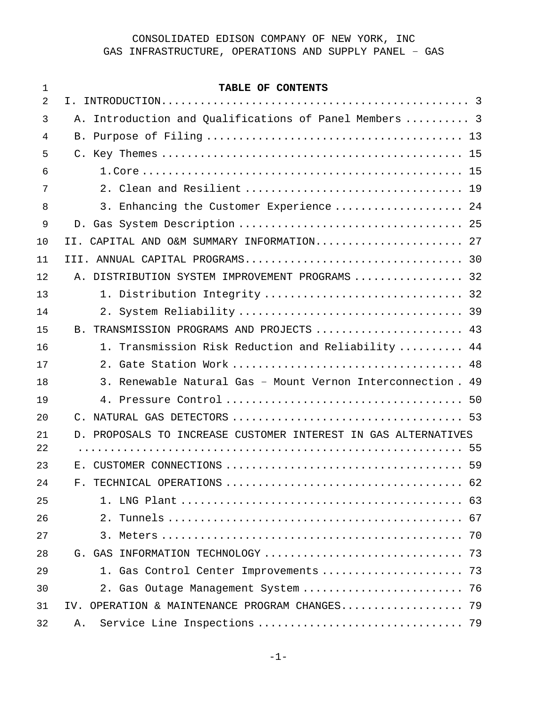| 1  | TABLE OF CONTENTS                                              |
|----|----------------------------------------------------------------|
| 2  |                                                                |
| 3  | A. Introduction and Qualifications of Panel Members  3         |
| 4  |                                                                |
| 5  |                                                                |
| 6  |                                                                |
| 7  |                                                                |
| 8  | 3. Enhancing the Customer Experience  24                       |
| 9  |                                                                |
| 10 | II. CAPITAL AND O&M SUMMARY INFORMATION 27                     |
| 11 |                                                                |
| 12 | A. DISTRIBUTION SYSTEM IMPROVEMENT PROGRAMS  32                |
| 13 | 1. Distribution Integrity  32                                  |
| 14 |                                                                |
| 15 | B. TRANSMISSION PROGRAMS AND PROJECTS  43                      |
| 16 | 1. Transmission Risk Reduction and Reliability  44             |
| 17 |                                                                |
| 18 | 3. Renewable Natural Gas - Mount Vernon Interconnection. 49    |
| 19 |                                                                |
| 20 |                                                                |
| 21 | D. PROPOSALS TO INCREASE CUSTOMER INTEREST IN GAS ALTERNATIVES |
| 22 |                                                                |
| 23 |                                                                |
| 24 | 62                                                             |
| 25 |                                                                |
| 26 |                                                                |
| 27 |                                                                |
| 28 |                                                                |
| 29 | 1. Gas Control Center Improvements  73                         |
| 30 | 2. Gas Outage Management System  76                            |
| 31 | IV. OPERATION & MAINTENANCE PROGRAM CHANGES 79                 |
| 32 | Α.                                                             |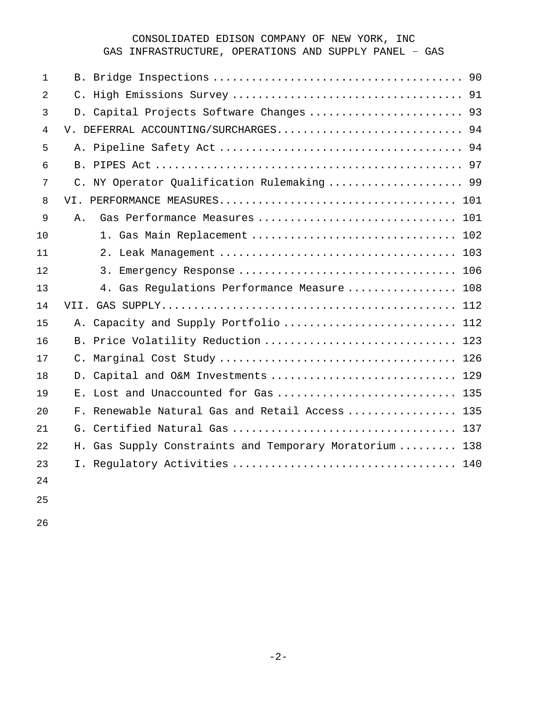## CONSOLIDATED EDISON COMPANY OF NEW YORK, INC

GAS INFRASTRUCTURE, OPERATIONS AND SUPPLY PANEL – GAS

| $\mathbf{1}$   |                                                        |
|----------------|--------------------------------------------------------|
| 2              |                                                        |
| 3              | D. Capital Projects Software Changes  93               |
| $\overline{4}$ | V. DEFERRAL ACCOUNTING/SURCHARGES 94                   |
| 5              |                                                        |
| 6              |                                                        |
| 7              | C. NY Operator Qualification Rulemaking  99            |
| 8              |                                                        |
| 9              | Gas Performance Measures  101<br>Α.                    |
| 10             | 1. Gas Main Replacement  102                           |
| 11             |                                                        |
| 12             |                                                        |
| 13             | 4. Gas Regulations Performance Measure  108            |
| 14             |                                                        |
| 15             | Capacity and Supply Portfolio  112<br>Α.               |
| 16             | B. Price Volatility Reduction  123                     |
| 17             |                                                        |
| 18             | D. Capital and O&M Investments  129                    |
| 19             | E. Lost and Unaccounted for Gas  135                   |
| 20             | F. Renewable Natural Gas and Retail Access  135        |
| 21             |                                                        |
| 22             | H. Gas Supply Constraints and Temporary Moratorium 138 |
| 23             |                                                        |
| 24             |                                                        |
| 25             |                                                        |

<span id="page-1-0"></span>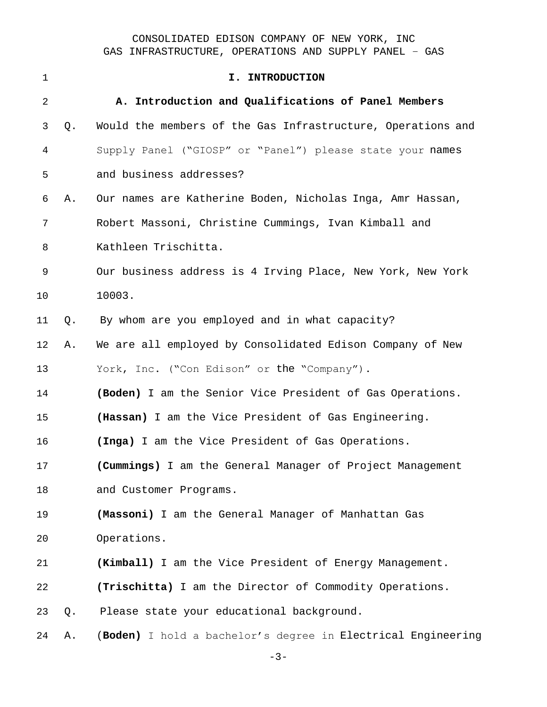<span id="page-2-0"></span>

| $\mathbf{1}$ |    | I. INTRODUCTION                                              |
|--------------|----|--------------------------------------------------------------|
| 2            |    | A. Introduction and Qualifications of Panel Members          |
| 3            | Q. | Would the members of the Gas Infrastructure, Operations and  |
| 4            |    | Supply Panel ("GIOSP" or "Panel") please state your names    |
| 5            |    | and business addresses?                                      |
| 6            | Α. | Our names are Katherine Boden, Nicholas Inga, Amr Hassan,    |
| 7            |    | Robert Massoni, Christine Cummings, Ivan Kimball and         |
| 8            |    | Kathleen Trischitta.                                         |
| $\mathsf 9$  |    | Our business address is 4 Irving Place, New York, New York   |
| 10           |    | 10003.                                                       |
| 11           | Q. | By whom are you employed and in what capacity?               |
| 12           | Α. | We are all employed by Consolidated Edison Company of New    |
| 13           |    | York, Inc. ("Con Edison" or the "Company").                  |
| 14           |    | (Boden) I am the Senior Vice President of Gas Operations.    |
| 15           |    | (Hassan) I am the Vice President of Gas Engineering.         |
| 16           |    | (Inga) I am the Vice President of Gas Operations.            |
| 17           |    | (Cummings) I am the General Manager of Project Management    |
| 18           |    | and Customer Programs.                                       |
| 19           |    | (Massoni) I am the General Manager of Manhattan Gas          |
| 20           |    | Operations.                                                  |
| 21           |    | (Kimball) I am the Vice President of Energy Management.      |
| 22           |    | (Trischitta) I am the Director of Commodity Operations.      |
| 23           | Q. | Please state your educational background.                    |
| 24           | Α. | (Boden) I hold a bachelor's degree in Electrical Engineering |

 $-3-$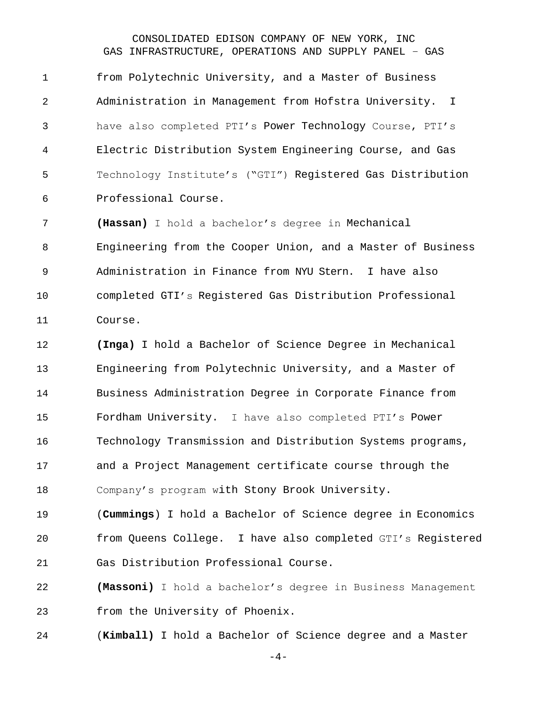from Polytechnic University, and a Master of Business Administration in Management from Hofstra University. I have also completed PTI's Power Technology Course, PTI's Electric Distribution System Engineering Course, and Gas Technology Institute's ("GTI") Registered Gas Distribution Professional Course.

 **(Hassan)** I hold a bachelor's degree in Mechanical Engineering from the Cooper Union, and a Master of Business Administration in Finance from NYU Stern. I have also completed GTI's Registered Gas Distribution Professional Course.

 **(Inga)** I hold a Bachelor of Science Degree in Mechanical Engineering from Polytechnic University, and a Master of Business Administration Degree in Corporate Finance from Fordham University. I have also completed PTI's Power Technology Transmission and Distribution Systems programs, and a Project Management certificate course through the Company's program with Stony Brook University.

 (**Cummings**) I hold a Bachelor of Science degree in Economics from Queens College. I have also completed GTI's Registered Gas Distribution Professional Course.

 **(Massoni)** I hold a bachelor's degree in Business Management from the University of Phoenix.

(**Kimball)** I hold a Bachelor of Science degree and a Master

-4-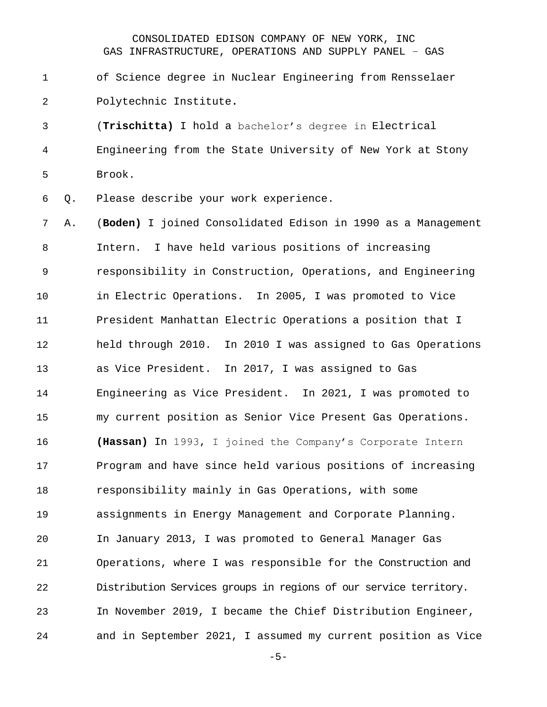of Science degree in Nuclear Engineering from Rensselaer Polytechnic Institute**.**

 (**Trischitta)** I hold a bachelor's degree in Electrical Engineering from the State University of New York at Stony Brook.

Q. Please describe your work experience.

 A. (**Boden)** I joined Consolidated Edison in 1990 as a Management Intern. I have held various positions of increasing responsibility in Construction, Operations, and Engineering in Electric Operations. In 2005, I was promoted to Vice President Manhattan Electric Operations a position that I held through 2010. In 2010 I was assigned to Gas Operations as Vice President. In 2017, I was assigned to Gas Engineering as Vice President. In 2021, I was promoted to my current position as Senior Vice Present Gas Operations. **(Hassan)** In 1993, I joined the Company's Corporate Intern Program and have since held various positions of increasing responsibility mainly in Gas Operations, with some assignments in Energy Management and Corporate Planning. In January 2013, I was promoted to General Manager Gas Operations, where I was responsible for the Construction and Distribution Services groups in regions of our service territory. In November 2019, I became the Chief Distribution Engineer, and in September 2021, I assumed my current position as Vice

-5-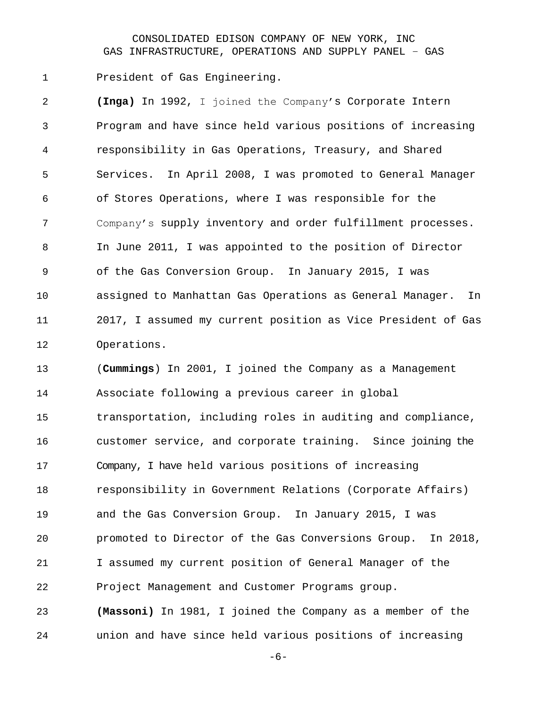President of Gas Engineering.

 **(Inga)** In 1992, I joined the Company's Corporate Intern Program and have since held various positions of increasing responsibility in Gas Operations, Treasury, and Shared Services. In April 2008, I was promoted to General Manager of Stores Operations, where I was responsible for the Company's supply inventory and order fulfillment processes. In June 2011, I was appointed to the position of Director of the Gas Conversion Group. In January 2015, I was assigned to Manhattan Gas Operations as General Manager. In 2017, I assumed my current position as Vice President of Gas Operations. (**Cummings**) In 2001, I joined the Company as a Management

 Associate following a previous career in global transportation, including roles in auditing and compliance, customer service, and corporate training. Since joining the Company, I have held various positions of increasing responsibility in Government Relations (Corporate Affairs) and the Gas Conversion Group. In January 2015, I was promoted to Director of the Gas Conversions Group. In 2018, I assumed my current position of General Manager of the Project Management and Customer Programs group. **(Massoni)** In 1981, I joined the Company as a member of the

union and have since held various positions of increasing

-6-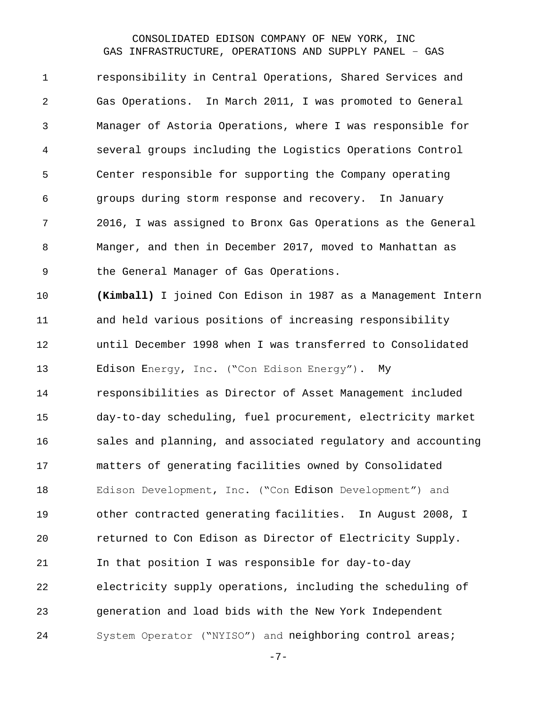responsibility in Central Operations, Shared Services and Gas Operations. In March 2011, I was promoted to General Manager of Astoria Operations, where I was responsible for several groups including the Logistics Operations Control Center responsible for supporting the Company operating groups during storm response and recovery. In January 2016, I was assigned to Bronx Gas Operations as the General Manger, and then in December 2017, moved to Manhattan as the General Manager of Gas Operations.

 **(Kimball)** I joined Con Edison in 1987 as a Management Intern and held various positions of increasing responsibility until December 1998 when I was transferred to Consolidated Edison Energy, Inc. ("Con Edison Energy"). My responsibilities as Director of Asset Management included day-to-day scheduling, fuel procurement, electricity market sales and planning, and associated regulatory and accounting matters of generating facilities owned by Consolidated Edison Development, Inc. ("Con Edison Development") and other contracted generating facilities. In August 2008, I returned to Con Edison as Director of Electricity Supply. In that position I was responsible for day-to-day electricity supply operations, including the scheduling of generation and load bids with the New York Independent System Operator ("NYISO") and neighboring control areas;

-7-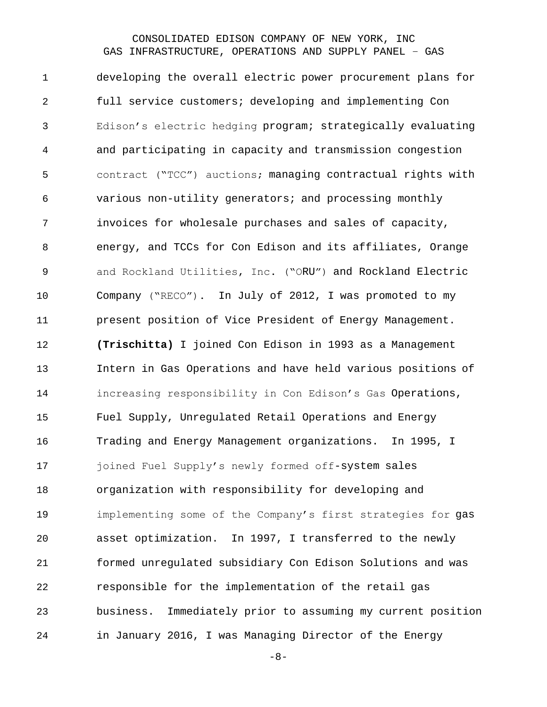developing the overall electric power procurement plans for full service customers; developing and implementing Con Edison's electric hedging program; strategically evaluating and participating in capacity and transmission congestion contract ("TCC") auctions; managing contractual rights with various non-utility generators; and processing monthly invoices for wholesale purchases and sales of capacity, energy, and TCCs for Con Edison and its affiliates, Orange and Rockland Utilities, Inc. ("ORU") and Rockland Electric Company ("RECO"). In July of 2012, I was promoted to my present position of Vice President of Energy Management. **(Trischitta)** I joined Con Edison in 1993 as a Management Intern in Gas Operations and have held various positions of increasing responsibility in Con Edison's Gas Operations, Fuel Supply, Unregulated Retail Operations and Energy Trading and Energy Management organizations. In 1995, I 17 joined Fuel Supply's newly formed off-system sales organization with responsibility for developing and implementing some of the Company's first strategies for gas asset optimization. In 1997, I transferred to the newly formed unregulated subsidiary Con Edison Solutions and was responsible for the implementation of the retail gas business. Immediately prior to assuming my current position in January 2016, I was Managing Director of the Energy

-8-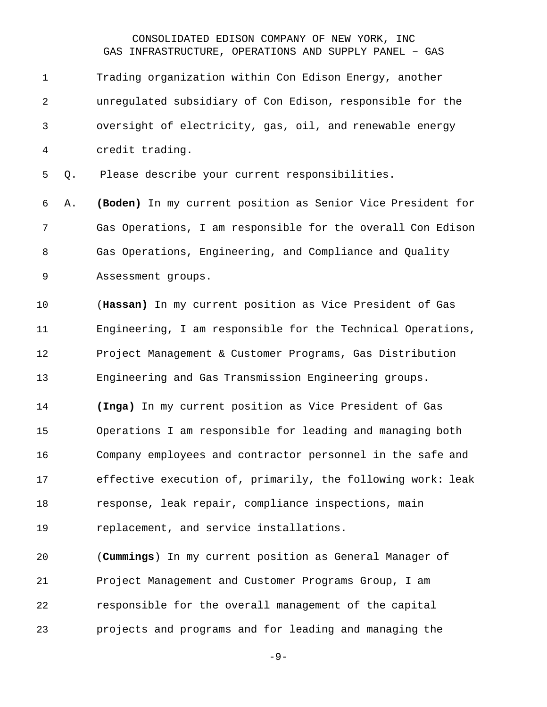Trading organization within Con Edison Energy, another unregulated subsidiary of Con Edison, responsible for the oversight of electricity, gas, oil, and renewable energy credit trading.

Q. Please describe your current responsibilities.

 A. **(Boden)** In my current position as Senior Vice President for Gas Operations, I am responsible for the overall Con Edison Gas Operations, Engineering, and Compliance and Quality Assessment groups.

 (**Hassan)** In my current position as Vice President of Gas Engineering, I am responsible for the Technical Operations, Project Management & Customer Programs, Gas Distribution Engineering and Gas Transmission Engineering groups.

 **(Inga)** In my current position as Vice President of Gas Operations I am responsible for leading and managing both Company employees and contractor personnel in the safe and effective execution of, primarily, the following work: leak response, leak repair, compliance inspections, main

replacement, and service installations.

 (**Cummings**) In my current position as General Manager of Project Management and Customer Programs Group, I am responsible for the overall management of the capital projects and programs and for leading and managing the

-9-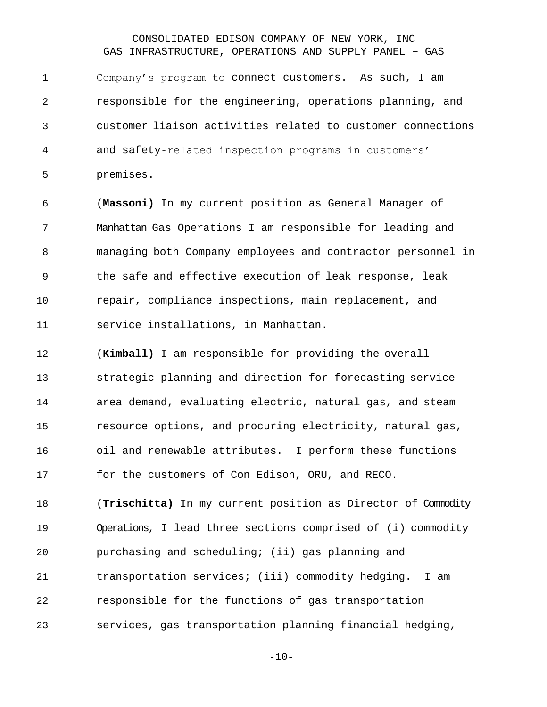Company's program to connect customers. As such, I am responsible for the engineering, operations planning, and customer liaison activities related to customer connections and safety-related inspection programs in customers' premises.

 (**Massoni)** In my current position as General Manager of Manhattan Gas Operations I am responsible for leading and managing both Company employees and contractor personnel in the safe and effective execution of leak response, leak repair, compliance inspections, main replacement, and service installations, in Manhattan.

 (**Kimball)** I am responsible for providing the overall strategic planning and direction for forecasting service area demand, evaluating electric, natural gas, and steam resource options, and procuring electricity, natural gas, oil and renewable attributes. I perform these functions for the customers of Con Edison, ORU, and RECO.

 (**Trischitta)** In my current position as Director of Commodity Operations, I lead three sections comprised of (i) commodity purchasing and scheduling; (ii) gas planning and transportation services; (iii) commodity hedging. I am responsible for the functions of gas transportation services, gas transportation planning financial hedging,

 $-10-$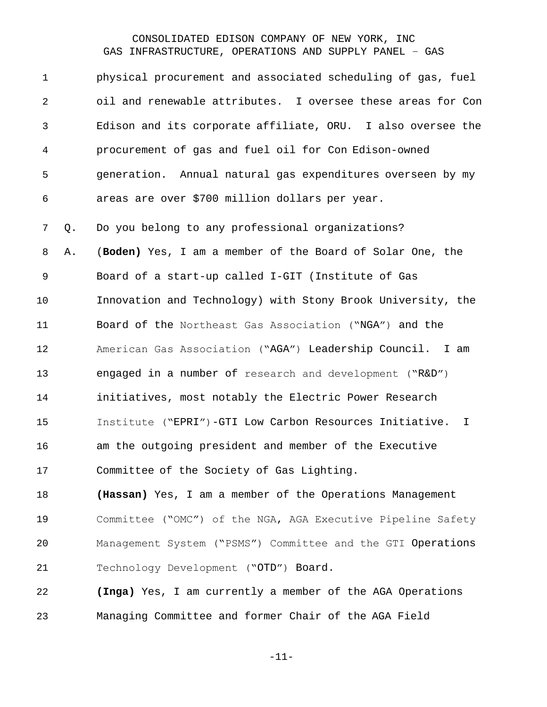| $\mathbf 1$    |    | physical procurement and associated scheduling of gas, fuel             |
|----------------|----|-------------------------------------------------------------------------|
| $\overline{2}$ |    | oil and renewable attributes. I oversee these areas for Con             |
| 3              |    | Edison and its corporate affiliate, ORU. I also oversee the             |
| 4              |    | procurement of gas and fuel oil for Con Edison-owned                    |
| 5              |    | generation. Annual natural gas expenditures overseen by my              |
| 6              |    | areas are over \$700 million dollars per year.                          |
| 7              | Q. | Do you belong to any professional organizations?                        |
| 8              | Α. | (Boden) Yes, I am a member of the Board of Solar One, the               |
| 9              |    | Board of a start-up called I-GIT (Institute of Gas                      |
| 10             |    | Innovation and Technology) with Stony Brook University, the             |
| 11             |    | Board of the Northeast Gas Association ("NGA") and the                  |
| 12             |    | American Gas Association ("AGA") Leadership Council. I am               |
| 13             |    | engaged in a number of research and development ("R&D")                 |
| 14             |    | initiatives, most notably the Electric Power Research                   |
| 15             |    | Institute ("EPRI")-GTI Low Carbon Resources Initiative.<br>$\mathbf{I}$ |
| 16             |    | am the outgoing president and member of the Executive                   |
| 17             |    | Committee of the Society of Gas Lighting.                               |
| 18             |    | (Hassan) Yes, I am a member of the Operations Management                |
| 19             |    | Committee ("OMC") of the NGA, AGA Executive Pipeline Safety             |
| 20             |    | Management System ("PSMS") Committee and the GTI Operations             |
| 21             |    | Technology Development ("OTD") Board.                                   |
| 22             |    | (Inga) Yes, I am currently a member of the AGA Operations               |
| 23             |    | Managing Committee and former Chair of the AGA Field                    |

-11-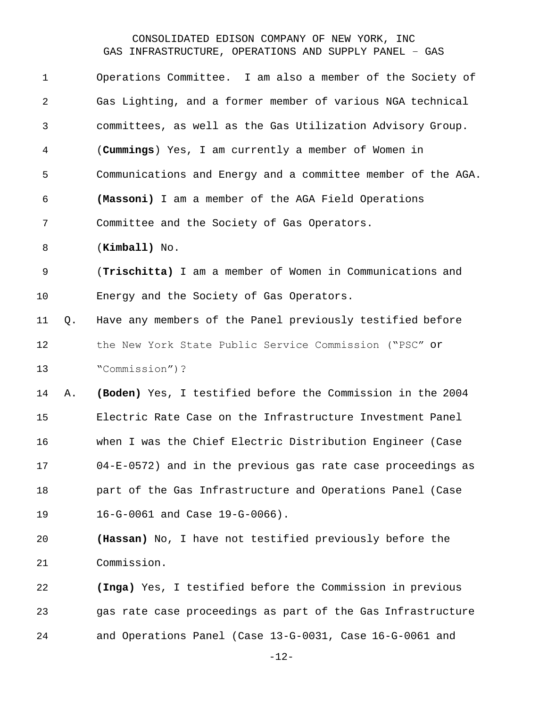| $\mathbf 1$ |    | Operations Committee. I am also a member of the Society of     |
|-------------|----|----------------------------------------------------------------|
| 2           |    | Gas Lighting, and a former member of various NGA technical     |
| 3           |    | committees, as well as the Gas Utilization Advisory Group.     |
| 4           |    | (Cummings) Yes, I am currently a member of Women in            |
| 5           |    | Communications and Energy and a committee member of the AGA.   |
| 6           |    | (Massoni) I am a member of the AGA Field Operations            |
| 7           |    | Committee and the Society of Gas Operators.                    |
| 8           |    | $(Kimball)$ No.                                                |
| $\mathsf 9$ |    | (Trischitta) I am a member of Women in Communications and      |
| 10          |    | Energy and the Society of Gas Operators.                       |
| 11          | Q. | Have any members of the Panel previously testified before      |
| 12          |    | the New York State Public Service Commission ("PSC" or         |
| 13          |    | "Commission")?                                                 |
| 14          | Α. | (Boden) Yes, I testified before the Commission in the 2004     |
| 15          |    | Electric Rate Case on the Infrastructure Investment Panel      |
| 16          |    | when I was the Chief Electric Distribution Engineer (Case      |
| 17          |    | $04-E-0572$ ) and in the previous gas rate case proceedings as |
| 18          |    | part of the Gas Infrastructure and Operations Panel (Case      |
| 19          |    | 16-G-0061 and Case 19-G-0066).                                 |
| 20          |    | (Hassan) No, I have not testified previously before the        |
| 21          |    | Commission.                                                    |
| 22          |    | (Inga) Yes, I testified before the Commission in previous      |
| 23          |    | gas rate case proceedings as part of the Gas Infrastructure    |
| 24          |    | and Operations Panel (Case 13-G-0031, Case 16-G-0061 and       |

-12-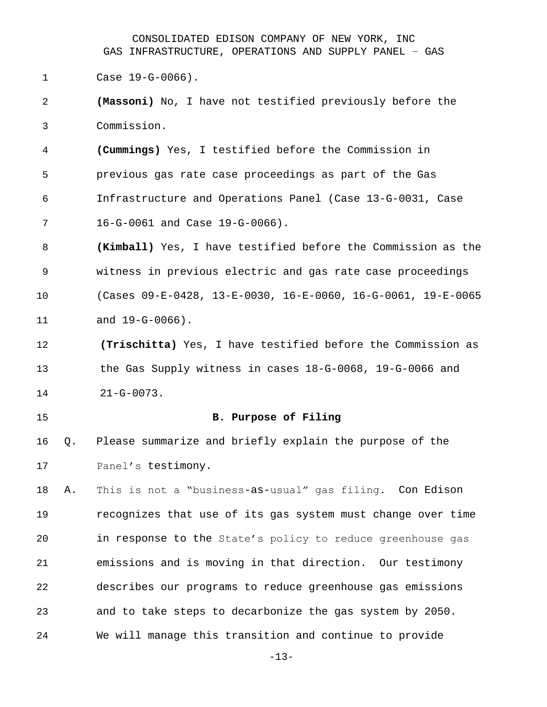Case 19-G-0066).

 **(Massoni)** No, I have not testified previously before the Commission.

 **(Cummings)** Yes, I testified before the Commission in previous gas rate case proceedings as part of the Gas Infrastructure and Operations Panel (Case 13-G-0031, Case 16-G-0061 and Case 19-G-0066).

 **(Kimball)** Yes, I have testified before the Commission as the witness in previous electric and gas rate case proceedings (Cases 09-E-0428, 13-E-0030, 16-E-0060, 16-G-0061, 19-E-0065 and 19-G-0066).

 **(Trischitta)** Yes, I have testified before the Commission as the Gas Supply witness in cases 18-G-0068, 19-G-0066 and 21-G-0073.

#### <span id="page-12-0"></span>**B. Purpose of Filing**

 Q. Please summarize and briefly explain the purpose of the Panel's testimony.

 A. This is not a "business-as-usual" gas filing. Con Edison recognizes that use of its gas system must change over time in response to the State's policy to reduce greenhouse gas emissions and is moving in that direction. Our testimony describes our programs to reduce greenhouse gas emissions and to take steps to decarbonize the gas system by 2050. We will manage this transition and continue to provide

-13-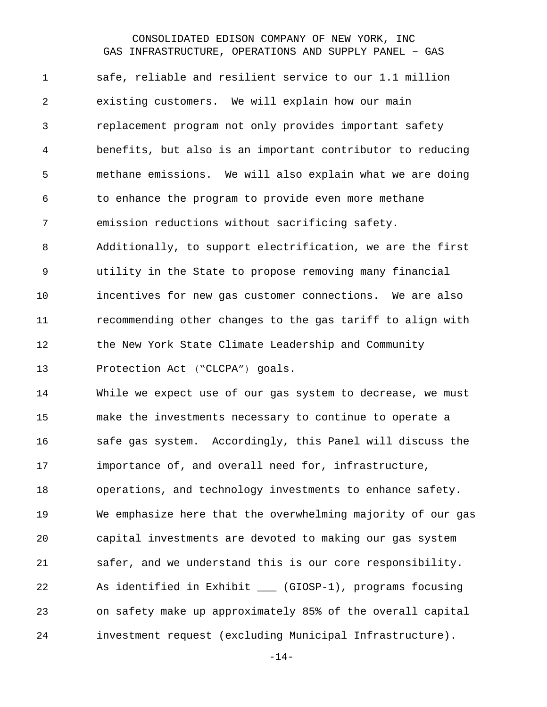safe, reliable and resilient service to our 1.1 million existing customers. We will explain how our main replacement program not only provides important safety benefits, but also is an important contributor to reducing methane emissions. We will also explain what we are doing to enhance the program to provide even more methane emission reductions without sacrificing safety. Additionally, to support electrification, we are the first utility in the State to propose removing many financial incentives for new gas customer connections. We are also recommending other changes to the gas tariff to align with the New York State Climate Leadership and Community Protection Act ("CLCPA") goals.

 While we expect use of our gas system to decrease, we must make the investments necessary to continue to operate a safe gas system. Accordingly, this Panel will discuss the importance of, and overall need for, infrastructure, operations, and technology investments to enhance safety. We emphasize here that the overwhelming majority of our gas capital investments are devoted to making our gas system safer, and we understand this is our core responsibility. As identified in Exhibit \_\_\_ (GIOSP-1), programs focusing on safety make up approximately 85% of the overall capital investment request (excluding Municipal Infrastructure).

-14-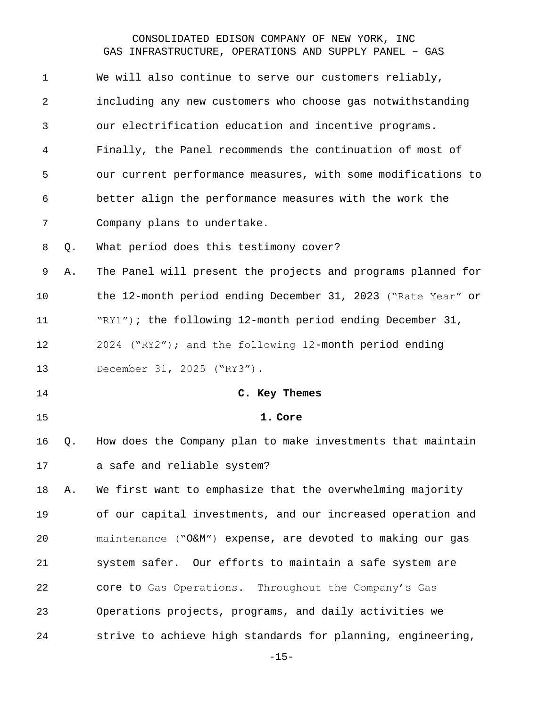<span id="page-14-0"></span>

| $\mathbf{1}$   |    | We will also continue to serve our customers reliably,       |
|----------------|----|--------------------------------------------------------------|
| 2              |    | including any new customers who choose gas notwithstanding   |
| 3              |    | our electrification education and incentive programs.        |
| 4              |    | Finally, the Panel recommends the continuation of most of    |
| 5              |    | our current performance measures, with some modifications to |
| 6              |    | better align the performance measures with the work the      |
| $7\phantom{.}$ |    | Company plans to undertake.                                  |
| 8              | Q. | What period does this testimony cover?                       |
| 9              | Α. | The Panel will present the projects and programs planned for |
| 10             |    | the 12-month period ending December 31, 2023 ("Rate Year" or |
| 11             |    | "RY1"); the following 12-month period ending December 31,    |
| 12             |    | 2024 ("RY2"); and the following 12-month period ending       |
|                |    |                                                              |
| 13             |    | December 31, 2025 ("RY3").                                   |
| 14             |    | C. Key Themes                                                |
| 15             |    | 1. Core                                                      |
| 16             | Q. | How does the Company plan to make investments that maintain  |
| 17             |    | a safe and reliable system?                                  |
| 18             | Α. | We first want to emphasize that the overwhelming majority    |
| 19             |    | of our capital investments, and our increased operation and  |
| 20             |    | maintenance ("O&M") expense, are devoted to making our gas   |
| 21             |    | system safer. Our efforts to maintain a safe system are      |
| 22             |    | core to Gas Operations. Throughout the Company's Gas         |
| 23             |    | Operations projects, programs, and daily activities we       |

<span id="page-14-1"></span>-15-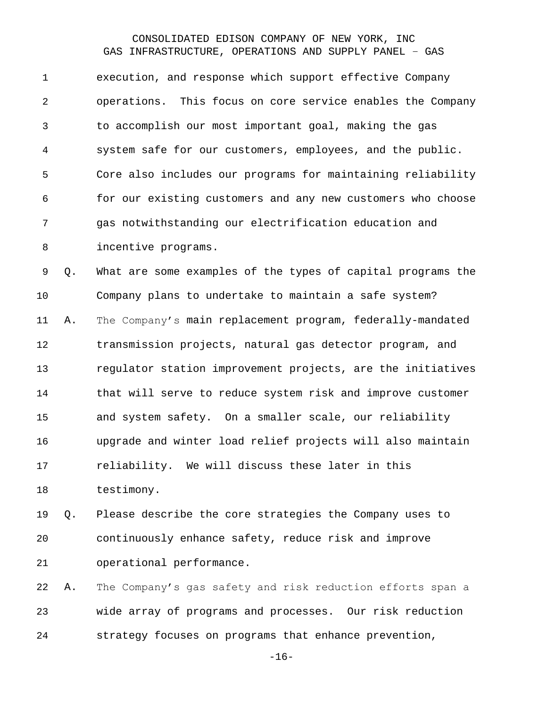execution, and response which support effective Company operations. This focus on core service enables the Company to accomplish our most important goal, making the gas system safe for our customers, employees, and the public. Core also includes our programs for maintaining reliability for our existing customers and any new customers who choose gas notwithstanding our electrification education and incentive programs.

 Q. What are some examples of the types of capital programs the Company plans to undertake to maintain a safe system? A. The Company's main replacement program, federally-mandated transmission projects, natural gas detector program, and regulator station improvement projects, are the initiatives that will serve to reduce system risk and improve customer and system safety. On a smaller scale, our reliability upgrade and winter load relief projects will also maintain reliability. We will discuss these later in this testimony.

 Q. Please describe the core strategies the Company uses to continuously enhance safety, reduce risk and improve operational performance.

 A. The Company's gas safety and risk reduction efforts span a wide array of programs and processes. Our risk reduction strategy focuses on programs that enhance prevention,

-16-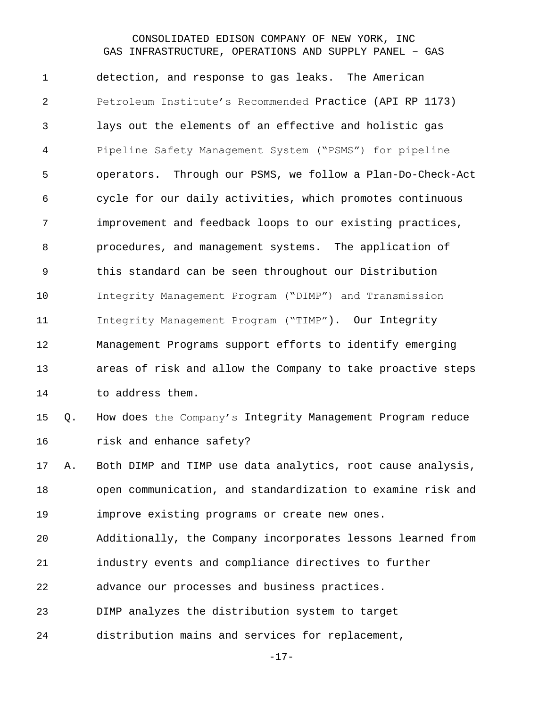detection, and response to gas leaks. The American Petroleum Institute's Recommended Practice (API RP 1173) lays out the elements of an effective and holistic gas Pipeline Safety Management System ("PSMS") for pipeline operators. Through our PSMS, we follow a Plan-Do-Check-Act cycle for our daily activities, which promotes continuous improvement and feedback loops to our existing practices, procedures, and management systems. The application of this standard can be seen throughout our Distribution Integrity Management Program ("DIMP") and Transmission Integrity Management Program ("TIMP"). Our Integrity Management Programs support efforts to identify emerging areas of risk and allow the Company to take proactive steps 14 to address them.

 Q. How does the Company's Integrity Management Program reduce **risk and enhance safety?** 

 A. Both DIMP and TIMP use data analytics, root cause analysis, open communication, and standardization to examine risk and improve existing programs or create new ones.

Additionally, the Company incorporates lessons learned from

industry events and compliance directives to further

advance our processes and business practices.

DIMP analyzes the distribution system to target

distribution mains and services for replacement,

-17-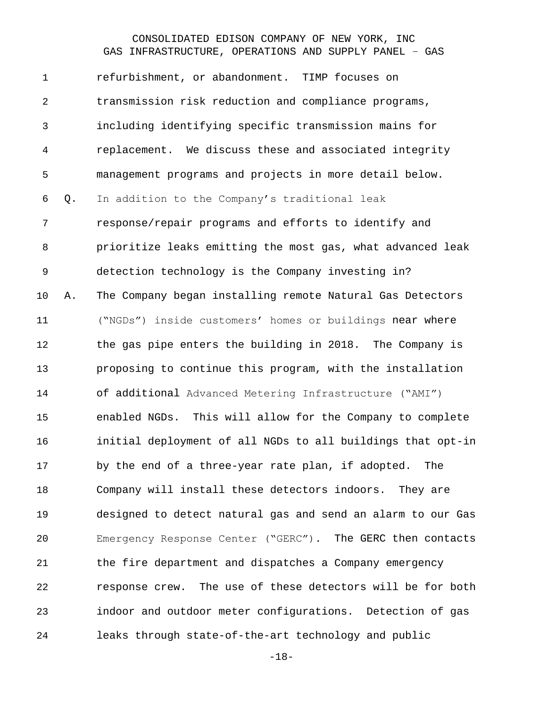refurbishment, or abandonment. TIMP focuses on transmission risk reduction and compliance programs, including identifying specific transmission mains for replacement. We discuss these and associated integrity management programs and projects in more detail below. Q. In addition to the Company's traditional leak response/repair programs and efforts to identify and prioritize leaks emitting the most gas, what advanced leak detection technology is the Company investing in? A. The Company began installing remote Natural Gas Detectors ("NGDs") inside customers' homes or buildings near where the gas pipe enters the building in 2018. The Company is proposing to continue this program, with the installation of additional Advanced Metering Infrastructure ("AMI") enabled NGDs. This will allow for the Company to complete initial deployment of all NGDs to all buildings that opt-in by the end of a three-year rate plan, if adopted. The Company will install these detectors indoors. They are designed to detect natural gas and send an alarm to our Gas Emergency Response Center ("GERC"). The GERC then contacts the fire department and dispatches a Company emergency response crew. The use of these detectors will be for both indoor and outdoor meter configurations. Detection of gas leaks through state-of-the-art technology and public

-18-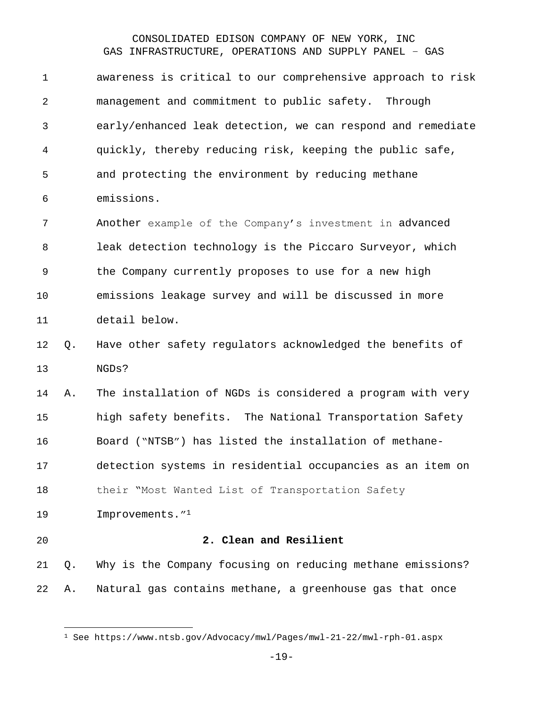| 1  |    | awareness is critical to our comprehensive approach to risk |
|----|----|-------------------------------------------------------------|
| 2  |    | management and commitment to public safety. Through         |
| 3  |    | early/enhanced leak detection, we can respond and remediate |
| 4  |    | quickly, thereby reducing risk, keeping the public safe,    |
| 5  |    | and protecting the environment by reducing methane          |
| 6  |    | emissions.                                                  |
| 7  |    | Another example of the Company's investment in advanced     |
| 8  |    | leak detection technology is the Piccaro Surveyor, which    |
| 9  |    | the Company currently proposes to use for a new high        |
| 10 |    | emissions leakage survey and will be discussed in more      |
| 11 |    | detail below.                                               |
| 12 | Q. | Have other safety regulators acknowledged the benefits of   |
| 13 |    | NGDs?                                                       |
| 14 | Α. | The installation of NGDs is considered a program with very  |
| 15 |    | high safety benefits. The National Transportation Safety    |
| 16 |    | Board ("NTSB") has listed the installation of methane-      |
| 17 |    | detection systems in residential occupancies as an item on  |
| 18 |    | their "Most Wanted List of Transportation Safety            |
| 19 |    | Improvements." <sup>1</sup>                                 |
| 20 |    | 2. Clean and Resilient                                      |
| 21 | Q. | Why is the Company focusing on reducing methane emissions?  |
| 22 | Α. | Natural gas contains methane, a greenhouse gas that once    |

<span id="page-18-0"></span>See https://www.ntsb.gov/Advocacy/mwl/Pages/mwl-21-22/mwl-rph-01.aspx

-19-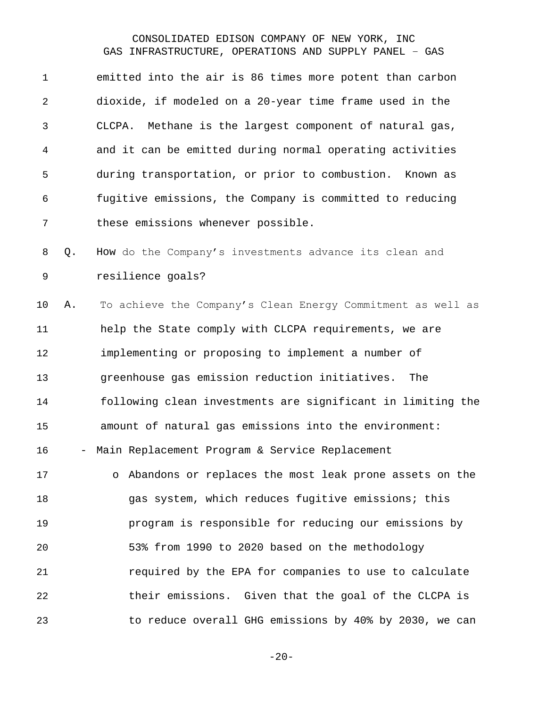emitted into the air is 86 times more potent than carbon dioxide, if modeled on a 20-year time frame used in the CLCPA. Methane is the largest component of natural gas, and it can be emitted during normal operating activities during transportation, or prior to combustion. Known as fugitive emissions, the Company is committed to reducing these emissions whenever possible.

 Q. How do the Company's investments advance its clean and resilience goals?

 A. To achieve the Company's Clean Energy Commitment as well as help the State comply with CLCPA requirements, we are implementing or proposing to implement a number of greenhouse gas emission reduction initiatives. The following clean investments are significant in limiting the amount of natural gas emissions into the environment: - Main Replacement Program & Service Replacement o Abandons or replaces the most leak prone assets on the

18 gas system, which reduces fugitive emissions; this program is responsible for reducing our emissions by 53% from 1990 to 2020 based on the methodology required by the EPA for companies to use to calculate their emissions. Given that the goal of the CLCPA is to reduce overall GHG emissions by 40% by 2030, we can

 $-20-$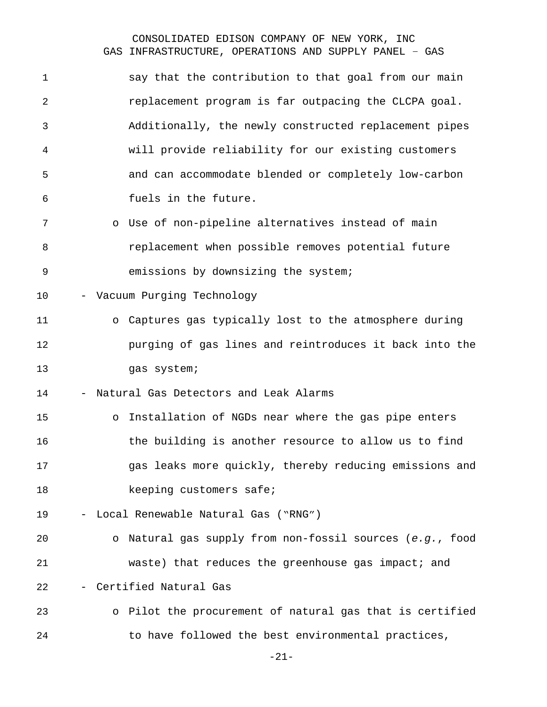| 1  | say that the contribution to that goal from our main            |  |
|----|-----------------------------------------------------------------|--|
| 2  | replacement program is far outpacing the CLCPA goal.            |  |
| 3  | Additionally, the newly constructed replacement pipes           |  |
| 4  | will provide reliability for our existing customers             |  |
| 5  | and can accommodate blended or completely low-carbon            |  |
| 6  | fuels in the future.                                            |  |
| 7  | o Use of non-pipeline alternatives instead of main              |  |
| 8  | replacement when possible removes potential future              |  |
| 9  | emissions by downsizing the system;                             |  |
| 10 | Vacuum Purging Technology                                       |  |
| 11 | o Captures gas typically lost to the atmosphere during          |  |
| 12 | purging of gas lines and reintroduces it back into the          |  |
| 13 | gas system;                                                     |  |
| 14 | Natural Gas Detectors and Leak Alarms                           |  |
| 15 | o Installation of NGDs near where the gas pipe enters           |  |
| 16 | the building is another resource to allow us to find            |  |
| 17 | gas leaks more quickly, thereby reducing emissions and          |  |
| 18 | keeping customers safe;                                         |  |
| 19 | Local Renewable Natural Gas ("RNG")<br>$\overline{\phantom{0}}$ |  |
| 20 | o Natural gas supply from non-fossil sources (e.g., food        |  |
|    | waste) that reduces the greenhouse gas impact; and              |  |
| 21 | Certified Natural Gas                                           |  |
| 22 |                                                                 |  |
| 23 | o Pilot the procurement of natural gas that is certified        |  |

-21-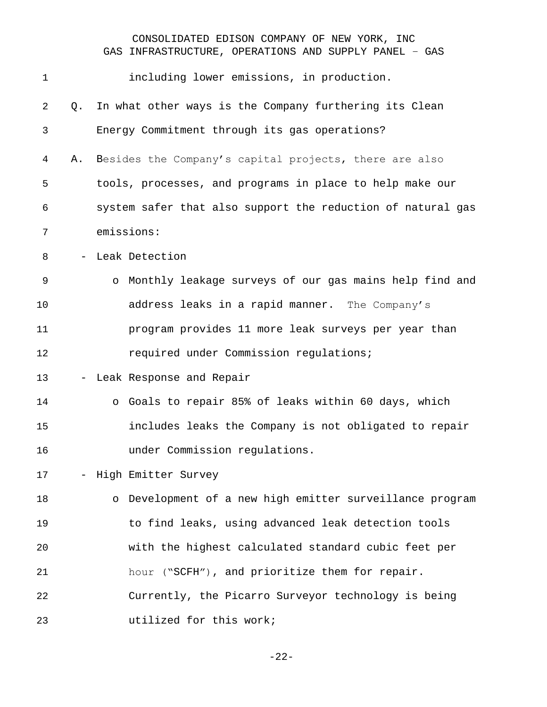| $\mathbf 1$ |                          | including lower emissions, in production.                   |
|-------------|--------------------------|-------------------------------------------------------------|
| 2           | Q.                       | In what other ways is the Company furthering its Clean      |
| 3           |                          | Energy Commitment through its gas operations?               |
| 4           | Α.                       | Besides the Company's capital projects, there are also      |
| 5           |                          | tools, processes, and programs in place to help make our    |
| 6           |                          | system safer that also support the reduction of natural gas |
| 7           |                          | emissions:                                                  |
| 8           |                          | - Leak Detection                                            |
| 9           |                          | o Monthly leakage surveys of our gas mains help find and    |
| 10          |                          | address leaks in a rapid manner. The Company's              |
| 11          |                          | program provides 11 more leak surveys per year than         |
| 12          |                          | required under Commission regulations;                      |
| 13          | $\overline{\phantom{a}}$ | Leak Response and Repair                                    |
| 14          |                          | o Goals to repair 85% of leaks within 60 days, which        |
| 15          |                          | includes leaks the Company is not obligated to repair       |
| 16          |                          | under Commission regulations.                               |
| 17          |                          | - High Emitter Survey                                       |
| 18          |                          | o Development of a new high emitter surveillance program    |
| 19          |                          | to find leaks, using advanced leak detection tools          |
| 20          |                          | with the highest calculated standard cubic feet per         |
| 21          |                          | hour ("SCFH"), and prioritize them for repair.              |
| 22          |                          | Currently, the Picarro Surveyor technology is being         |
| 23          |                          | utilized for this work;                                     |

-22-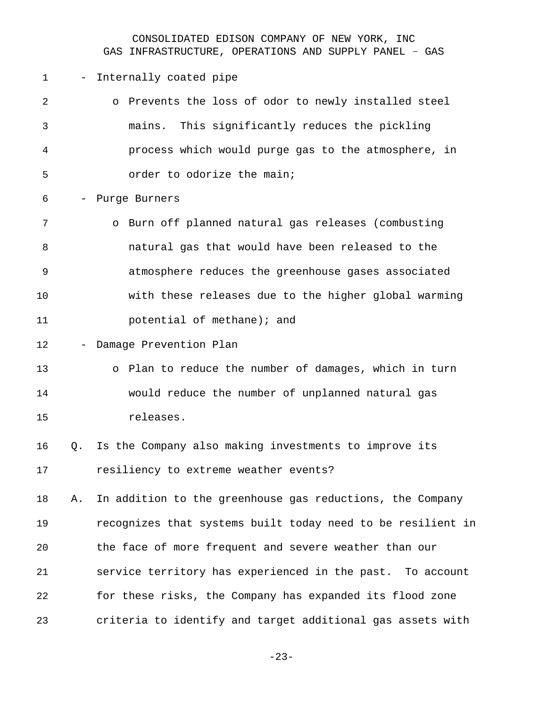- Internally coated pipe

| $\mathfrak{D}$ | o Prevents the loss of odor to newly installed steel |
|----------------|------------------------------------------------------|
| 3              | mains. This significantly reduces the pickling       |
| 4              | process which would purge gas to the atmosphere, in  |
| 5              | order to odorize the main;                           |
| 6              | - Purge Burners                                      |
| 7              | o Burn off planned natural gas releases (combusting  |
| 8              | natural gas that would have been released to the     |
| 9              | atmosphere reduces the greenhouse gases associated   |
| 10             | with these releases due to the higher global warming |
|                |                                                      |

- **potential of methane); and**
- Damage Prevention Plan

# o Plan to reduce the number of damages, which in turn would reduce the number of unplanned natural gas releases.

 Q. Is the Company also making investments to improve its resiliency to extreme weather events?

 A. In addition to the greenhouse gas reductions, the Company recognizes that systems built today need to be resilient in the face of more frequent and severe weather than our service territory has experienced in the past. To account for these risks, the Company has expanded its flood zone criteria to identify and target additional gas assets with

-23-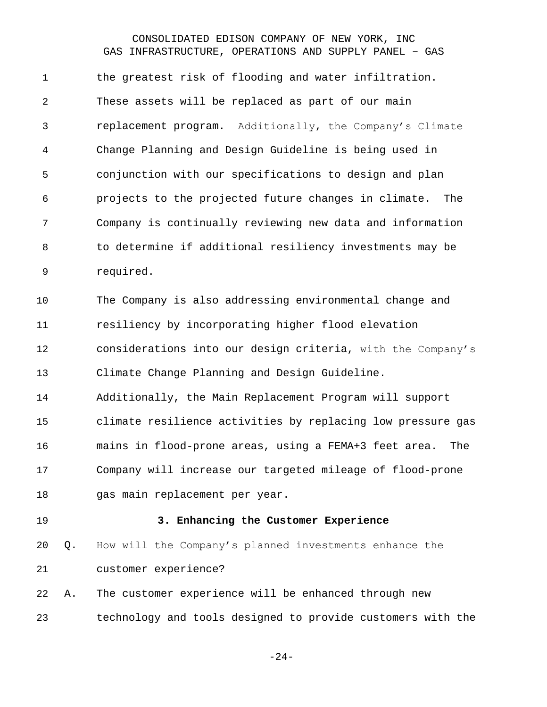the greatest risk of flooding and water infiltration. These assets will be replaced as part of our main replacement program. Additionally, the Company's Climate Change Planning and Design Guideline is being used in conjunction with our specifications to design and plan projects to the projected future changes in climate. The Company is continually reviewing new data and information to determine if additional resiliency investments may be required.

 The Company is also addressing environmental change and resiliency by incorporating higher flood elevation considerations into our design criteria, with the Company's Climate Change Planning and Design Guideline.

 Additionally, the Main Replacement Program will support climate resilience activities by replacing low pressure gas mains in flood-prone areas, using a FEMA+3 feet area. The Company will increase our targeted mileage of flood-prone gas main replacement per year.

<span id="page-23-0"></span>

#### **3. Enhancing the Customer Experience**

 Q. How will the Company's planned investments enhance the customer experience?

 A. The customer experience will be enhanced through new technology and tools designed to provide customers with the

-24-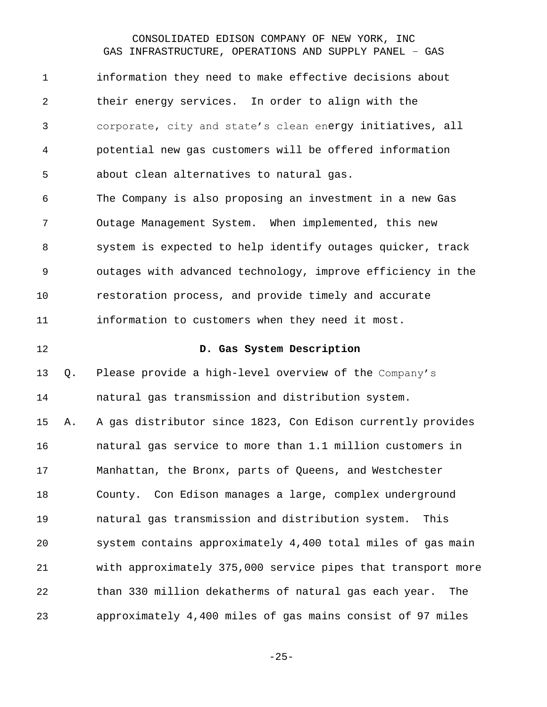<span id="page-24-0"></span>

| $\mathbf 1$    |    | information they need to make effective decisions about      |
|----------------|----|--------------------------------------------------------------|
| $\overline{a}$ |    | their energy services. In order to align with the            |
| 3              |    | corporate, city and state's clean energy initiatives, all    |
| 4              |    | potential new gas customers will be offered information      |
| 5              |    | about clean alternatives to natural gas.                     |
| 6              |    | The Company is also proposing an investment in a new Gas     |
| 7              |    | Outage Management System. When implemented, this new         |
| 8              |    | system is expected to help identify outages quicker, track   |
| $\mathsf 9$    |    | outages with advanced technology, improve efficiency in the  |
| 10             |    | restoration process, and provide timely and accurate         |
| 11             |    | information to customers when they need it most.             |
| 12             |    | D. Gas System Description                                    |
| 13             | Q. | Please provide a high-level overview of the Company's        |
| 14             |    | natural gas transmission and distribution system.            |
| 15             | Α. | A gas distributor since 1823, Con Edison currently provides  |
| 16             |    | natural gas service to more than 1.1 million customers in    |
| 17             |    | Manhattan, the Bronx, parts of Queens, and Westchester       |
| 18             |    | County. Con Edison manages a large, complex underground      |
| 19             |    | natural gas transmission and distribution system.<br>This    |
| 20             |    | system contains approximately 4,400 total miles of gas main  |
| 21             |    | with approximately 375,000 service pipes that transport more |
| 22             |    | than 330 million dekatherms of natural gas each year.<br>The |
|                |    |                                                              |

-25-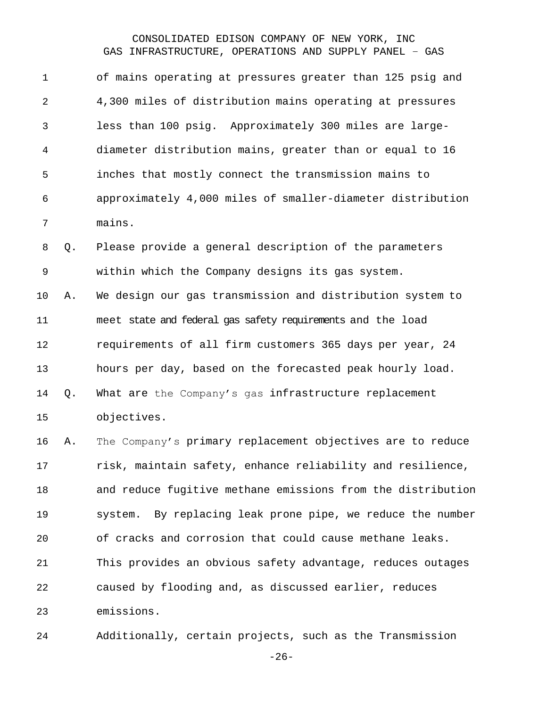of mains operating at pressures greater than 125 psig and 4,300 miles of distribution mains operating at pressures less than 100 psig. Approximately 300 miles are large- diameter distribution mains, greater than or equal to 16 inches that mostly connect the transmission mains to approximately 4,000 miles of smaller-diameter distribution mains. Q. Please provide a general description of the parameters within which the Company designs its gas system. A. We design our gas transmission and distribution system to meet state and federal gas safety requirements and the load requirements of all firm customers 365 days per year, 24 hours per day, based on the forecasted peak hourly load. Q. What are the Company's gas infrastructure replacement objectives. A. The Company's primary replacement objectives are to reduce risk, maintain safety, enhance reliability and resilience, and reduce fugitive methane emissions from the distribution system. By replacing leak prone pipe, we reduce the number of cracks and corrosion that could cause methane leaks. This provides an obvious safety advantage, reduces outages caused by flooding and, as discussed earlier, reduces emissions.

Additionally, certain projects, such as the Transmission

-26-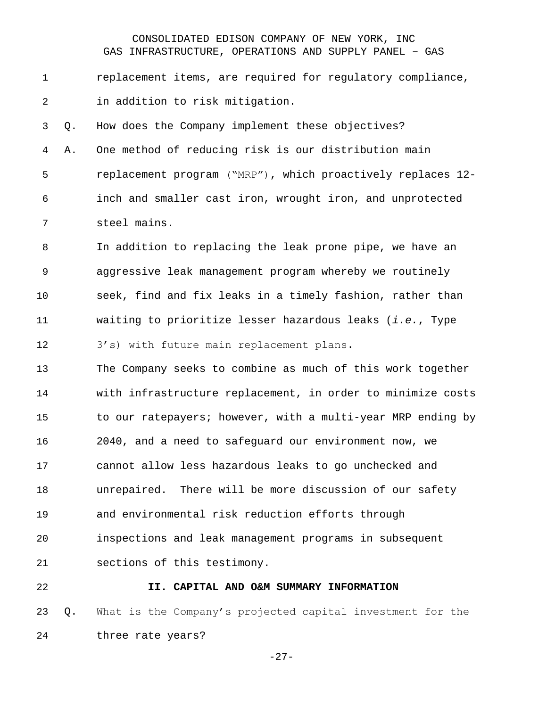replacement items, are required for regulatory compliance, in addition to risk mitigation.

 Q. How does the Company implement these objectives? A. One method of reducing risk is our distribution main replacement program ("MRP"), which proactively replaces 12- inch and smaller cast iron, wrought iron, and unprotected steel mains.

 In addition to replacing the leak prone pipe, we have an aggressive leak management program whereby we routinely seek, find and fix leaks in a timely fashion, rather than waiting to prioritize lesser hazardous leaks (*i.e.*, Type 3's) with future main replacement plans.

 The Company seeks to combine as much of this work together with infrastructure replacement, in order to minimize costs to our ratepayers; however, with a multi-year MRP ending by 2040, and a need to safeguard our environment now, we cannot allow less hazardous leaks to go unchecked and unrepaired. There will be more discussion of our safety and environmental risk reduction efforts through inspections and leak management programs in subsequent sections of this testimony.

#### <span id="page-26-0"></span>**II. CAPITAL AND O&M SUMMARY INFORMATION**

 Q. What is the Company's projected capital investment for the three rate years?

-27-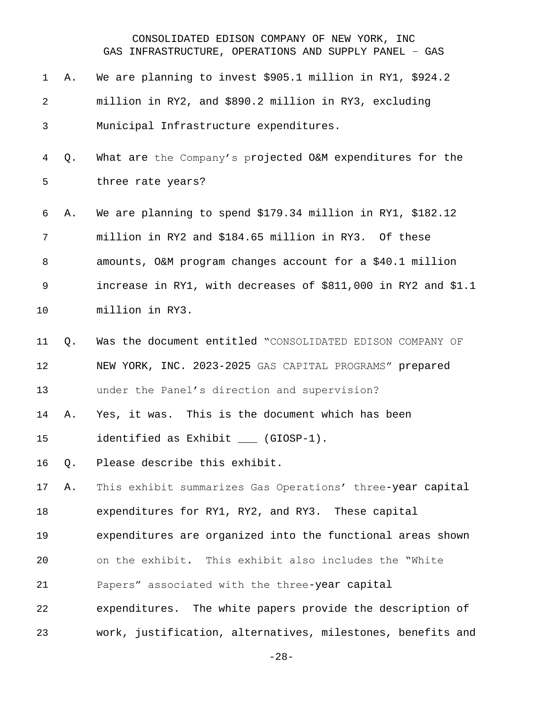| 1              | Α.    | We are planning to invest \$905.1 million in RY1, \$924.2     |
|----------------|-------|---------------------------------------------------------------|
| $\overline{2}$ |       | million in RY2, and \$890.2 million in RY3, excluding         |
| 3              |       | Municipal Infrastructure expenditures.                        |
| 4              | Q.    | What are the Company's projected O&M expenditures for the     |
| 5              |       | three rate years?                                             |
| 6              | Α.    | We are planning to spend \$179.34 million in RY1, \$182.12    |
| 7              |       | million in RY2 and \$184.65 million in RY3. Of these          |
| 8              |       | amounts, O&M program changes account for a \$40.1 million     |
| 9              |       | increase in RY1, with decreases of \$811,000 in RY2 and \$1.1 |
| 10             |       | million in RY3.                                               |
| 11             | Q.    | Was the document entitled "CONSOLIDATED EDISON COMPANY OF     |
| 12             |       | NEW YORK, INC. 2023-2025 GAS CAPITAL PROGRAMS" prepared       |
| 13             |       | under the Panel's direction and supervision?                  |
| 14             | Α.    | Yes, it was. This is the document which has been              |
| 15             |       | identified as Exhibit ___ (GIOSP-1).                          |
|                | 16 Q. | Please describe this exhibit.                                 |
| 17             | Α.    | This exhibit summarizes Gas Operations' three-year capital    |
| 18             |       | expenditures for RY1, RY2, and RY3. These capital             |
| 19             |       | expenditures are organized into the functional areas shown    |
| 20             |       | on the exhibit. This exhibit also includes the "White         |
| 21             |       | Papers" associated with the three-year capital                |
| 22             |       | expenditures. The white papers provide the description of     |
| 23             |       | work, justification, alternatives, milestones, benefits and   |

-28-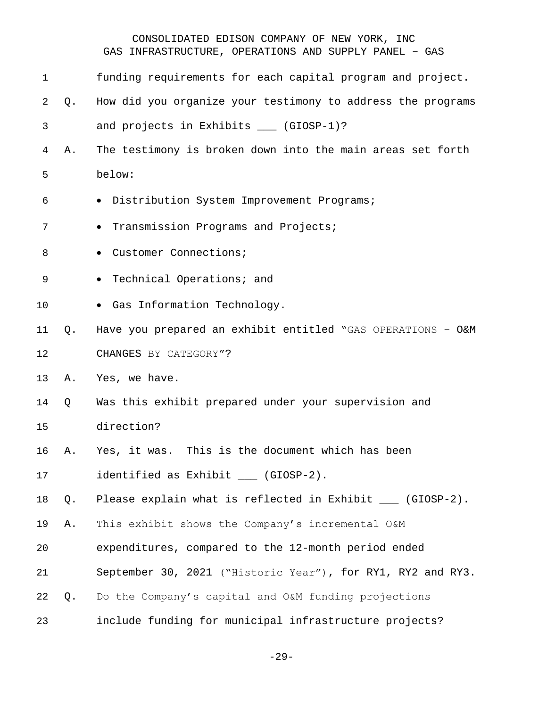| 1  |    | funding requirements for each capital program and project.  |
|----|----|-------------------------------------------------------------|
| 2  | Q. | How did you organize your testimony to address the programs |
| 3  |    | and projects in Exhibits ___ (GIOSP-1)?                     |
| 4  | Α. | The testimony is broken down into the main areas set forth  |
| 5  |    | below:                                                      |
| 6  |    | · Distribution System Improvement Programs;                 |
| 7  |    | Transmission Programs and Projects;<br>$\bullet$            |
| 8  |    | · Customer Connections;                                     |
| 9  |    | Technical Operations; and<br>$\bullet$                      |
| 10 |    | · Gas Information Technology.                               |
| 11 | Q. | Have you prepared an exhibit entitled "GAS OPERATIONS - O&M |
| 12 |    | CHANGES BY CATEGORY"?                                       |
| 13 | Α. | Yes, we have.                                               |
| 14 | Q  | Was this exhibit prepared under your supervision and        |
| 15 |    | direction?                                                  |
| 16 | Α. | Yes, it was. This is the document which has been            |
| 17 |    | identified as Exhibit ___ (GIOSP-2).                        |
| 18 | Q. | Please explain what is reflected in Exhibit ___ (GIOSP-2).  |
| 19 | Α. | This exhibit shows the Company's incremental O&M            |
| 20 |    | expenditures, compared to the 12-month period ended         |
| 21 |    | September 30, 2021 ("Historic Year"), for RY1, RY2 and RY3. |
| 22 | Q. | Do the Company's capital and O&M funding projections        |
| 23 |    | include funding for municipal infrastructure projects?      |

-29-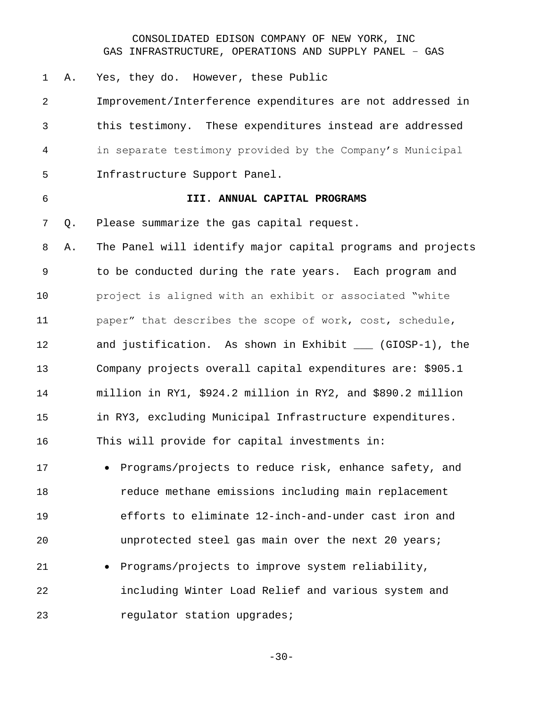A. Yes, they do. However, these Public

 Improvement/Interference expenditures are not addressed in this testimony. These expenditures instead are addressed in separate testimony provided by the Company's Municipal Infrastructure Support Panel.

#### <span id="page-29-0"></span>**III. ANNUAL CAPITAL PROGRAMS**

Q. Please summarize the gas capital request.

 A. The Panel will identify major capital programs and projects to be conducted during the rate years. Each program and project is aligned with an exhibit or associated "white paper" that describes the scope of work, cost, schedule, and justification. As shown in Exhibit \_\_\_ (GIOSP-1), the Company projects overall capital expenditures are: \$905.1 million in RY1, \$924.2 million in RY2, and \$890.2 million in RY3, excluding Municipal Infrastructure expenditures. This will provide for capital investments in:

 • Programs/projects to reduce risk, enhance safety, and reduce methane emissions including main replacement efforts to eliminate 12-inch-and-under cast iron and unprotected steel gas main over the next 20 years; • Programs/projects to improve system reliability,

 including Winter Load Relief and various system and **regulator** station upgrades;

-30-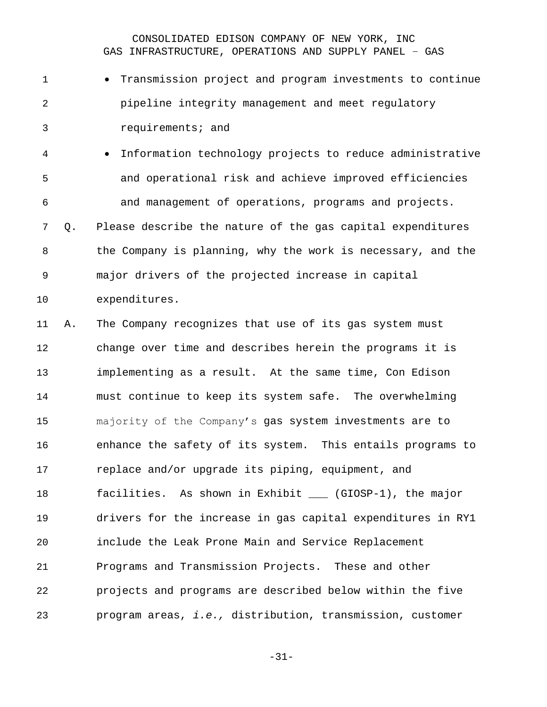- Transmission project and program investments to continue pipeline integrity management and meet regulatory requirements; and
- Information technology projects to reduce administrative and operational risk and achieve improved efficiencies and management of operations, programs and projects.

 Q. Please describe the nature of the gas capital expenditures the Company is planning, why the work is necessary, and the major drivers of the projected increase in capital

expenditures.

 A. The Company recognizes that use of its gas system must change over time and describes herein the programs it is implementing as a result. At the same time, Con Edison must continue to keep its system safe. The overwhelming majority of the Company's gas system investments are to enhance the safety of its system. This entails programs to replace and/or upgrade its piping, equipment, and facilities. As shown in Exhibit \_\_\_ (GIOSP-1), the major drivers for the increase in gas capital expenditures in RY1 include the Leak Prone Main and Service Replacement Programs and Transmission Projects. These and other projects and programs are described below within the five program areas, *i.e.,* distribution, transmission, customer

-31-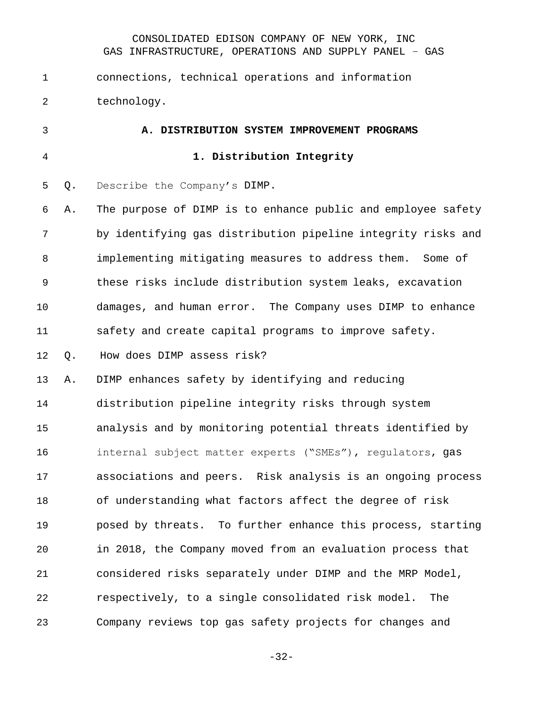connections, technical operations and information technology.

<span id="page-31-1"></span><span id="page-31-0"></span> **A. DISTRIBUTION SYSTEM IMPROVEMENT PROGRAMS 1. Distribution Integrity** Q. Describe the Company's DIMP. A. The purpose of DIMP is to enhance public and employee safety by identifying gas distribution pipeline integrity risks and implementing mitigating measures to address them. Some of these risks include distribution system leaks, excavation damages, and human error. The Company uses DIMP to enhance safety and create capital programs to improve safety. Q. How does DIMP assess risk? A. DIMP enhances safety by identifying and reducing distribution pipeline integrity risks through system analysis and by monitoring potential threats identified by internal subject matter experts ("SMEs"), regulators, gas associations and peers. Risk analysis is an ongoing process of understanding what factors affect the degree of risk posed by threats. To further enhance this process, starting in 2018, the Company moved from an evaluation process that considered risks separately under DIMP and the MRP Model, respectively, to a single consolidated risk model. The Company reviews top gas safety projects for changes and

-32-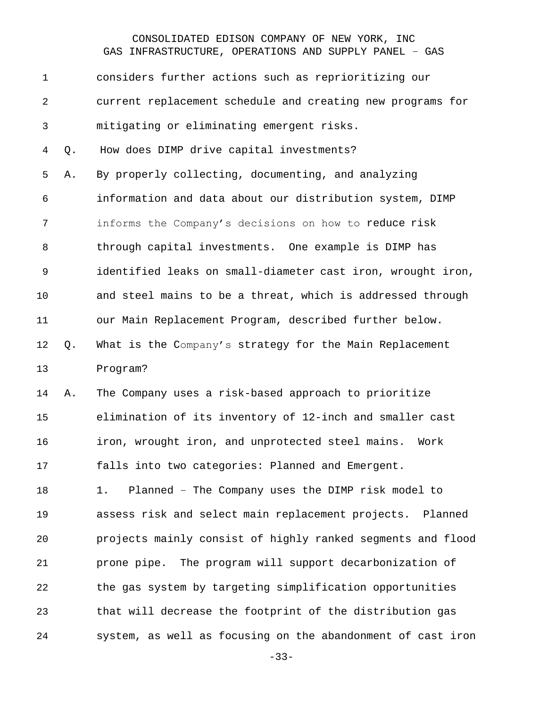considers further actions such as reprioritizing our current replacement schedule and creating new programs for mitigating or eliminating emergent risks. Q. How does DIMP drive capital investments? A. By properly collecting, documenting, and analyzing information and data about our distribution system, DIMP informs the Company's decisions on how to reduce risk through capital investments. One example is DIMP has identified leaks on small-diameter cast iron, wrought iron, and steel mains to be a threat, which is addressed through our Main Replacement Program, described further below. Q. What is the Company's strategy for the Main Replacement Program? A. The Company uses a risk-based approach to prioritize elimination of its inventory of 12-inch and smaller cast iron, wrought iron, and unprotected steel mains. Work

falls into two categories: Planned and Emergent.

 1. Planned – The Company uses the DIMP risk model to assess risk and select main replacement projects. Planned projects mainly consist of highly ranked segments and flood prone pipe. The program will support decarbonization of the gas system by targeting simplification opportunities that will decrease the footprint of the distribution gas system, as well as focusing on the abandonment of cast iron

-33-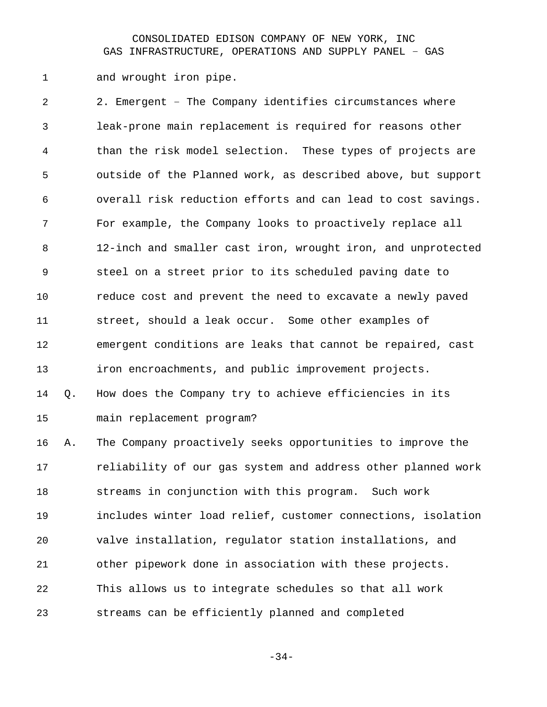1 and wrought iron pipe.

 2. Emergent – The Company identifies circumstances where leak-prone main replacement is required for reasons other than the risk model selection. These types of projects are outside of the Planned work, as described above, but support overall risk reduction efforts and can lead to cost savings. For example, the Company looks to proactively replace all 12-inch and smaller cast iron, wrought iron, and unprotected steel on a street prior to its scheduled paving date to reduce cost and prevent the need to excavate a newly paved street, should a leak occur. Some other examples of emergent conditions are leaks that cannot be repaired, cast iron encroachments, and public improvement projects. Q. How does the Company try to achieve efficiencies in its main replacement program? A. The Company proactively seeks opportunities to improve the

 reliability of our gas system and address other planned work streams in conjunction with this program. Such work includes winter load relief, customer connections, isolation valve installation, regulator station installations, and other pipework done in association with these projects. This allows us to integrate schedules so that all work streams can be efficiently planned and completed

-34-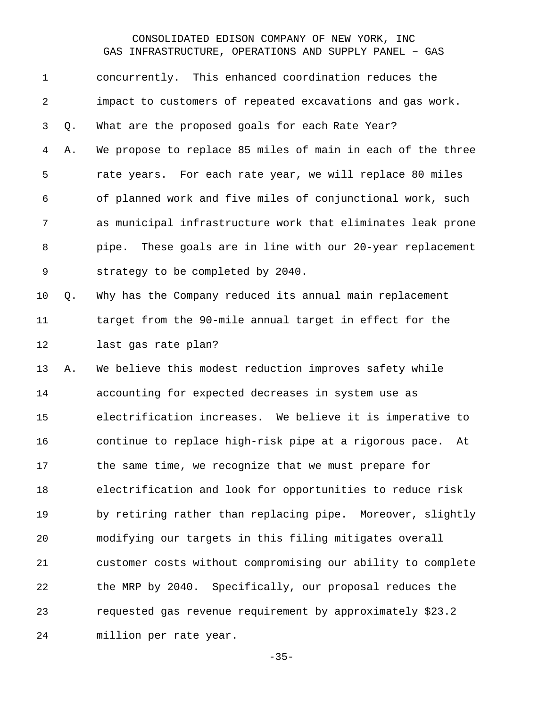concurrently. This enhanced coordination reduces the impact to customers of repeated excavations and gas work. Q. What are the proposed goals for each Rate Year? A. We propose to replace 85 miles of main in each of the three rate years. For each rate year, we will replace 80 miles of planned work and five miles of conjunctional work, such as municipal infrastructure work that eliminates leak prone pipe. These goals are in line with our 20-year replacement strategy to be completed by 2040.

 Q. Why has the Company reduced its annual main replacement target from the 90-mile annual target in effect for the last gas rate plan?

 A. We believe this modest reduction improves safety while accounting for expected decreases in system use as electrification increases. We believe it is imperative to continue to replace high-risk pipe at a rigorous pace. At the same time, we recognize that we must prepare for electrification and look for opportunities to reduce risk 19 by retiring rather than replacing pipe. Moreover, slightly modifying our targets in this filing mitigates overall customer costs without compromising our ability to complete the MRP by 2040. Specifically, our proposal reduces the requested gas revenue requirement by approximately \$23.2 million per rate year.

-35-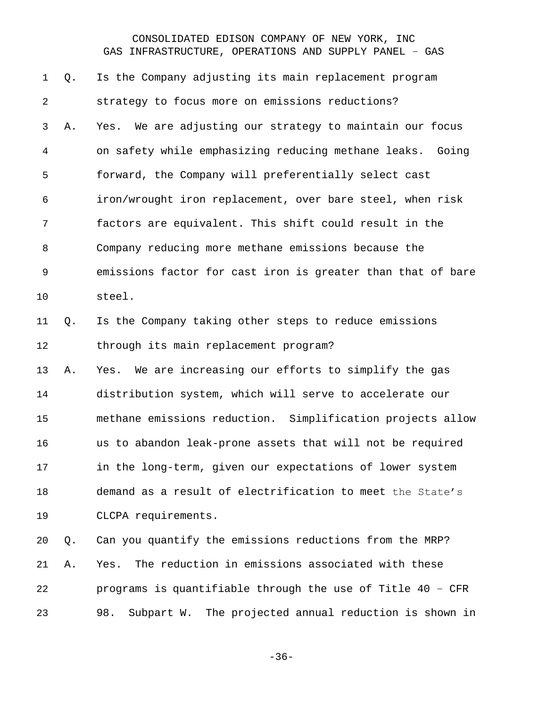Q. Is the Company adjusting its main replacement program strategy to focus more on emissions reductions? A. Yes. We are adjusting our strategy to maintain our focus on safety while emphasizing reducing methane leaks. Going forward, the Company will preferentially select cast iron/wrought iron replacement, over bare steel, when risk factors are equivalent. This shift could result in the Company reducing more methane emissions because the emissions factor for cast iron is greater than that of bare steel. Q. Is the Company taking other steps to reduce emissions through its main replacement program? A. Yes. We are increasing our efforts to simplify the gas distribution system, which will serve to accelerate our methane emissions reduction. Simplification projects allow us to abandon leak-prone assets that will not be required in the long-term, given our expectations of lower system demand as a result of electrification to meet the State's CLCPA requirements. Q. Can you quantify the emissions reductions from the MRP? A. Yes. The reduction in emissions associated with these programs is quantifiable through the use of Title 40 – CFR

98. Subpart W. The projected annual reduction is shown in

-36-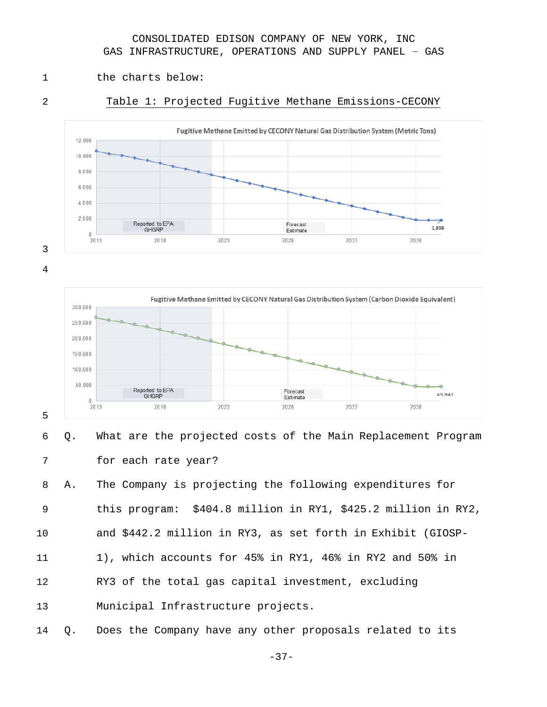- 1 the charts below:
- 

#### Table 1: Projected Fugitive Methane Emissions-CECONY





#### 

 Q. What are the projected costs of the Main Replacement Program for each rate year?

 A. The Company is projecting the following expenditures for this program: \$404.8 million in RY1, \$425.2 million in RY2, and \$442.2 million in RY3, as set forth in Exhibit (GIOSP-

- 1), which accounts for 45% in RY1, 46% in RY2 and 50% in
- RY3 of the total gas capital investment, excluding

Municipal Infrastructure projects.

Q. Does the Company have any other proposals related to its

-37-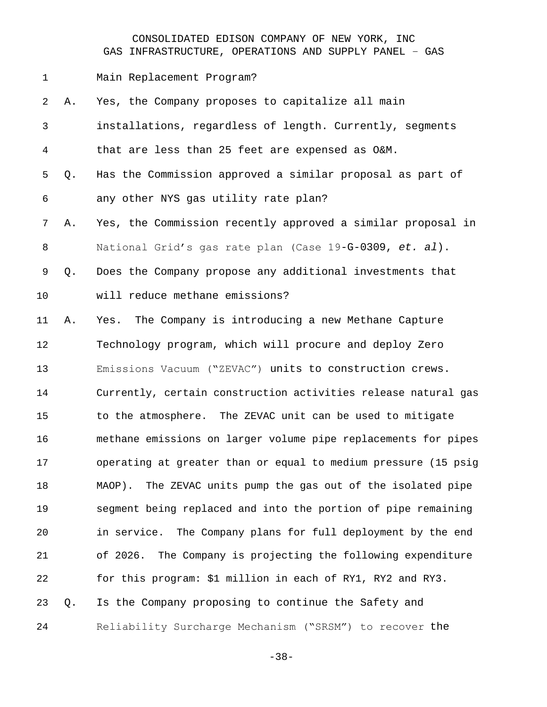Main Replacement Program?

| $\overline{2}$ | Α. | Yes, the Company proposes to capitalize all main                |
|----------------|----|-----------------------------------------------------------------|
| 3              |    | installations, regardless of length. Currently, segments        |
| 4              |    | that are less than 25 feet are expensed as O&M.                 |
| 5              | Q. | Has the Commission approved a similar proposal as part of       |
| 6              |    | any other NYS gas utility rate plan?                            |
| 7              | Α. | Yes, the Commission recently approved a similar proposal in     |
| 8              |    | National Grid's gas rate plan (Case 19-G-0309, et. al).         |
| 9              | Q. | Does the Company propose any additional investments that        |
| 10             |    | will reduce methane emissions?                                  |
| 11             | Α. | Yes. The Company is introducing a new Methane Capture           |
| 12             |    | Technology program, which will procure and deploy Zero          |
| 13             |    | Emissions Vacuum ("ZEVAC") units to construction crews.         |
| 14             |    | Currently, certain construction activities release natural gas  |
| 15             |    | to the atmosphere. The ZEVAC unit can be used to mitigate       |
| 16             |    | methane emissions on larger volume pipe replacements for pipes  |
| 17             |    | operating at greater than or equal to medium pressure (15 psig  |
| 18             |    | The ZEVAC units pump the gas out of the isolated pipe<br>MAOP). |
| 19             |    | segment being replaced and into the portion of pipe remaining   |
| 20             |    | in service. The Company plans for full deployment by the end    |
| 21             |    | The Company is projecting the following expenditure<br>of 2026. |
| 22             |    | for this program: \$1 million in each of RY1, RY2 and RY3.      |
| 23             | Q. | Is the Company proposing to continue the Safety and             |
| 24             |    | Reliability Surcharge Mechanism ("SRSM") to recover the         |

-38-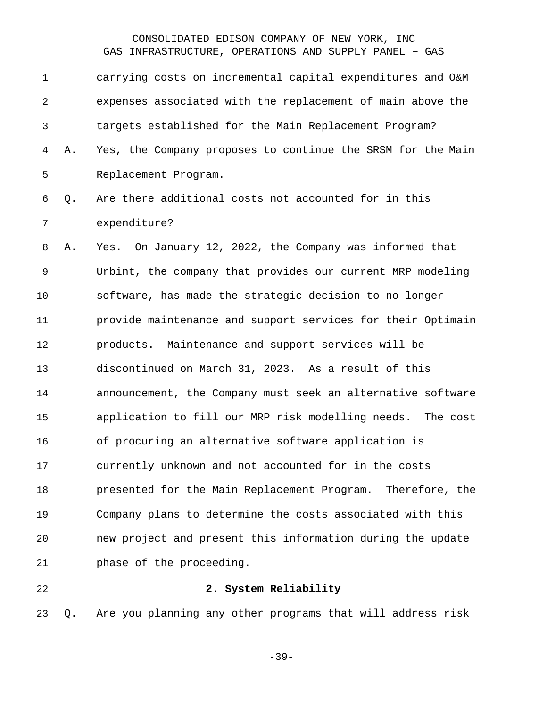carrying costs on incremental capital expenditures and O&M expenses associated with the replacement of main above the targets established for the Main Replacement Program? A. Yes, the Company proposes to continue the SRSM for the Main Replacement Program. Q. Are there additional costs not accounted for in this expenditure? A. Yes. On January 12, 2022, the Company was informed that Urbint, the company that provides our current MRP modeling software, has made the strategic decision to no longer provide maintenance and support services for their Optimain products. Maintenance and support services will be discontinued on March 31, 2023. As a result of this announcement, the Company must seek an alternative software application to fill our MRP risk modelling needs. The cost of procuring an alternative software application is currently unknown and not accounted for in the costs presented for the Main Replacement Program. Therefore, the Company plans to determine the costs associated with this new project and present this information during the update phase of the proceeding. **2. System Reliability**

Q. Are you planning any other programs that will address risk

-39-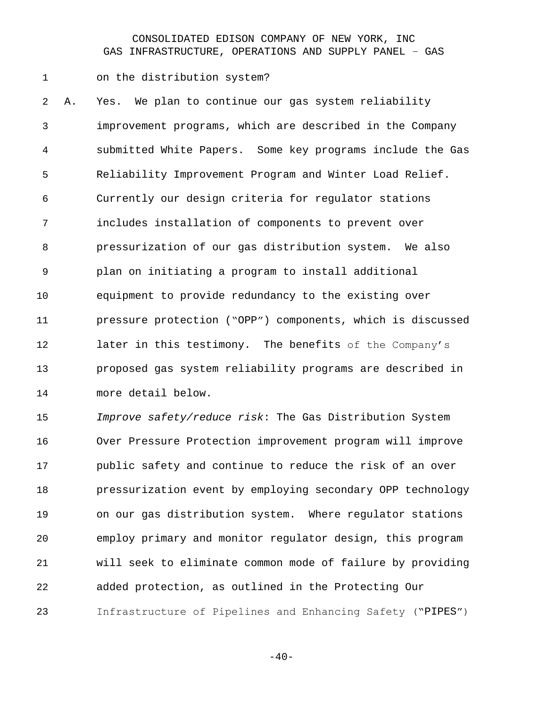on the distribution system?

 A. Yes. We plan to continue our gas system reliability improvement programs, which are described in the Company submitted White Papers. Some key programs include the Gas Reliability Improvement Program and Winter Load Relief. Currently our design criteria for regulator stations includes installation of components to prevent over pressurization of our gas distribution system. We also plan on initiating a program to install additional equipment to provide redundancy to the existing over pressure protection ("OPP") components, which is discussed 12 later in this testimony. The benefits of the Company's proposed gas system reliability programs are described in more detail below.

 *Improve safety/reduce risk*: The Gas Distribution System Over Pressure Protection improvement program will improve public safety and continue to reduce the risk of an over pressurization event by employing secondary OPP technology on our gas distribution system. Where regulator stations employ primary and monitor regulator design, this program will seek to eliminate common mode of failure by providing added protection, as outlined in the Protecting Our Infrastructure of Pipelines and Enhancing Safety ("PIPES")

 $-40-$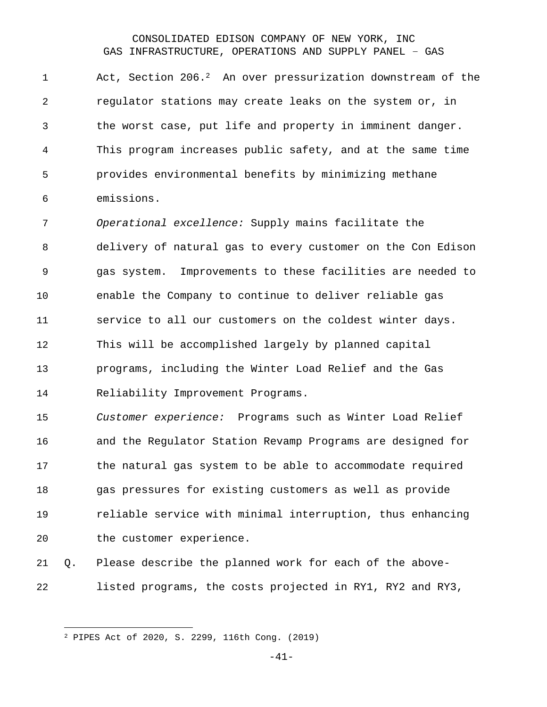1 Act, Section 206.<sup>2</sup> An over pressurization downstream of the regulator stations may create leaks on the system or, in the worst case, put life and property in imminent danger. This program increases public safety, and at the same time provides environmental benefits by minimizing methane emissions.

 *Operational excellence:* Supply mains facilitate the delivery of natural gas to every customer on the Con Edison gas system. Improvements to these facilities are needed to enable the Company to continue to deliver reliable gas service to all our customers on the coldest winter days. This will be accomplished largely by planned capital programs, including the Winter Load Relief and the Gas Reliability Improvement Programs.

 *Customer experience:* Programs such as Winter Load Relief and the Regulator Station Revamp Programs are designed for the natural gas system to be able to accommodate required gas pressures for existing customers as well as provide reliable service with minimal interruption, thus enhancing the customer experience.

 Q. Please describe the planned work for each of the above-listed programs, the costs projected in RY1, RY2 and RY3,

-41-

PIPES Act of 2020, S. 2299, 116th Cong. (2019)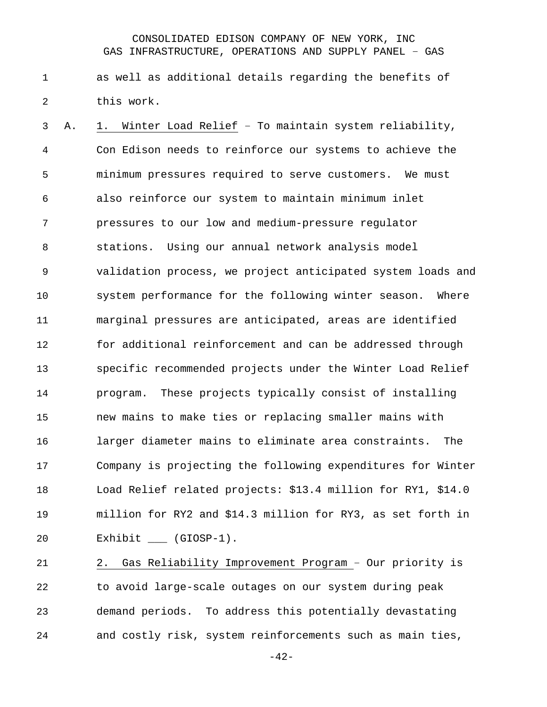as well as additional details regarding the benefits of this work.

 A. 1. Winter Load Relief – To maintain system reliability, Con Edison needs to reinforce our systems to achieve the minimum pressures required to serve customers. We must also reinforce our system to maintain minimum inlet pressures to our low and medium-pressure regulator stations. Using our annual network analysis model validation process, we project anticipated system loads and system performance for the following winter season. Where marginal pressures are anticipated, areas are identified for additional reinforcement and can be addressed through specific recommended projects under the Winter Load Relief program. These projects typically consist of installing new mains to make ties or replacing smaller mains with larger diameter mains to eliminate area constraints. The Company is projecting the following expenditures for Winter Load Relief related projects: \$13.4 million for RY1, \$14.0 million for RY2 and \$14.3 million for RY3, as set forth in 20 Exhibit \_\_\_ (GIOSP-1).

 2. Gas Reliability Improvement Program – Our priority is to avoid large-scale outages on our system during peak demand periods. To address this potentially devastating and costly risk, system reinforcements such as main ties,

-42-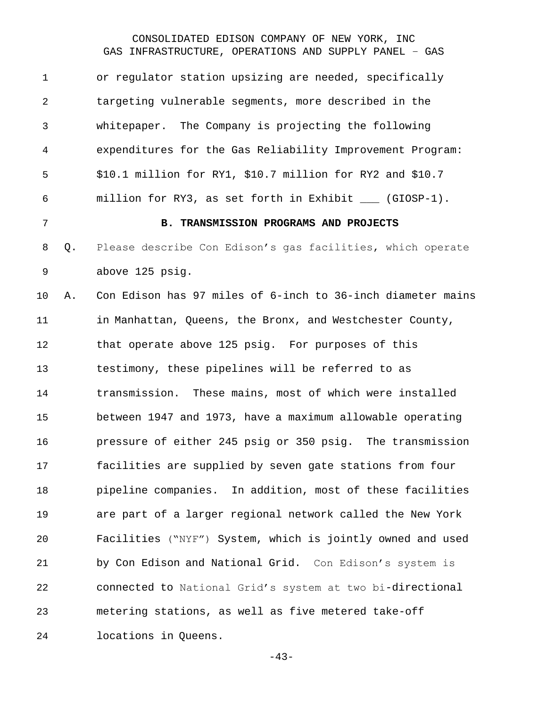or regulator station upsizing are needed, specifically targeting vulnerable segments, more described in the whitepaper. The Company is projecting the following expenditures for the Gas Reliability Improvement Program: \$10.1 million for RY1, \$10.7 million for RY2 and \$10.7 million for RY3, as set forth in Exhibit \_\_\_ (GIOSP-1). **B. TRANSMISSION PROGRAMS AND PROJECTS** Q. Please describe Con Edison's gas facilities, which operate above 125 psig. A. Con Edison has 97 miles of 6-inch to 36-inch diameter mains in Manhattan, Queens, the Bronx, and Westchester County, that operate above 125 psig. For purposes of this testimony, these pipelines will be referred to as transmission. These mains, most of which were installed between 1947 and 1973, have a maximum allowable operating pressure of either 245 psig or 350 psig. The transmission facilities are supplied by seven gate stations from four pipeline companies. In addition, most of these facilities are part of a larger regional network called the New York Facilities ("NYF") System, which is jointly owned and used by Con Edison and National Grid. Con Edison's system is connected to National Grid's system at two bi-directional metering stations, as well as five metered take-off locations in Queens.

-43-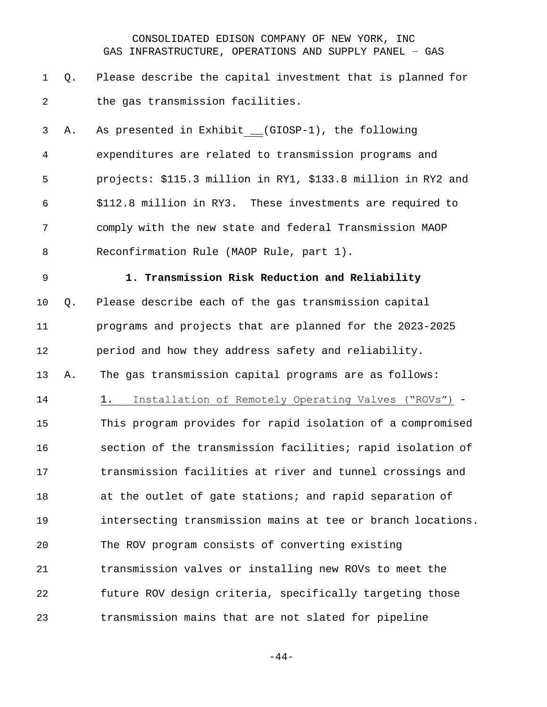- Q. Please describe the capital investment that is planned for 2 the gas transmission facilities.
- A. As presented in Exhibit \_\_(GIOSP-1), the following expenditures are related to transmission programs and projects: \$115.3 million in RY1, \$133.8 million in RY2 and \$112.8 million in RY3. These investments are required to comply with the new state and federal Transmission MAOP Reconfirmation Rule (MAOP Rule, part 1).
- 

#### **1. Transmission Risk Reduction and Reliability**

 Q. Please describe each of the gas transmission capital programs and projects that are planned for the 2023-2025 period and how they address safety and reliability. A. The gas transmission capital programs are as follows: 1. Installation of Remotely Operating Valves ("ROVs") - This program provides for rapid isolation of a compromised section of the transmission facilities; rapid isolation of transmission facilities at river and tunnel crossings and 18 at the outlet of gate stations; and rapid separation of intersecting transmission mains at tee or branch locations. The ROV program consists of converting existing

 transmission valves or installing new ROVs to meet the future ROV design criteria, specifically targeting those transmission mains that are not slated for pipeline

-44-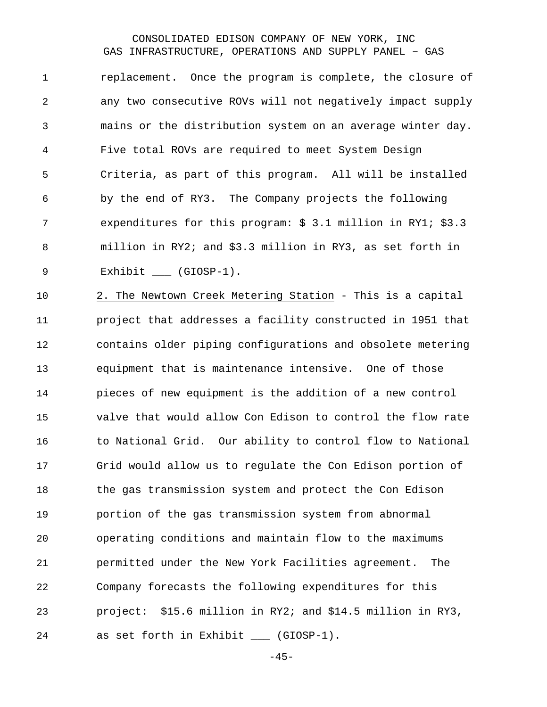replacement. Once the program is complete, the closure of any two consecutive ROVs will not negatively impact supply mains or the distribution system on an average winter day. Five total ROVs are required to meet System Design Criteria, as part of this program. All will be installed by the end of RY3. The Company projects the following expenditures for this program: \$ 3.1 million in RY1; \$3.3 million in RY2; and \$3.3 million in RY3, as set forth in 9 Exhibit (GIOSP-1).

 2. The Newtown Creek Metering Station - This is a capital project that addresses a facility constructed in 1951 that contains older piping configurations and obsolete metering equipment that is maintenance intensive. One of those pieces of new equipment is the addition of a new control valve that would allow Con Edison to control the flow rate to National Grid. Our ability to control flow to National Grid would allow us to regulate the Con Edison portion of the gas transmission system and protect the Con Edison portion of the gas transmission system from abnormal operating conditions and maintain flow to the maximums permitted under the New York Facilities agreement. The Company forecasts the following expenditures for this project: \$15.6 million in RY2; and \$14.5 million in RY3, as set forth in Exhibit \_\_\_ (GIOSP-1).

 $-45-$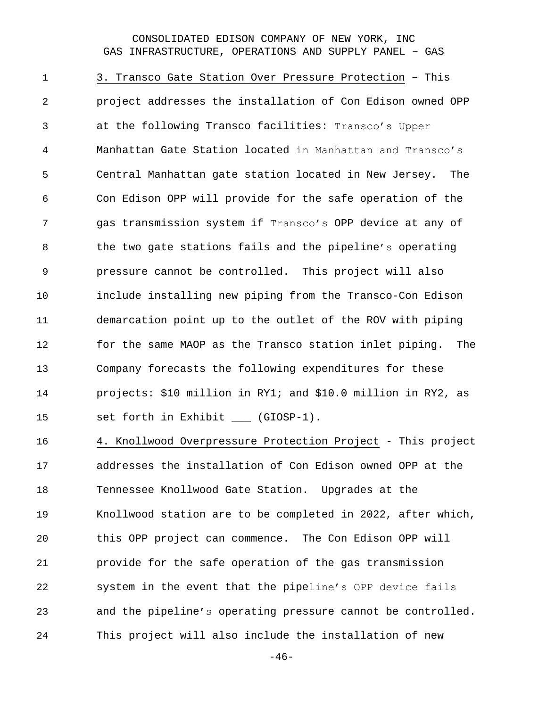3. Transco Gate Station Over Pressure Protection – This project addresses the installation of Con Edison owned OPP at the following Transco facilities: Transco's Upper Manhattan Gate Station located in Manhattan and Transco's Central Manhattan gate station located in New Jersey. The Con Edison OPP will provide for the safe operation of the gas transmission system if Transco's OPP device at any of the two gate stations fails and the pipeline's operating pressure cannot be controlled. This project will also include installing new piping from the Transco-Con Edison demarcation point up to the outlet of the ROV with piping for the same MAOP as the Transco station inlet piping. The Company forecasts the following expenditures for these projects: \$10 million in RY1; and \$10.0 million in RY2, as 15 set forth in Exhibit \_\_\_ (GIOSP-1).

 4. Knollwood Overpressure Protection Project - This project addresses the installation of Con Edison owned OPP at the Tennessee Knollwood Gate Station. Upgrades at the Knollwood station are to be completed in 2022, after which, this OPP project can commence. The Con Edison OPP will provide for the safe operation of the gas transmission system in the event that the pipeline's OPP device fails and the pipeline's operating pressure cannot be controlled. This project will also include the installation of new

 $-46-$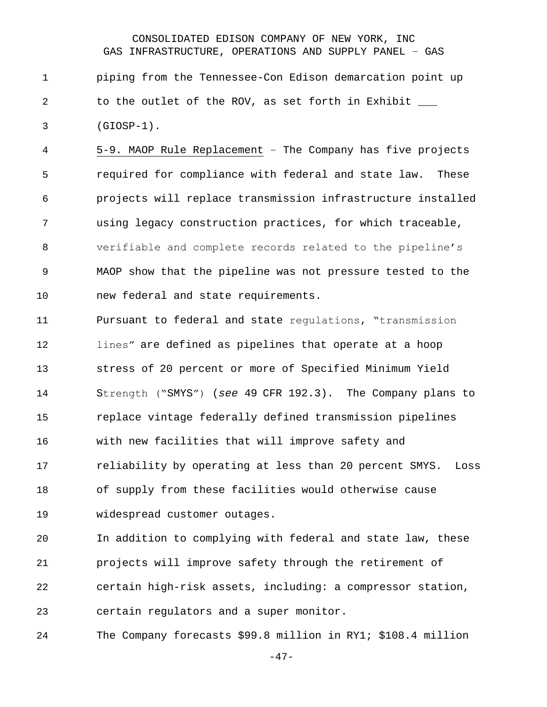piping from the Tennessee-Con Edison demarcation point up 2 to the outlet of the ROV, as set forth in Exhibit \_\_\_ (GIOSP-1).

 5-9. MAOP Rule Replacement – The Company has five projects required for compliance with federal and state law. These projects will replace transmission infrastructure installed using legacy construction practices, for which traceable, verifiable and complete records related to the pipeline's MAOP show that the pipeline was not pressure tested to the new federal and state requirements.

 Pursuant to federal and state regulations, "transmission lines" are defined as pipelines that operate at a hoop stress of 20 percent or more of Specified Minimum Yield Strength ("SMYS") (*see* 49 CFR 192.3). The Company plans to replace vintage federally defined transmission pipelines with new facilities that will improve safety and reliability by operating at less than 20 percent SMYS. Loss of supply from these facilities would otherwise cause widespread customer outages.

 In addition to complying with federal and state law, these projects will improve safety through the retirement of certain high-risk assets, including: a compressor station, certain regulators and a super monitor.

The Company forecasts \$99.8 million in RY1; \$108.4 million

-47-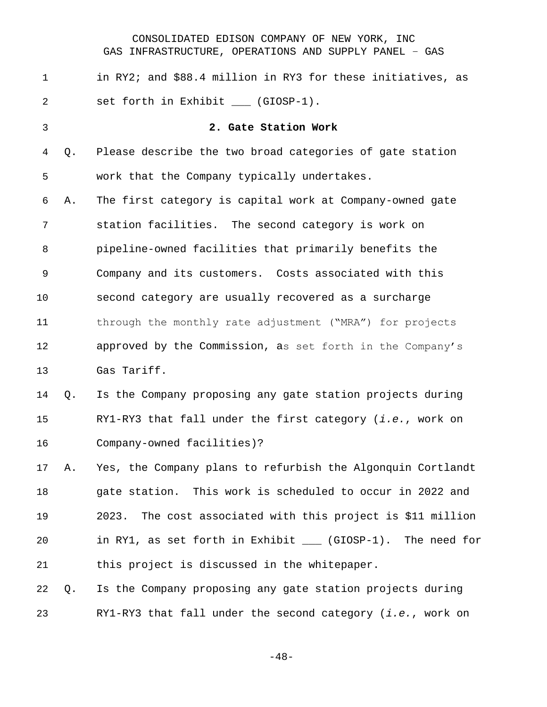| 1              |    | in RY2; and \$88.4 million in RY3 for these initiatives, as    |
|----------------|----|----------------------------------------------------------------|
| 2              |    | set forth in Exhibit ___ (GIOSP-1).                            |
| $\mathfrak{Z}$ |    | 2. Gate Station Work                                           |
| 4              | Q. | Please describe the two broad categories of gate station       |
| 5              |    | work that the Company typically undertakes.                    |
| 6              | Α. | The first category is capital work at Company-owned gate       |
| 7              |    | station facilities. The second category is work on             |
| 8              |    | pipeline-owned facilities that primarily benefits the          |
| $\mathsf 9$    |    | Company and its customers. Costs associated with this          |
| 10             |    | second category are usually recovered as a surcharge           |
| 11             |    | through the monthly rate adjustment ("MRA") for projects       |
| 12             |    | approved by the Commission, as set forth in the Company's      |
| 13             |    | Gas Tariff.                                                    |
| 14             | Q. | Is the Company proposing any gate station projects during      |
| 15             |    | RY1-RY3 that fall under the first category (i.e., work on      |
| 16             |    | Company-owned facilities)?                                     |
| 17             | Α. | Yes, the Company plans to refurbish the Algonquin Cortlandt    |
| 18             |    | gate station. This work is scheduled to occur in 2022 and      |
| 19             |    | The cost associated with this project is \$11 million<br>2023. |
| 20             |    | in RY1, as set forth in Exhibit ___ (GIOSP-1). The need for    |
| 21             |    | this project is discussed in the whitepaper.                   |
| 22             | Q. | Is the Company proposing any gate station projects during      |
| 23             |    | RY1-RY3 that fall under the second category (i.e., work on     |

-48-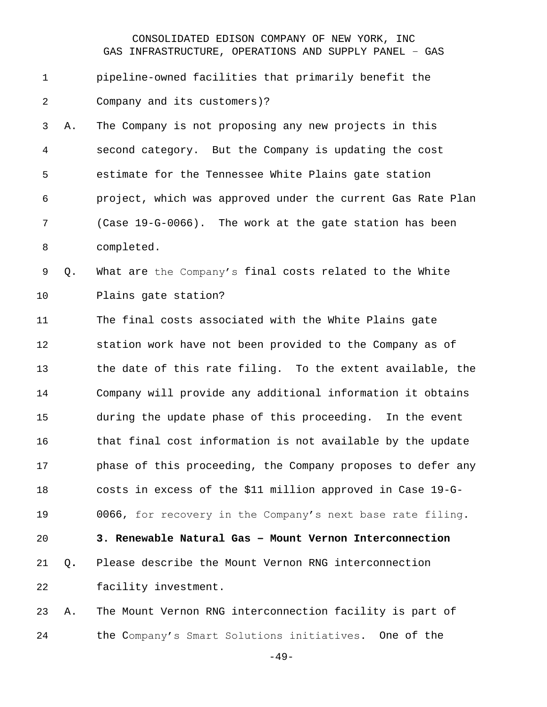# pipeline-owned facilities that primarily benefit the Company and its customers)?

 A. The Company is not proposing any new projects in this second category. But the Company is updating the cost estimate for the Tennessee White Plains gate station project, which was approved under the current Gas Rate Plan (Case 19-G-0066). The work at the gate station has been completed.

 Q. What are the Company's final costs related to the White Plains gate station?

 The final costs associated with the White Plains gate station work have not been provided to the Company as of the date of this rate filing. To the extent available, the Company will provide any additional information it obtains during the update phase of this proceeding. In the event that final cost information is not available by the update phase of this proceeding, the Company proposes to defer any costs in excess of the \$11 million approved in Case 19-G- 0066, for recovery in the Company's next base rate filing. **3. Renewable Natural Gas – Mount Vernon Interconnection** Q**.** Please describe the Mount Vernon RNG interconnection

facility investment.

 A. The Mount Vernon RNG interconnection facility is part of the Company's Smart Solutions initiatives. One of the

-49-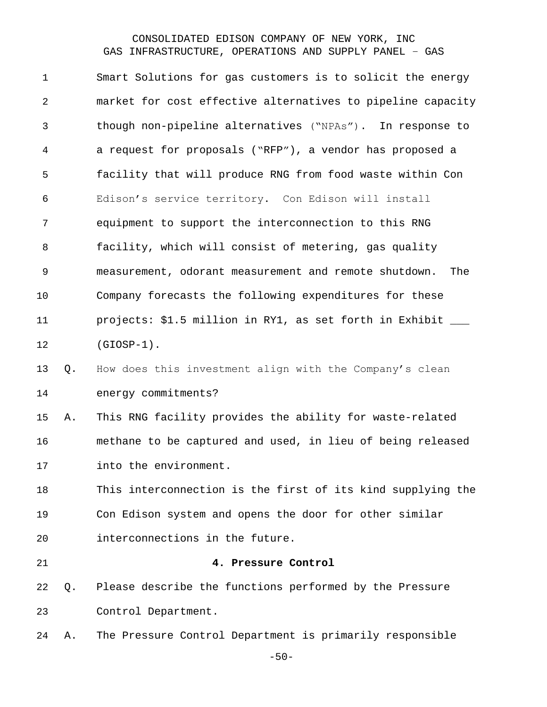| $\mathbf 1$    |    | Smart Solutions for gas customers is to solicit the energy   |
|----------------|----|--------------------------------------------------------------|
| $\overline{2}$ |    | market for cost effective alternatives to pipeline capacity  |
| 3              |    | though non-pipeline alternatives ("NPAs"). In response to    |
| 4              |    | a request for proposals ("RFP"), a vendor has proposed a     |
| 5              |    | facility that will produce RNG from food waste within Con    |
| 6              |    | Edison's service territory. Con Edison will install          |
| 7              |    | equipment to support the interconnection to this RNG         |
| 8              |    | facility, which will consist of metering, gas quality        |
| $\mathsf 9$    |    | measurement, odorant measurement and remote shutdown.<br>The |
| 10             |    | Company forecasts the following expenditures for these       |
| 11             |    | projects: \$1.5 million in RY1, as set forth in Exhibit      |
| 12             |    | $(GIOSP-1)$ .                                                |
| 13             | Q. | How does this investment align with the Company's clean      |
| 14             |    | energy commitments?                                          |
| 15             | Α. | This RNG facility provides the ability for waste-related     |
| 16             |    | methane to be captured and used, in lieu of being released   |
| 17             |    | into the environment.                                        |
| 18             |    | This interconnection is the first of its kind supplying the  |
| 19             |    | Con Edison system and opens the door for other similar       |
| 20             |    | interconnections in the future.                              |
| 21             |    | 4. Pressure Control                                          |
| 22             | Q. | Please describe the functions performed by the Pressure      |
| 23             |    | Control Department.                                          |
| 24             | Α. | The Pressure Control Department is primarily responsible     |

-50-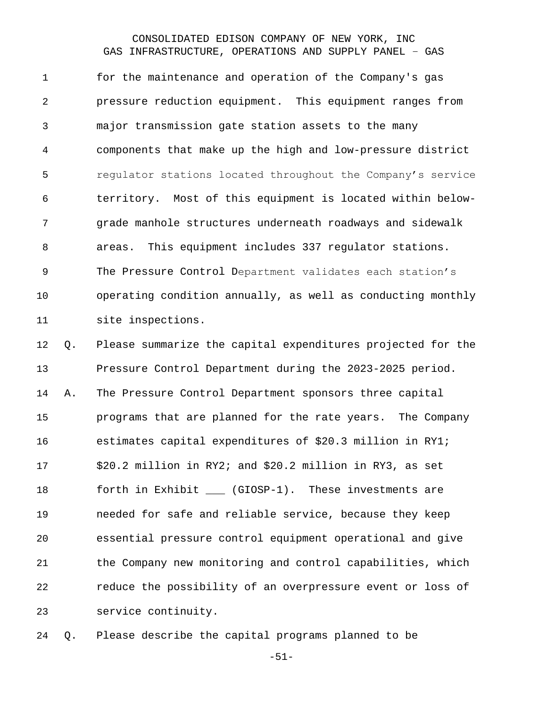for the maintenance and operation of the Company's gas pressure reduction equipment. This equipment ranges from major transmission gate station assets to the many components that make up the high and low-pressure district regulator stations located throughout the Company's service territory. Most of this equipment is located within below- grade manhole structures underneath roadways and sidewalk areas. This equipment includes 337 regulator stations. The Pressure Control Department validates each station's operating condition annually, as well as conducting monthly site inspections.

 Q. Please summarize the capital expenditures projected for the Pressure Control Department during the 2023-2025 period. A. The Pressure Control Department sponsors three capital programs that are planned for the rate years. The Company estimates capital expenditures of \$20.3 million in RY1; \$20.2 million in RY2; and \$20.2 million in RY3, as set forth in Exhibit \_\_\_ (GIOSP-1). These investments are needed for safe and reliable service, because they keep essential pressure control equipment operational and give the Company new monitoring and control capabilities, which reduce the possibility of an overpressure event or loss of service continuity.

Q. Please describe the capital programs planned to be

-51-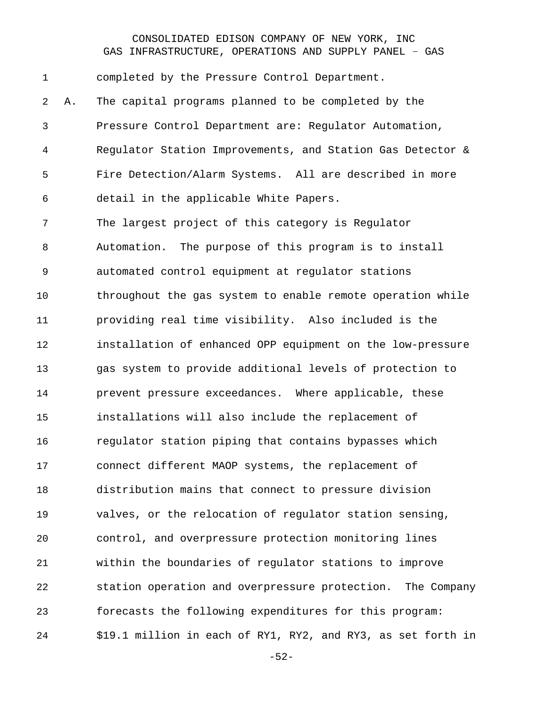completed by the Pressure Control Department. A. The capital programs planned to be completed by the Pressure Control Department are: Regulator Automation, Regulator Station Improvements, and Station Gas Detector & Fire Detection/Alarm Systems. All are described in more detail in the applicable White Papers. The largest project of this category is Regulator Automation. The purpose of this program is to install automated control equipment at regulator stations throughout the gas system to enable remote operation while providing real time visibility. Also included is the installation of enhanced OPP equipment on the low-pressure gas system to provide additional levels of protection to prevent pressure exceedances. Where applicable, these installations will also include the replacement of regulator station piping that contains bypasses which connect different MAOP systems, the replacement of distribution mains that connect to pressure division valves, or the relocation of regulator station sensing, control, and overpressure protection monitoring lines within the boundaries of regulator stations to improve station operation and overpressure protection. The Company forecasts the following expenditures for this program: \$19.1 million in each of RY1, RY2, and RY3, as set forth in

-52-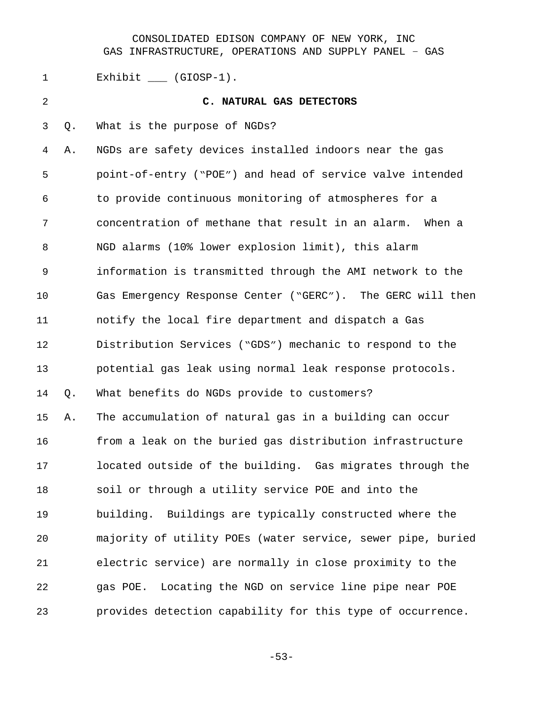1 Exhibit \_\_\_ (GIOSP-1). **C. NATURAL GAS DETECTORS** Q. What is the purpose of NGDs? A. NGDs are safety devices installed indoors near the gas point-of-entry ("POE") and head of service valve intended to provide continuous monitoring of atmospheres for a concentration of methane that result in an alarm. When a NGD alarms (10% lower explosion limit), this alarm information is transmitted through the AMI network to the Gas Emergency Response Center ("GERC"). The GERC will then notify the local fire department and dispatch a Gas Distribution Services ("GDS") mechanic to respond to the potential gas leak using normal leak response protocols. Q. What benefits do NGDs provide to customers? A. The accumulation of natural gas in a building can occur from a leak on the buried gas distribution infrastructure located outside of the building. Gas migrates through the soil or through a utility service POE and into the building. Buildings are typically constructed where the majority of utility POEs (water service, sewer pipe, buried electric service) are normally in close proximity to the gas POE. Locating the NGD on service line pipe near POE provides detection capability for this type of occurrence.

-53-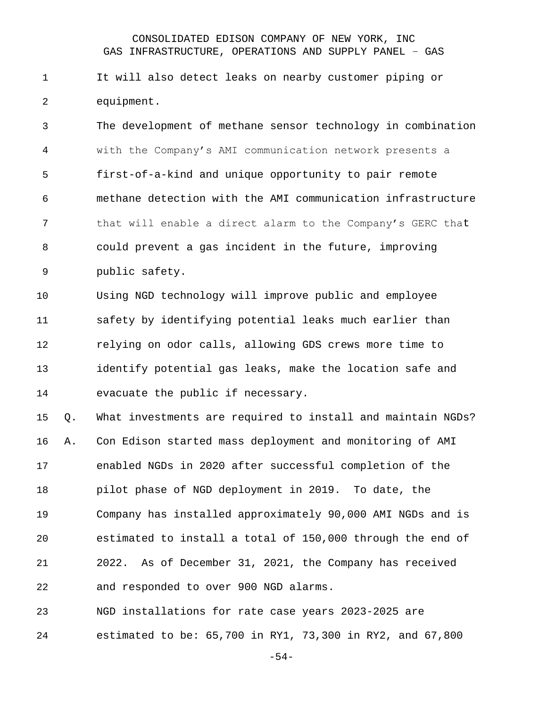It will also detect leaks on nearby customer piping or equipment.

 The development of methane sensor technology in combination with the Company's AMI communication network presents a first-of-a-kind and unique opportunity to pair remote methane detection with the AMI communication infrastructure that will enable a direct alarm to the Company's GERC that could prevent a gas incident in the future, improving public safety.

 Using NGD technology will improve public and employee safety by identifying potential leaks much earlier than relying on odor calls, allowing GDS crews more time to identify potential gas leaks, make the location safe and evacuate the public if necessary.

 Q. What investments are required to install and maintain NGDs? A. Con Edison started mass deployment and monitoring of AMI enabled NGDs in 2020 after successful completion of the pilot phase of NGD deployment in 2019. To date, the Company has installed approximately 90,000 AMI NGDs and is estimated to install a total of 150,000 through the end of 2022. As of December 31, 2021, the Company has received and responded to over 900 NGD alarms.

 NGD installations for rate case years 2023-2025 are estimated to be: 65,700 in RY1, 73,300 in RY2, and 67,800

-54-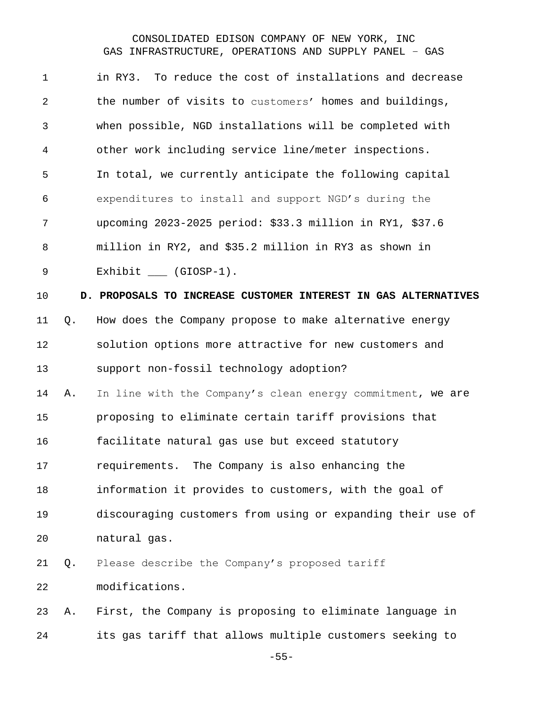| $\mathbf 1$    |    | in RY3. To reduce the cost of installations and decrease       |
|----------------|----|----------------------------------------------------------------|
| $\overline{2}$ |    | the number of visits to customers' homes and buildings,        |
| 3              |    | when possible, NGD installations will be completed with        |
| $\overline{4}$ |    | other work including service line/meter inspections.           |
| 5              |    | In total, we currently anticipate the following capital        |
| 6              |    | expenditures to install and support NGD's during the           |
| 7              |    | upcoming 2023-2025 period: \$33.3 million in RY1, \$37.6       |
| 8              |    | million in RY2, and \$35.2 million in RY3 as shown in          |
| 9              |    | Exhibit $(GIOSP-1)$ .                                          |
| 10             |    | D. PROPOSALS TO INCREASE CUSTOMER INTEREST IN GAS ALTERNATIVES |
| 11             | Q. | How does the Company propose to make alternative energy        |
| 12             |    | solution options more attractive for new customers and         |
| 13             |    | support non-fossil technology adoption?                        |
| 14             | Α. | In line with the Company's clean energy commitment, we are     |
| 15             |    | proposing to eliminate certain tariff provisions that          |
| 16             |    | facilitate natural gas use but exceed statutory                |
| 17             |    | The Company is also enhancing the<br>requirements.             |
| 18             |    | information it provides to customers, with the goal of         |
| 19             |    | discouraging customers from using or expanding their use of    |
| 20             |    | natural gas.                                                   |
| 21             | Q. | Please describe the Company's proposed tariff                  |
| 22             |    | modifications.                                                 |
| 23             | Α. | First, the Company is proposing to eliminate language in       |
| 24             |    | its gas tariff that allows multiple customers seeking to       |
|                |    |                                                                |

-55-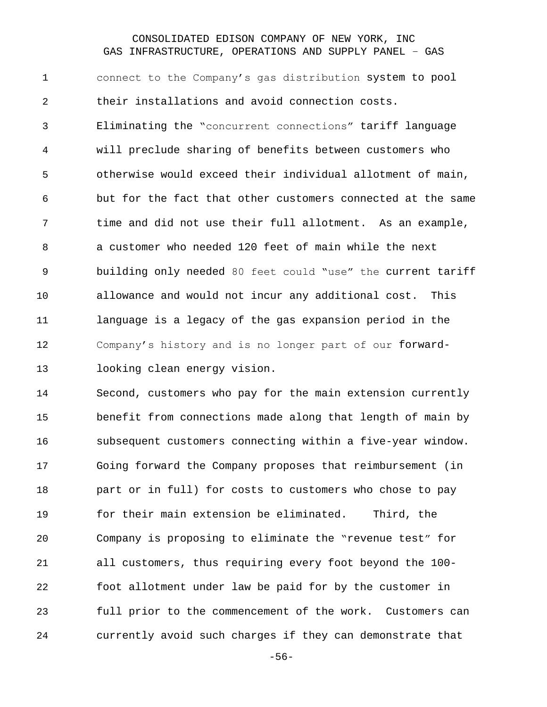connect to the Company's gas distribution system to pool their installations and avoid connection costs. Eliminating the "concurrent connections" tariff language will preclude sharing of benefits between customers who otherwise would exceed their individual allotment of main, but for the fact that other customers connected at the same time and did not use their full allotment. As an example, a customer who needed 120 feet of main while the next building only needed 80 feet could "use" the current tariff allowance and would not incur any additional cost. This language is a legacy of the gas expansion period in the Company's history and is no longer part of our forward-looking clean energy vision.

 Second, customers who pay for the main extension currently benefit from connections made along that length of main by subsequent customers connecting within a five-year window. Going forward the Company proposes that reimbursement (in part or in full) for costs to customers who chose to pay for their main extension be eliminated. Third, the Company is proposing to eliminate the "revenue test" for all customers, thus requiring every foot beyond the 100- foot allotment under law be paid for by the customer in full prior to the commencement of the work. Customers can currently avoid such charges if they can demonstrate that

-56-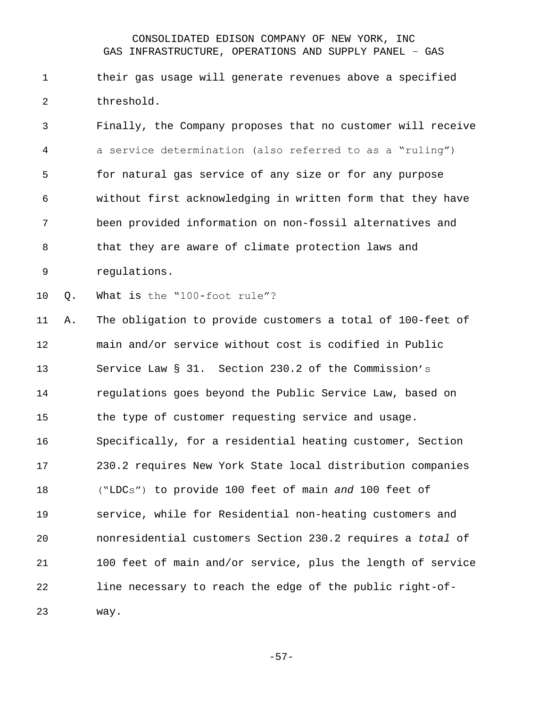their gas usage will generate revenues above a specified threshold.

 Finally, the Company proposes that no customer will receive a service determination (also referred to as a "ruling") for natural gas service of any size or for any purpose without first acknowledging in written form that they have been provided information on non-fossil alternatives and that they are aware of climate protection laws and regulations.

Q. What is the "100-foot rule"?

 A. The obligation to provide customers a total of 100-feet of main and/or service without cost is codified in Public Service Law § 31. Section 230.2 of the Commission's regulations goes beyond the Public Service Law, based on the type of customer requesting service and usage. Specifically, for a residential heating customer, Section 230.2 requires New York State local distribution companies ("LDCs") to provide 100 feet of main *and* 100 feet of service, while for Residential non-heating customers and nonresidential customers Section 230.2 requires a *total* of 100 feet of main and/or service, plus the length of service line necessary to reach the edge of the public right-of-way.

-57-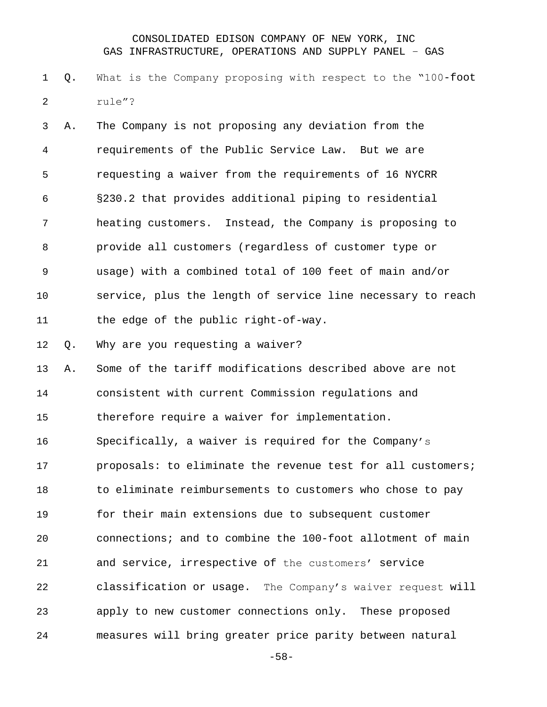Q. What is the Company proposing with respect to the "100-foot rule"?

 A. The Company is not proposing any deviation from the requirements of the Public Service Law. But we are requesting a waiver from the requirements of 16 NYCRR §230.2 that provides additional piping to residential heating customers. Instead, the Company is proposing to provide all customers (regardless of customer type or usage) with a combined total of 100 feet of main and/or service, plus the length of service line necessary to reach the edge of the public right-of-way. Q. Why are you requesting a waiver? A. Some of the tariff modifications described above are not consistent with current Commission regulations and therefore require a waiver for implementation. Specifically, a waiver is required for the Company's

 proposals: to eliminate the revenue test for all customers; to eliminate reimbursements to customers who chose to pay for their main extensions due to subsequent customer connections; and to combine the 100-foot allotment of main and service, irrespective of the customers' service classification or usage. The Company's waiver request will apply to new customer connections only. These proposed measures will bring greater price parity between natural

-58-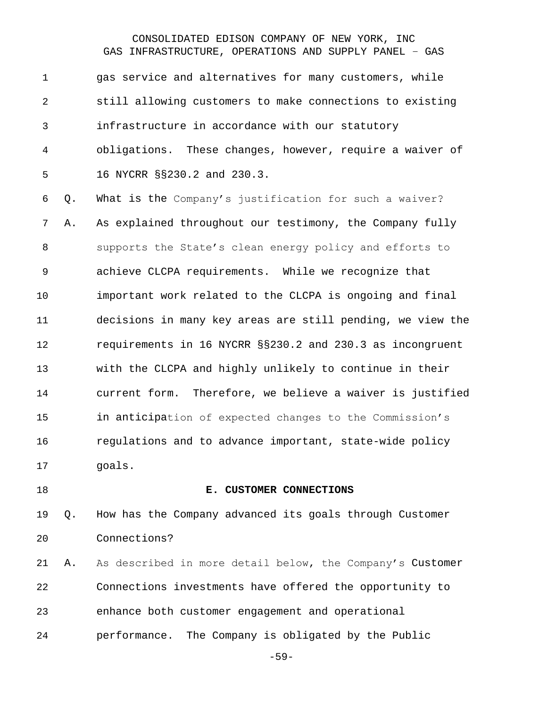gas service and alternatives for many customers, while still allowing customers to make connections to existing infrastructure in accordance with our statutory obligations. These changes, however, require a waiver of 16 NYCRR §§230.2 and 230.3.

 Q. What is the Company's justification for such a waiver? A. As explained throughout our testimony, the Company fully supports the State's clean energy policy and efforts to achieve CLCPA requirements. While we recognize that important work related to the CLCPA is ongoing and final decisions in many key areas are still pending, we view the requirements in 16 NYCRR §§230.2 and 230.3 as incongruent with the CLCPA and highly unlikely to continue in their current form. Therefore, we believe a waiver is justified in anticipation of expected changes to the Commission's regulations and to advance important, state-wide policy goals.

#### **E. CUSTOMER CONNECTIONS**

 Q. How has the Company advanced its goals through Customer Connections?

 A. As described in more detail below, the Company's Customer Connections investments have offered the opportunity to enhance both customer engagement and operational performance. The Company is obligated by the Public

-59-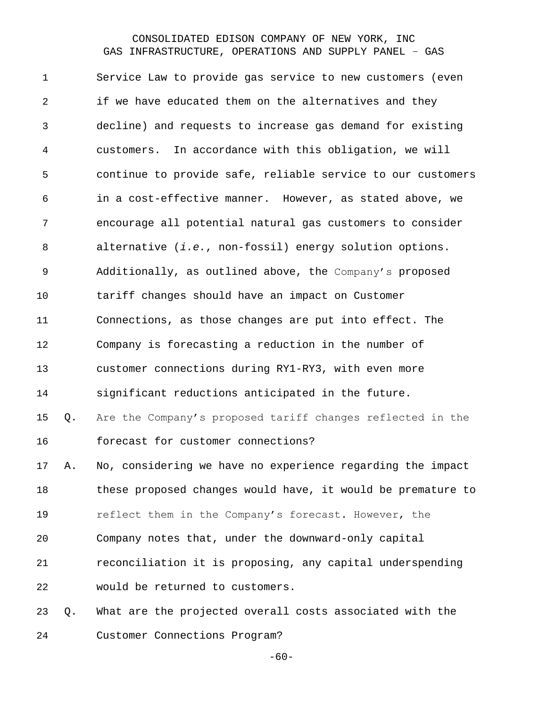Service Law to provide gas service to new customers (even if we have educated them on the alternatives and they decline) and requests to increase gas demand for existing customers. In accordance with this obligation, we will continue to provide safe, reliable service to our customers in a cost-effective manner. However, as stated above, we encourage all potential natural gas customers to consider alternative (*i.e.*, non-fossil) energy solution options. Additionally, as outlined above, the Company's proposed tariff changes should have an impact on Customer Connections, as those changes are put into effect. The Company is forecasting a reduction in the number of customer connections during RY1-RY3, with even more significant reductions anticipated in the future. Q. Are the Company's proposed tariff changes reflected in the forecast for customer connections? A. No, considering we have no experience regarding the impact these proposed changes would have, it would be premature to 19 reflect them in the Company's forecast. However, the Company notes that, under the downward-only capital reconciliation it is proposing, any capital underspending would be returned to customers. Q. What are the projected overall costs associated with the

Customer Connections Program?

 $-60-$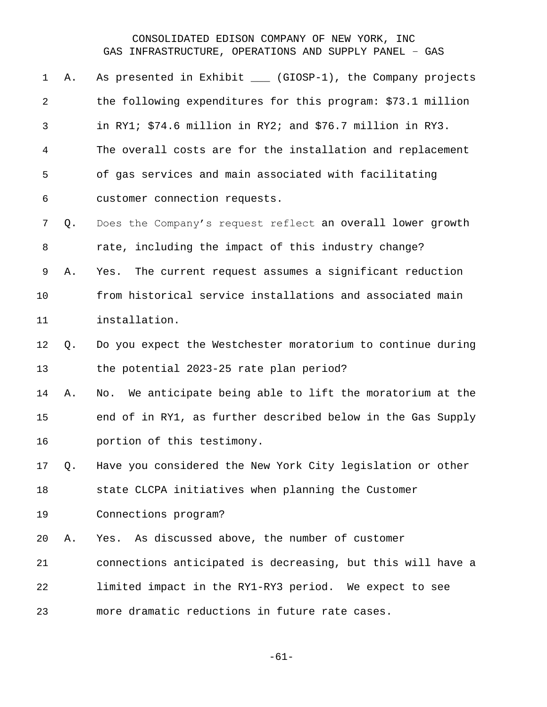| 1              | Α. | As presented in Exhibit ____ (GIOSP-1), the Company projects  |
|----------------|----|---------------------------------------------------------------|
| $\overline{2}$ |    | the following expenditures for this program: \$73.1 million   |
| 3              |    | in RY1; \$74.6 million in RY2; and \$76.7 million in RY3.     |
| 4              |    | The overall costs are for the installation and replacement    |
| 5              |    | of gas services and main associated with facilitating         |
| 6              |    | customer connection requests.                                 |
| 7              | Q. | Does the Company's request reflect an overall lower growth    |
| 8              |    | rate, including the impact of this industry change?           |
| 9              | Α. | The current request assumes a significant reduction<br>Yes.   |
| 10             |    | from historical service installations and associated main     |
| 11             |    | installation.                                                 |
| 12             | Q. | Do you expect the Westchester moratorium to continue during   |
| 13             |    | the potential 2023-25 rate plan period?                       |
| 14             | Α. | We anticipate being able to lift the moratorium at the<br>No. |
| 15             |    | end of in RY1, as further described below in the Gas Supply   |
| 16             |    | portion of this testimony.                                    |
| 17             | Q. | Have you considered the New York City legislation or other    |
| 18             |    | state CLCPA initiatives when planning the Customer            |
| 19             |    | Connections program?                                          |
| 20             | Α. | Yes. As discussed above, the number of customer               |
| 21             |    | connections anticipated is decreasing, but this will have a   |
| 22             |    | limited impact in the RY1-RY3 period. We expect to see        |
| 23             |    | more dramatic reductions in future rate cases.                |

-61-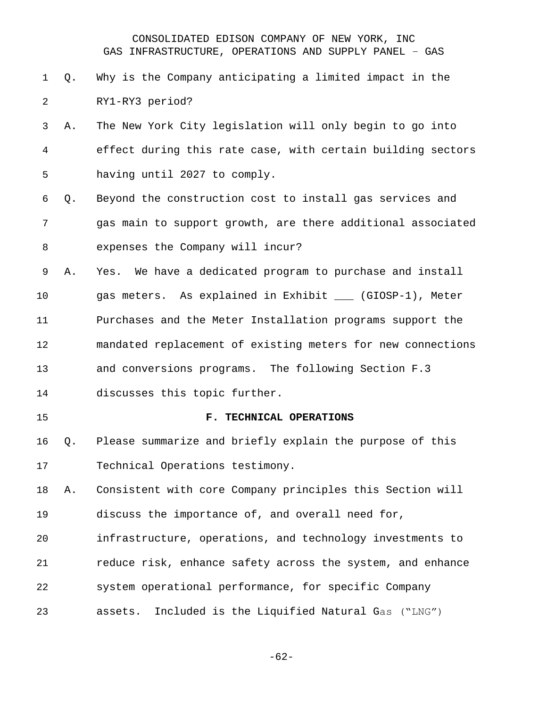- Q. Why is the Company anticipating a limited impact in the RY1-RY3 period?
- A. The New York City legislation will only begin to go into effect during this rate case, with certain building sectors having until 2027 to comply.
- Q. Beyond the construction cost to install gas services and gas main to support growth, are there additional associated expenses the Company will incur?
- A. Yes. We have a dedicated program to purchase and install 10 gas meters. As explained in Exhibit (GIOSP-1), Meter Purchases and the Meter Installation programs support the mandated replacement of existing meters for new connections and conversions programs. The following Section F.3 discusses this topic further.
- 

#### **F. TECHNICAL OPERATIONS**

 Q. Please summarize and briefly explain the purpose of this Technical Operations testimony.

 A. Consistent with core Company principles this Section will discuss the importance of, and overall need for,

 infrastructure, operations, and technology investments to reduce risk, enhance safety across the system, and enhance system operational performance, for specific Company assets. Included is the Liquified Natural Gas ("LNG")

-62-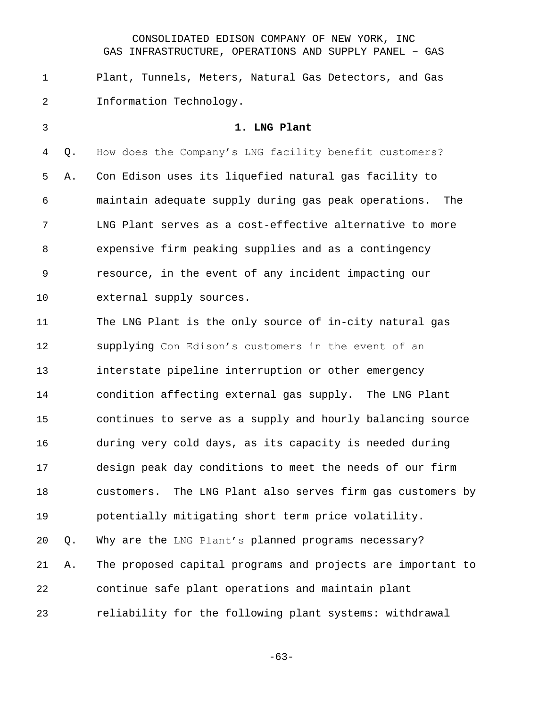Plant, Tunnels, Meters, Natural Gas Detectors, and Gas Information Technology.

 **1. LNG Plant** Q. How does the Company's LNG facility benefit customers? A. Con Edison uses its liquefied natural gas facility to maintain adequate supply during gas peak operations. The LNG Plant serves as a cost-effective alternative to more expensive firm peaking supplies and as a contingency resource, in the event of any incident impacting our external supply sources. The LNG Plant is the only source of in-city natural gas supplying Con Edison's customers in the event of an interstate pipeline interruption or other emergency condition affecting external gas supply. The LNG Plant continues to serve as a supply and hourly balancing source during very cold days, as its capacity is needed during design peak day conditions to meet the needs of our firm customers. The LNG Plant also serves firm gas customers by potentially mitigating short term price volatility. Q. Why are the LNG Plant's planned programs necessary? A. The proposed capital programs and projects are important to continue safe plant operations and maintain plant reliability for the following plant systems: withdrawal

-63-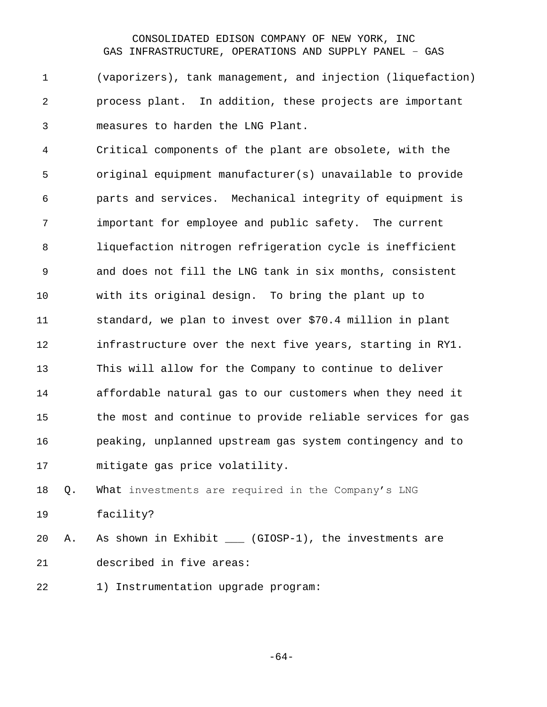(vaporizers), tank management, and injection (liquefaction) process plant. In addition, these projects are important measures to harden the LNG Plant.

 Critical components of the plant are obsolete, with the original equipment manufacturer(s) unavailable to provide parts and services. Mechanical integrity of equipment is important for employee and public safety. The current liquefaction nitrogen refrigeration cycle is inefficient and does not fill the LNG tank in six months, consistent with its original design. To bring the plant up to standard, we plan to invest over \$70.4 million in plant infrastructure over the next five years, starting in RY1. This will allow for the Company to continue to deliver affordable natural gas to our customers when they need it the most and continue to provide reliable services for gas peaking, unplanned upstream gas system contingency and to mitigate gas price volatility.

 Q. What investments are required in the Company's LNG facility?

20 A. As shown in Exhibit \_\_\_ (GIOSP-1), the investments are described in five areas:

22 1) Instrumentation upgrade program:

-64-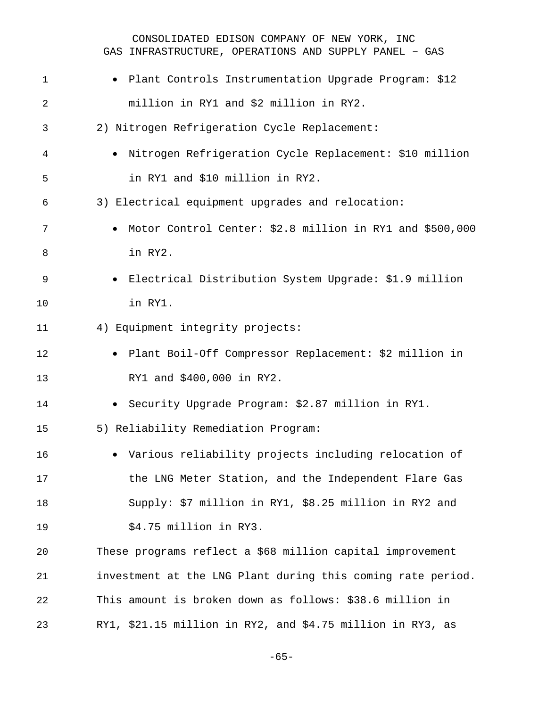| $\mathbf 1$    | · Plant Controls Instrumentation Upgrade Program: \$12      |
|----------------|-------------------------------------------------------------|
| $\overline{2}$ | million in RY1 and \$2 million in RY2.                      |
| 3              | 2) Nitrogen Refrigeration Cycle Replacement:                |
| 4              | · Nitrogen Refrigeration Cycle Replacement: \$10 million    |
| 5              | in RY1 and \$10 million in RY2.                             |
| 6              | 3) Electrical equipment upgrades and relocation:            |
| 7              | • Motor Control Center: \$2.8 million in RY1 and \$500,000  |
| 8              | in RY2.                                                     |
| $\mathsf 9$    | · Electrical Distribution System Upgrade: \$1.9 million     |
| 10             | in RY1.                                                     |
| 11             | 4) Equipment integrity projects:                            |
| 12             | • Plant Boil-Off Compressor Replacement: \$2 million in     |
| 13             | RY1 and \$400,000 in RY2.                                   |
| 14             | · Security Upgrade Program: \$2.87 million in RY1.          |
| 15             | 5) Reliability Remediation Program:                         |
| 16             | • Various reliability projects including relocation of      |
| 17             | the LNG Meter Station, and the Independent Flare Gas        |
| 18             | Supply: \$7 million in RY1, \$8.25 million in RY2 and       |
| 19             | \$4.75 million in RY3.                                      |
| 20             | These programs reflect a \$68 million capital improvement   |
| 21             | investment at the LNG Plant during this coming rate period. |
| 22             | This amount is broken down as follows: \$38.6 million in    |
| 23             | RY1, \$21.15 million in RY2, and \$4.75 million in RY3, as  |

-65-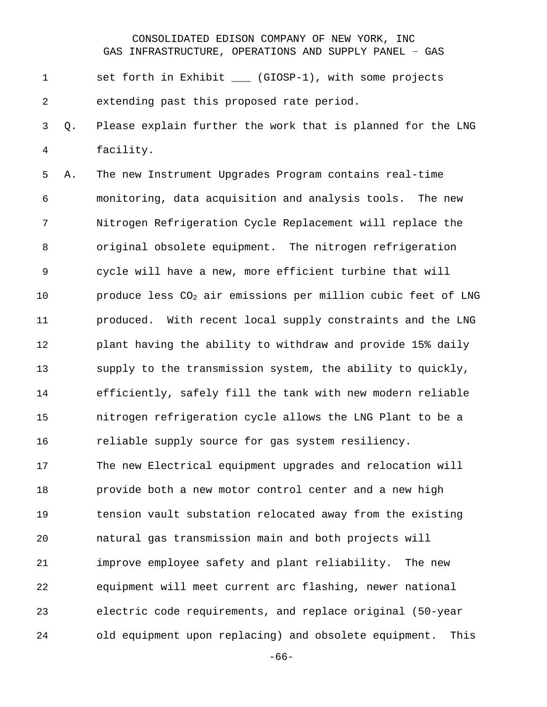1 set forth in Exhibit \_\_\_ (GIOSP-1), with some projects extending past this proposed rate period.

 Q. Please explain further the work that is planned for the LNG facility.

 A. The new Instrument Upgrades Program contains real-time monitoring, data acquisition and analysis tools. The new Nitrogen Refrigeration Cycle Replacement will replace the original obsolete equipment. The nitrogen refrigeration cycle will have a new, more efficient turbine that will  $p$  produce less  $CO<sub>2</sub>$  air emissions per million cubic feet of LNG produced. With recent local supply constraints and the LNG plant having the ability to withdraw and provide 15% daily supply to the transmission system, the ability to quickly, efficiently, safely fill the tank with new modern reliable nitrogen refrigeration cycle allows the LNG Plant to be a reliable supply source for gas system resiliency. The new Electrical equipment upgrades and relocation will provide both a new motor control center and a new high tension vault substation relocated away from the existing natural gas transmission main and both projects will improve employee safety and plant reliability. The new equipment will meet current arc flashing, newer national electric code requirements, and replace original (50-year old equipment upon replacing) and obsolete equipment. This

-66-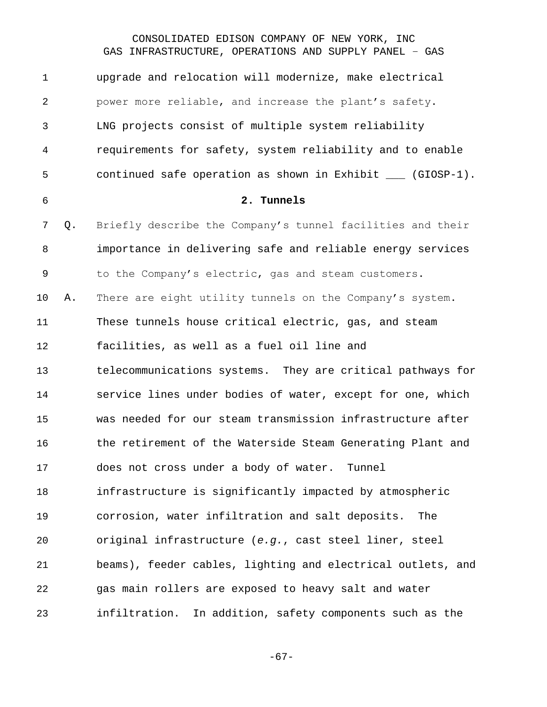| $\mathbf 1$    |    | upgrade and relocation will modernize, make electrical             |
|----------------|----|--------------------------------------------------------------------|
| $\overline{2}$ |    | power more reliable, and increase the plant's safety.              |
| 3              |    | LNG projects consist of multiple system reliability                |
| 4              |    | requirements for safety, system reliability and to enable          |
| 5              |    | continued safe operation as shown in Exhibit $\_\_\_\_$ (GIOSP-1). |
| 6              |    | 2. Tunnels                                                         |
| 7              | Q. | Briefly describe the Company's tunnel facilities and their         |
| 8              |    | importance in delivering safe and reliable energy services         |
| $\mathsf 9$    |    | to the Company's electric, gas and steam customers.                |
| 10             | Α. | There are eight utility tunnels on the Company's system.           |
| 11             |    | These tunnels house critical electric, gas, and steam              |
| 12             |    | facilities, as well as a fuel oil line and                         |
| 13             |    | telecommunications systems. They are critical pathways for         |
| 14             |    | service lines under bodies of water, except for one, which         |
| 15             |    | was needed for our steam transmission infrastructure after         |
| 16             |    | the retirement of the Waterside Steam Generating Plant and         |
| 17             |    | does not cross under a body of water. Tunnel                       |
| 18             |    | infrastructure is significantly impacted by atmospheric            |
| 19             |    | corrosion, water infiltration and salt deposits.<br>The            |
| 20             |    | original infrastructure (e.g., cast steel liner, steel             |
| 21             |    | beams), feeder cables, lighting and electrical outlets, and        |
| 22             |    | gas main rollers are exposed to heavy salt and water               |
| 23             |    | infiltration.<br>In addition, safety components such as the        |

-67-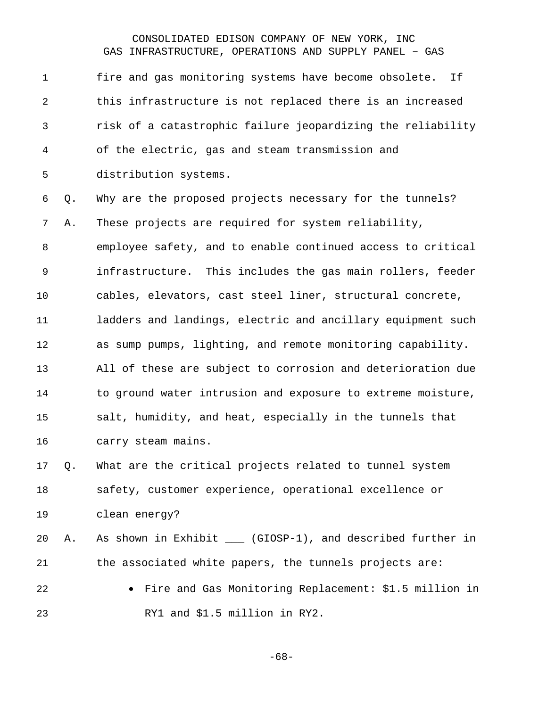fire and gas monitoring systems have become obsolete. If this infrastructure is not replaced there is an increased risk of a catastrophic failure jeopardizing the reliability of the electric, gas and steam transmission and distribution systems. Q. Why are the proposed projects necessary for the tunnels? A. These projects are required for system reliability, employee safety, and to enable continued access to critical infrastructure. This includes the gas main rollers, feeder cables, elevators, cast steel liner, structural concrete, ladders and landings, electric and ancillary equipment such as sump pumps, lighting, and remote monitoring capability. All of these are subject to corrosion and deterioration due to ground water intrusion and exposure to extreme moisture, salt, humidity, and heat, especially in the tunnels that carry steam mains. Q. What are the critical projects related to tunnel system safety, customer experience, operational excellence or clean energy? A. As shown in Exhibit \_\_\_ (GIOSP-1), and described further in the associated white papers, the tunnels projects are: • Fire and Gas Monitoring Replacement: \$1.5 million in RY1 and \$1.5 million in RY2.

-68-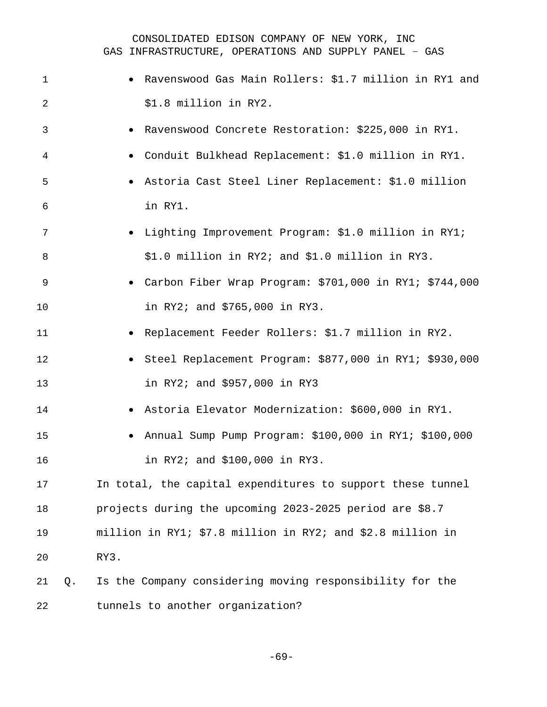| 1  |    | Ravenswood Gas Main Rollers: \$1.7 million in RY1 and               |
|----|----|---------------------------------------------------------------------|
| 2  |    | \$1.8 million in RY2.                                               |
| 3  |    | Ravenswood Concrete Restoration: \$225,000 in RY1.                  |
| 4  |    | Conduit Bulkhead Replacement: \$1.0 million in RY1.<br>$\bullet$    |
| 5  |    | Astoria Cast Steel Liner Replacement: \$1.0 million                 |
| 6  |    | in RY1.                                                             |
| 7  |    | · Lighting Improvement Program: \$1.0 million in RY1;               |
| 8  |    | \$1.0 million in RY2; and \$1.0 million in RY3.                     |
| 9  |    | • Carbon Fiber Wrap Program: \$701,000 in RY1; \$744,000            |
| 10 |    | in RY2; and \$765,000 in RY3.                                       |
| 11 |    | Replacement Feeder Rollers: \$1.7 million in RY2.                   |
| 12 |    | Steel Replacement Program: \$877,000 in RY1; \$930,000<br>$\bullet$ |
| 13 |    | in RY2; and \$957,000 in RY3                                        |
| 14 |    | Astoria Elevator Modernization: \$600,000 in RY1.                   |
| 15 |    | Annual Sump Pump Program: \$100,000 in RY1; \$100,000<br>$\bullet$  |
| 16 |    | in RY2; and \$100,000 in RY3.                                       |
| 17 |    | In total, the capital expenditures to support these tunnel          |
| 18 |    | projects during the upcoming 2023-2025 period are \$8.7             |
| 19 |    | million in RY1; \$7.8 million in RY2; and \$2.8 million in          |
| 20 |    | RY3.                                                                |
| 21 | Q. | Is the Company considering moving responsibility for the            |
| 22 |    | tunnels to another organization?                                    |

-69-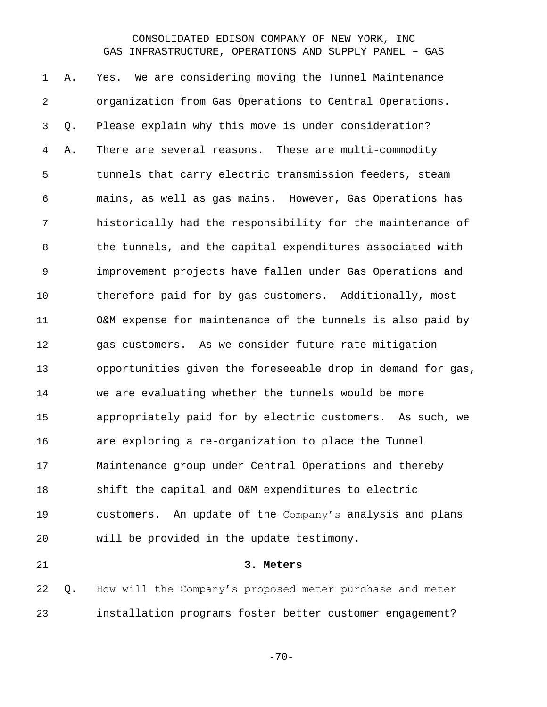A. Yes. We are considering moving the Tunnel Maintenance organization from Gas Operations to Central Operations. Q. Please explain why this move is under consideration? A. There are several reasons. These are multi-commodity tunnels that carry electric transmission feeders, steam mains, as well as gas mains. However, Gas Operations has historically had the responsibility for the maintenance of the tunnels, and the capital expenditures associated with improvement projects have fallen under Gas Operations and therefore paid for by gas customers. Additionally, most O&M expense for maintenance of the tunnels is also paid by gas customers. As we consider future rate mitigation opportunities given the foreseeable drop in demand for gas, we are evaluating whether the tunnels would be more appropriately paid for by electric customers. As such, we are exploring a re-organization to place the Tunnel Maintenance group under Central Operations and thereby shift the capital and O&M expenditures to electric customers. An update of the Company's analysis and plans will be provided in the update testimony. **3. Meters**

 Q. How will the Company's proposed meter purchase and meter installation programs foster better customer engagement?

 $-70-$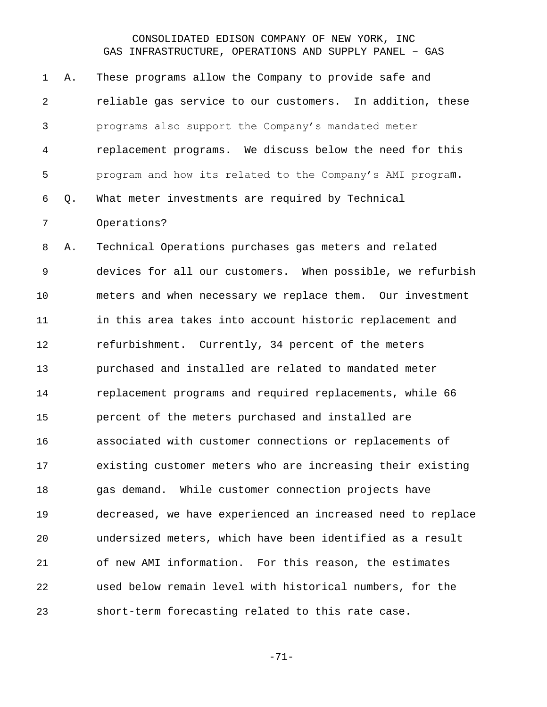A. These programs allow the Company to provide safe and reliable gas service to our customers. In addition, these programs also support the Company's mandated meter replacement programs. We discuss below the need for this program and how its related to the Company's AMI program. Q. What meter investments are required by Technical Operations? A. Technical Operations purchases gas meters and related

 devices for all our customers. When possible, we refurbish meters and when necessary we replace them. Our investment in this area takes into account historic replacement and refurbishment. Currently, 34 percent of the meters purchased and installed are related to mandated meter replacement programs and required replacements, while 66 percent of the meters purchased and installed are associated with customer connections or replacements of existing customer meters who are increasing their existing gas demand. While customer connection projects have decreased, we have experienced an increased need to replace undersized meters, which have been identified as a result of new AMI information. For this reason, the estimates used below remain level with historical numbers, for the short-term forecasting related to this rate case.

-71-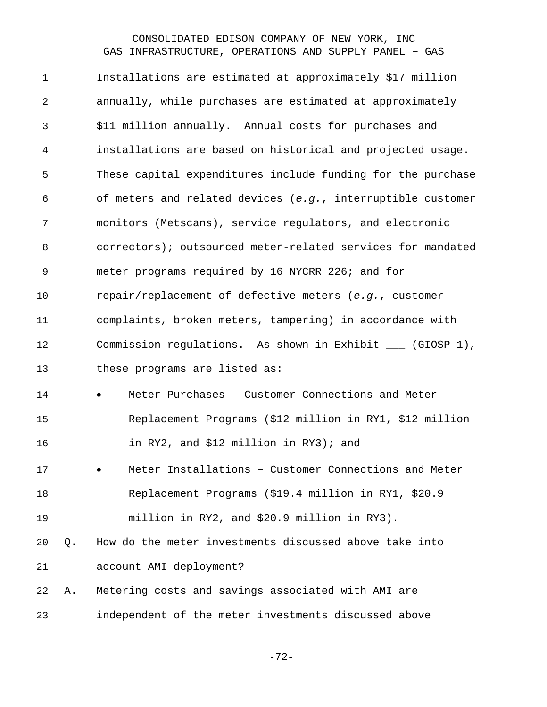Installations are estimated at approximately \$17 million annually, while purchases are estimated at approximately \$11 million annually. Annual costs for purchases and installations are based on historical and projected usage. These capital expenditures include funding for the purchase of meters and related devices (*e.g.*, interruptible customer monitors (Metscans), service regulators, and electronic correctors); outsourced meter-related services for mandated meter programs required by 16 NYCRR 226; and for repair/replacement of defective meters (*e.g.*, customer complaints, broken meters, tampering) in accordance with Commission regulations. As shown in Exhibit \_\_\_ (GIOSP-1), 13 these programs are listed as: 14 • Meter Purchases - Customer Connections and Meter Replacement Programs (\$12 million in RY1, \$12 million in RY2, and \$12 million in RY3); and • Meter Installations – Customer Connections and Meter Replacement Programs (\$19.4 million in RY1, \$20.9 million in RY2, and \$20.9 million in RY3). Q. How do the meter investments discussed above take into account AMI deployment? A. Metering costs and savings associated with AMI are independent of the meter investments discussed above

-72-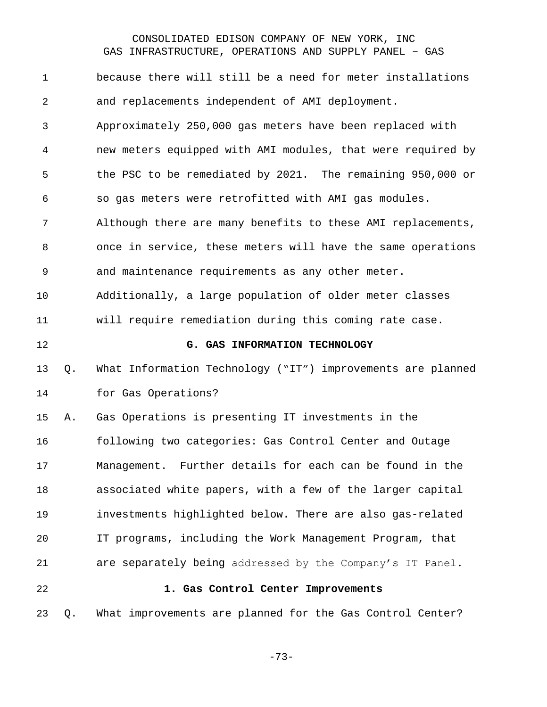| $\mathbf 1$    |    | because there will still be a need for meter installations  |
|----------------|----|-------------------------------------------------------------|
| $\overline{2}$ |    | and replacements independent of AMI deployment.             |
| $\mathfrak{Z}$ |    | Approximately 250,000 gas meters have been replaced with    |
| 4              |    | new meters equipped with AMI modules, that were required by |
| 5              |    | the PSC to be remediated by 2021. The remaining 950,000 or  |
| 6              |    | so gas meters were retrofitted with AMI gas modules.        |
| 7              |    | Although there are many benefits to these AMI replacements, |
| 8              |    | once in service, these meters will have the same operations |
| 9              |    | and maintenance requirements as any other meter.            |
| 10             |    | Additionally, a large population of older meter classes     |
| 11             |    | will require remediation during this coming rate case.      |
| 12             |    | G. GAS INFORMATION TECHNOLOGY                               |
|                |    |                                                             |
| 13             | Q. | What Information Technology ("IT") improvements are planned |
| 14             |    | for Gas Operations?                                         |
| 15             | Α. | Gas Operations is presenting IT investments in the          |
| 16             |    | following two categories: Gas Control Center and Outage     |
| 17             |    | Management. Further details for each can be found in the    |
| 18             |    | associated white papers, with a few of the larger capital   |
| 19             |    | investments highlighted below. There are also gas-related   |
| 20             |    | IT programs, including the Work Management Program, that    |
| 21             |    | are separately being addressed by the Company's IT Panel.   |
| 22             |    | 1. Gas Control Center Improvements                          |

-73-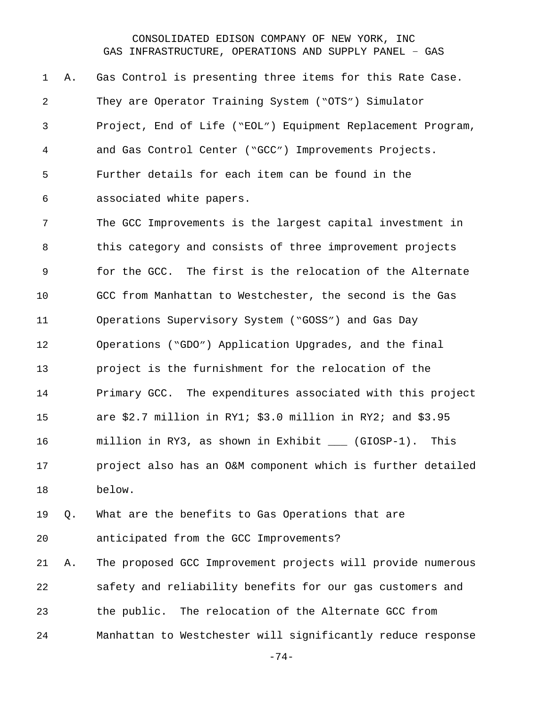A. Gas Control is presenting three items for this Rate Case. They are Operator Training System ("OTS") Simulator Project, End of Life ("EOL") Equipment Replacement Program, and Gas Control Center ("GCC") Improvements Projects. Further details for each item can be found in the associated white papers.

 The GCC Improvements is the largest capital investment in this category and consists of three improvement projects for the GCC. The first is the relocation of the Alternate GCC from Manhattan to Westchester, the second is the Gas Operations Supervisory System ("GOSS") and Gas Day Operations ("GDO") Application Upgrades, and the final project is the furnishment for the relocation of the Primary GCC. The expenditures associated with this project are \$2.7 million in RY1; \$3.0 million in RY2; and \$3.95 million in RY3, as shown in Exhibit \_\_\_ (GIOSP-1). This project also has an O&M component which is further detailed below.

 Q. What are the benefits to Gas Operations that are anticipated from the GCC Improvements?

 A. The proposed GCC Improvement projects will provide numerous safety and reliability benefits for our gas customers and the public. The relocation of the Alternate GCC from Manhattan to Westchester will significantly reduce response

-74-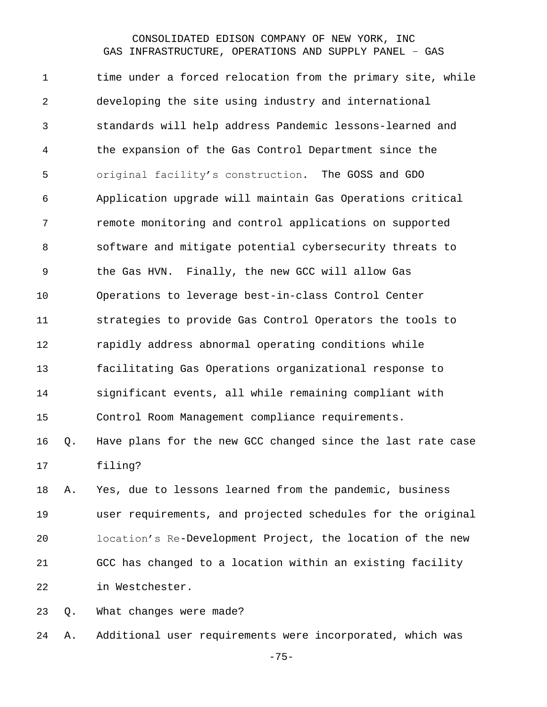1 time under a forced relocation from the primary site, while developing the site using industry and international standards will help address Pandemic lessons-learned and the expansion of the Gas Control Department since the original facility's construction. The GOSS and GDO Application upgrade will maintain Gas Operations critical remote monitoring and control applications on supported software and mitigate potential cybersecurity threats to the Gas HVN. Finally, the new GCC will allow Gas Operations to leverage best-in-class Control Center strategies to provide Gas Control Operators the tools to rapidly address abnormal operating conditions while facilitating Gas Operations organizational response to significant events, all while remaining compliant with Control Room Management compliance requirements. Q. Have plans for the new GCC changed since the last rate case filing? A. Yes, due to lessons learned from the pandemic, business

 user requirements, and projected schedules for the original location's Re-Development Project, the location of the new GCC has changed to a location within an existing facility in Westchester.

Q. What changes were made?

A. Additional user requirements were incorporated, which was

-75-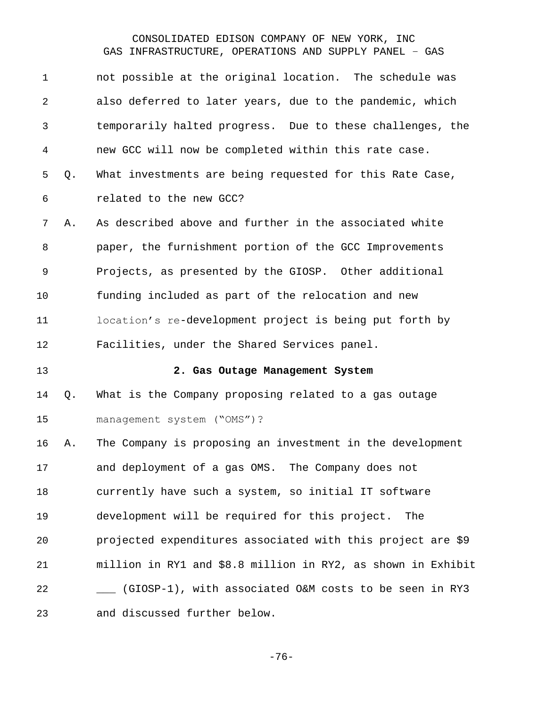| $\mathbf 1$ |    | not possible at the original location. The schedule was      |
|-------------|----|--------------------------------------------------------------|
| 2           |    | also deferred to later years, due to the pandemic, which     |
| 3           |    | temporarily halted progress. Due to these challenges, the    |
| 4           |    | new GCC will now be completed within this rate case.         |
| 5           | Q. | What investments are being requested for this Rate Case,     |
| 6           |    | related to the new GCC?                                      |
| 7           | Α. | As described above and further in the associated white       |
| 8           |    | paper, the furnishment portion of the GCC Improvements       |
| 9           |    | Projects, as presented by the GIOSP. Other additional        |
| 10          |    | funding included as part of the relocation and new           |
| 11          |    | location's re-development project is being put forth by      |
| 12          |    | Facilities, under the Shared Services panel.                 |
| 13          |    | 2. Gas Outage Management System                              |
|             |    |                                                              |
| 14          | Q. | What is the Company proposing related to a gas outage        |
| 15          |    | management system ("OMS")?                                   |
| 16          | Α. | The Company is proposing an investment in the development    |
| 17          |    | and deployment of a gas OMS. The Company does not            |
| 18          |    | currently have such a system, so initial IT software         |
| 19          |    | development will be required for this project.<br>The        |
| 20          |    | projected expenditures associated with this project are \$9  |
| 21          |    | million in RY1 and \$8.8 million in RY2, as shown in Exhibit |
| 22          |    | (GIOSP-1), with associated O&M costs to be seen in RY3       |

-76-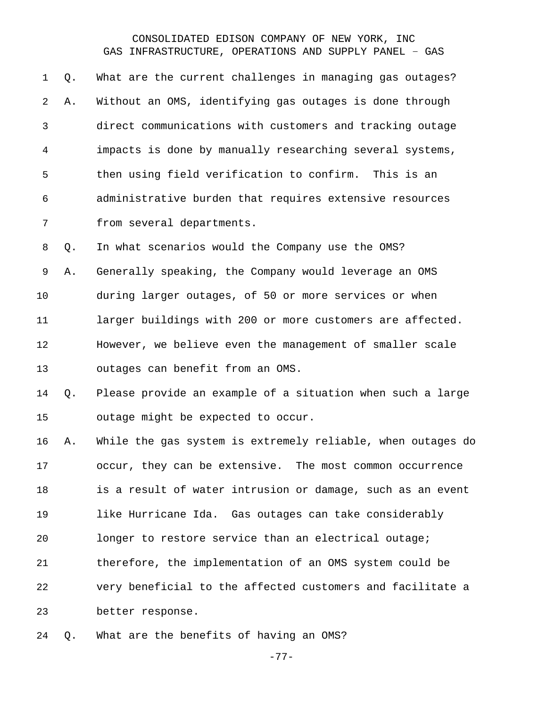Q. What are the current challenges in managing gas outages? A. Without an OMS, identifying gas outages is done through direct communications with customers and tracking outage impacts is done by manually researching several systems, then using field verification to confirm. This is an administrative burden that requires extensive resources from several departments.

 A. Generally speaking, the Company would leverage an OMS during larger outages, of 50 or more services or when 11 larger buildings with 200 or more customers are affected. However, we believe even the management of smaller scale outages can benefit from an OMS.

Q. In what scenarios would the Company use the OMS?

 Q. Please provide an example of a situation when such a large outage might be expected to occur.

 A. While the gas system is extremely reliable, when outages do occur, they can be extensive. The most common occurrence is a result of water intrusion or damage, such as an event like Hurricane Ida. Gas outages can take considerably longer to restore service than an electrical outage; therefore, the implementation of an OMS system could be very beneficial to the affected customers and facilitate a better response.

Q. What are the benefits of having an OMS?

-77-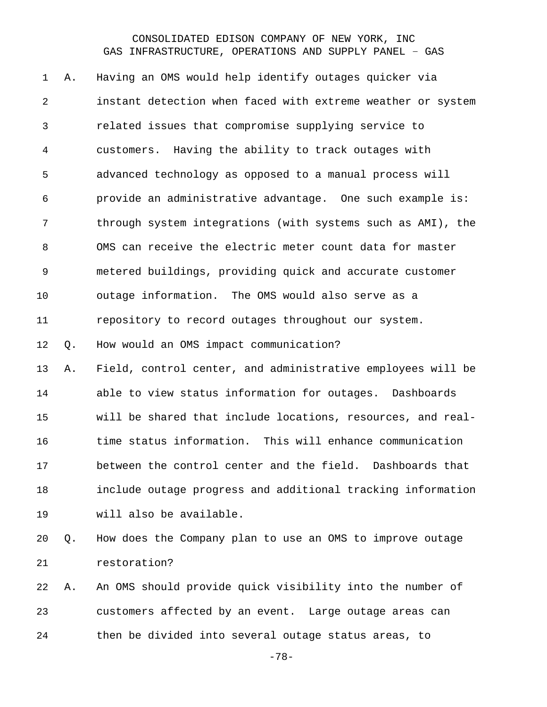A. Having an OMS would help identify outages quicker via instant detection when faced with extreme weather or system related issues that compromise supplying service to customers. Having the ability to track outages with advanced technology as opposed to a manual process will provide an administrative advantage. One such example is: through system integrations (with systems such as AMI), the OMS can receive the electric meter count data for master metered buildings, providing quick and accurate customer outage information. The OMS would also serve as a repository to record outages throughout our system. Q. How would an OMS impact communication? A. Field, control center, and administrative employees will be able to view status information for outages. Dashboards will be shared that include locations, resources, and real- time status information. This will enhance communication between the control center and the field. Dashboards that include outage progress and additional tracking information will also be available. Q. How does the Company plan to use an OMS to improve outage restoration?

 A. An OMS should provide quick visibility into the number of customers affected by an event. Large outage areas can then be divided into several outage status areas, to

-78-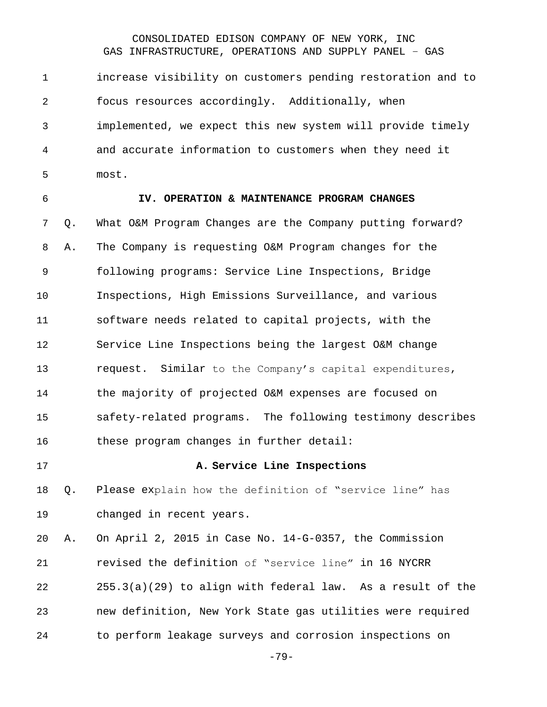increase visibility on customers pending restoration and to focus resources accordingly. Additionally, when implemented, we expect this new system will provide timely and accurate information to customers when they need it most.

#### **IV. OPERATION & MAINTENANCE PROGRAM CHANGES**

 Q. What O&M Program Changes are the Company putting forward? A. The Company is requesting O&M Program changes for the following programs: Service Line Inspections, Bridge Inspections, High Emissions Surveillance, and various software needs related to capital projects, with the Service Line Inspections being the largest O&M change request. Similar to the Company's capital expenditures, the majority of projected O&M expenses are focused on safety-related programs. The following testimony describes 16 these program changes in further detail:

#### **A. Service Line Inspections**

 Q. Please explain how the definition of "service line" has changed in recent years.

 A. On April 2, 2015 in Case No. 14-G-0357, the Commission revised the definition of "service line" in 16 NYCRR 255.3(a)(29) to align with federal law. As a result of the new definition, New York State gas utilities were required to perform leakage surveys and corrosion inspections on

-79-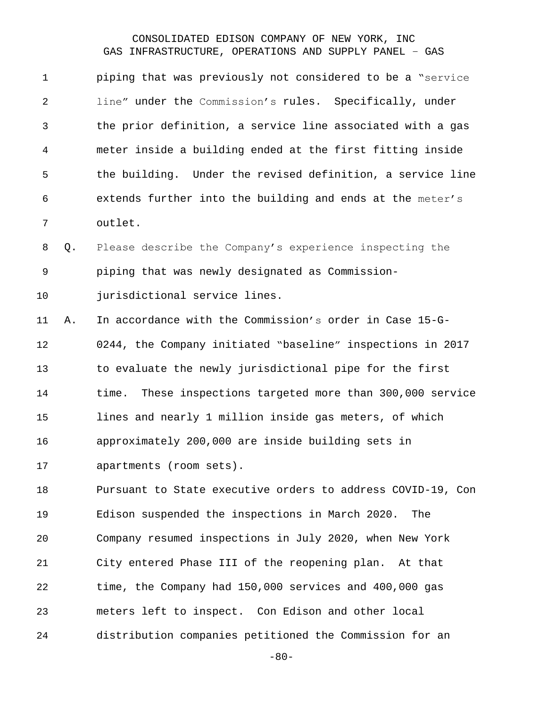piping that was previously not considered to be a "service line" under the Commission's rules. Specifically, under the prior definition, a service line associated with a gas meter inside a building ended at the first fitting inside the building. Under the revised definition, a service line extends further into the building and ends at the meter's outlet.

 Q. Please describe the Company's experience inspecting the piping that was newly designated as Commission-

jurisdictional service lines.

 A. In accordance with the Commission's order in Case 15-G- 0244, the Company initiated "baseline" inspections in 2017 to evaluate the newly jurisdictional pipe for the first time. These inspections targeted more than 300,000 service lines and nearly 1 million inside gas meters, of which approximately 200,000 are inside building sets in apartments (room sets).

 Pursuant to State executive orders to address COVID-19, Con Edison suspended the inspections in March 2020. The Company resumed inspections in July 2020, when New York City entered Phase III of the reopening plan. At that time, the Company had 150,000 services and 400,000 gas meters left to inspect. Con Edison and other local distribution companies petitioned the Commission for an

-80-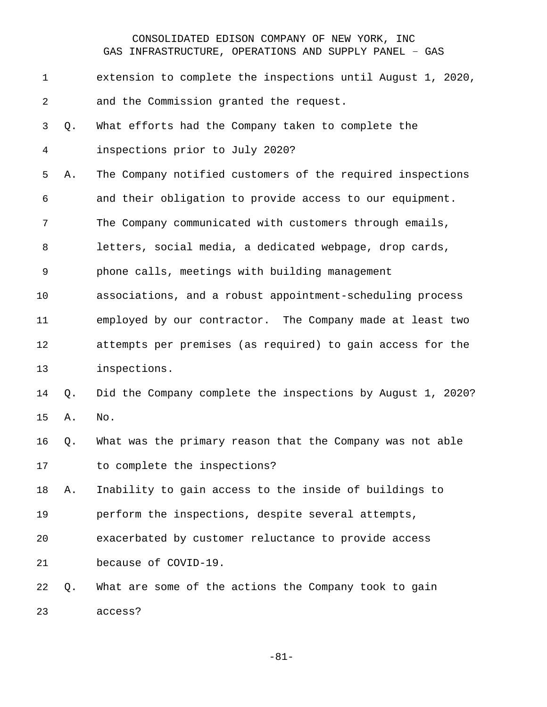| $\mathbf 1$    |    | extension to complete the inspections until August 1, 2020, |
|----------------|----|-------------------------------------------------------------|
| $\overline{a}$ |    | and the Commission granted the request.                     |
| 3              | Q. | What efforts had the Company taken to complete the          |
| 4              |    | inspections prior to July 2020?                             |
| 5              | Α. | The Company notified customers of the required inspections  |
| 6              |    | and their obligation to provide access to our equipment.    |
| 7              |    | The Company communicated with customers through emails,     |
| 8              |    | letters, social media, a dedicated webpage, drop cards,     |
| 9              |    | phone calls, meetings with building management              |
| 10             |    | associations, and a robust appointment-scheduling process   |
| 11             |    | employed by our contractor. The Company made at least two   |
| 12             |    | attempts per premises (as required) to gain access for the  |
| 13             |    | inspections.                                                |
| 14             | Q. | Did the Company complete the inspections by August 1, 2020? |
| 15             | Α. | No.                                                         |
| 16             | Q. | What was the primary reason that the Company was not able   |
| 17             |    | to complete the inspections?                                |
| 18             | Α. | Inability to gain access to the inside of buildings to      |
| 19             |    | perform the inspections, despite several attempts,          |
| 20             |    | exacerbated by customer reluctance to provide access        |
| 21             |    | because of COVID-19.                                        |
| 22             | Q. | What are some of the actions the Company took to gain       |
| 23             |    | access?                                                     |

-81-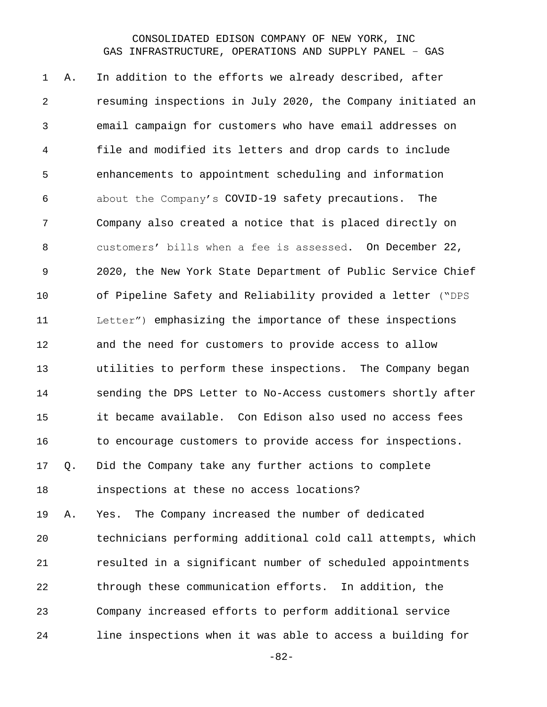A. In addition to the efforts we already described, after resuming inspections in July 2020, the Company initiated an email campaign for customers who have email addresses on file and modified its letters and drop cards to include enhancements to appointment scheduling and information about the Company's COVID-19 safety precautions. The Company also created a notice that is placed directly on customers' bills when a fee is assessed. On December 22, 2020, the New York State Department of Public Service Chief of Pipeline Safety and Reliability provided a letter ("DPS Letter") emphasizing the importance of these inspections and the need for customers to provide access to allow utilities to perform these inspections. The Company began sending the DPS Letter to No-Access customers shortly after it became available. Con Edison also used no access fees 16 to encourage customers to provide access for inspections. Q. Did the Company take any further actions to complete inspections at these no access locations? A. Yes. The Company increased the number of dedicated technicians performing additional cold call attempts, which resulted in a significant number of scheduled appointments through these communication efforts. In addition, the Company increased efforts to perform additional service line inspections when it was able to access a building for

-82-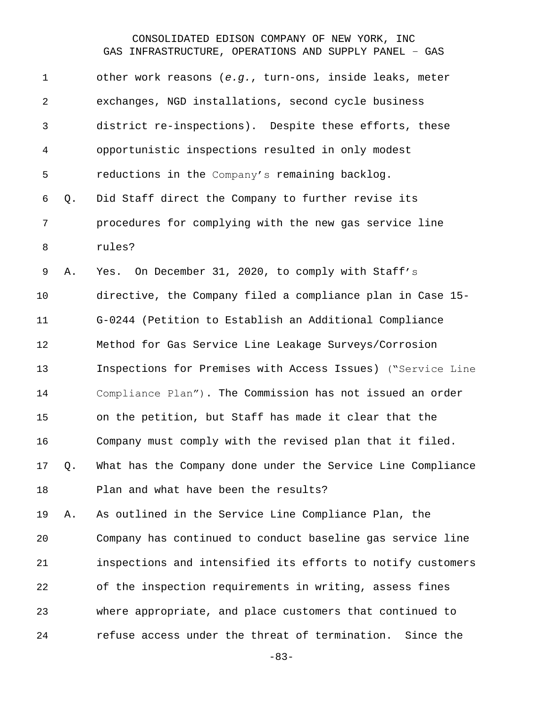| district re-inspections). Despite these efforts, these      |
|-------------------------------------------------------------|
|                                                             |
|                                                             |
|                                                             |
|                                                             |
|                                                             |
|                                                             |
|                                                             |
|                                                             |
| directive, the Company filed a compliance plan in Case 15-  |
|                                                             |
|                                                             |
| Inspections for Premises with Access Issues) ("Service Line |
| Compliance Plan"). The Commission has not issued an order   |
|                                                             |
|                                                             |
| Company must comply with the revised plan that it filed.    |
| What has the Company done under the Service Line Compliance |
|                                                             |
|                                                             |
| Company has continued to conduct baseline gas service line  |
| inspections and intensified its efforts to notify customers |
| of the inspection requirements in writing, assess fines     |
| where appropriate, and place customers that continued to    |
|                                                             |

-83-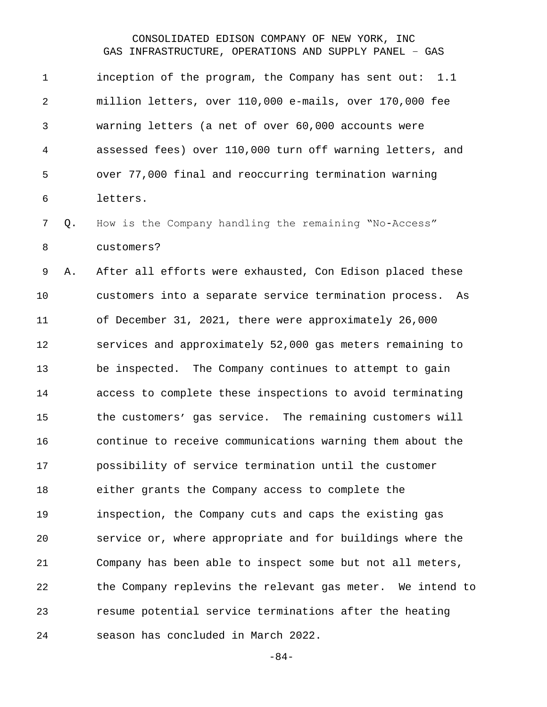inception of the program, the Company has sent out: 1.1 million letters, over 110,000 e-mails, over 170,000 fee warning letters (a net of over 60,000 accounts were assessed fees) over 110,000 turn off warning letters, and over 77,000 final and reoccurring termination warning letters.

 Q. How is the Company handling the remaining "No-Access" customers?

 A. After all efforts were exhausted, Con Edison placed these customers into a separate service termination process. As of December 31, 2021, there were approximately 26,000 services and approximately 52,000 gas meters remaining to be inspected. The Company continues to attempt to gain access to complete these inspections to avoid terminating the customers' gas service. The remaining customers will continue to receive communications warning them about the possibility of service termination until the customer either grants the Company access to complete the inspection, the Company cuts and caps the existing gas service or, where appropriate and for buildings where the Company has been able to inspect some but not all meters, the Company replevins the relevant gas meter. We intend to resume potential service terminations after the heating season has concluded in March 2022.

-84-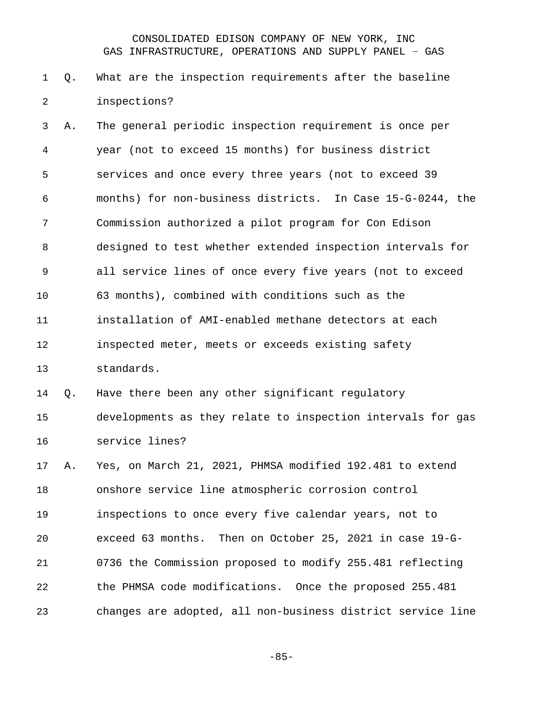## Q. What are the inspection requirements after the baseline inspections?

 A. The general periodic inspection requirement is once per year (not to exceed 15 months) for business district services and once every three years (not to exceed 39 months) for non-business districts. In Case 15-G-0244, the Commission authorized a pilot program for Con Edison designed to test whether extended inspection intervals for all service lines of once every five years (not to exceed 63 months), combined with conditions such as the installation of AMI-enabled methane detectors at each inspected meter, meets or exceeds existing safety standards.

# Q. Have there been any other significant regulatory developments as they relate to inspection intervals for gas service lines?

 A. Yes, on March 21, 2021, PHMSA modified 192.481 to extend onshore service line atmospheric corrosion control inspections to once every five calendar years, not to exceed 63 months. Then on October 25, 2021 in case 19-G- 0736 the Commission proposed to modify 255.481 reflecting the PHMSA code modifications. Once the proposed 255.481 changes are adopted, all non-business district service line

-85-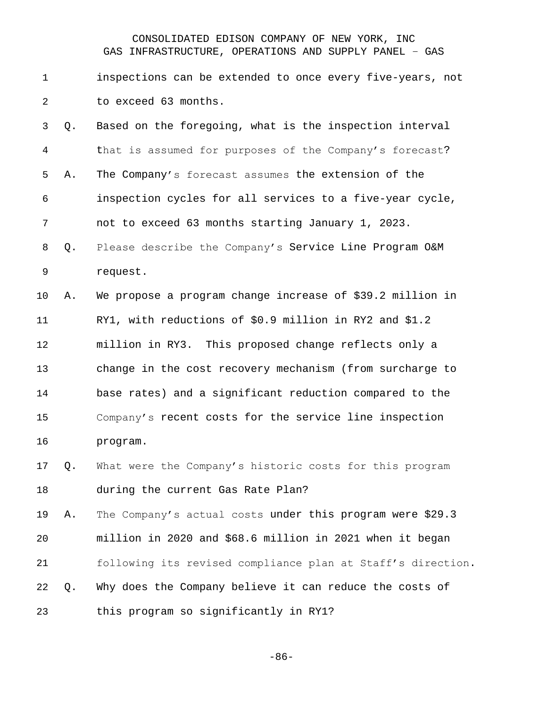inspections can be extended to once every five-years, not to exceed 63 months.

 Q. Based on the foregoing, what is the inspection interval that is assumed for purposes of the Company's forecast? A. The Company's forecast assumes the extension of the inspection cycles for all services to a five-year cycle, not to exceed 63 months starting January 1, 2023. Q. Please describe the Company's Service Line Program O&M request.

 A. We propose a program change increase of \$39.2 million in RY1, with reductions of \$0.9 million in RY2 and \$1.2 million in RY3. This proposed change reflects only a change in the cost recovery mechanism (from surcharge to base rates) and a significant reduction compared to the Company's recent costs for the service line inspection program.

 Q. What were the Company's historic costs for this program during the current Gas Rate Plan?

 A. The Company's actual costs under this program were \$29.3 million in 2020 and \$68.6 million in 2021 when it began following its revised compliance plan at Staff's direction. Q. Why does the Company believe it can reduce the costs of this program so significantly in RY1?

-86-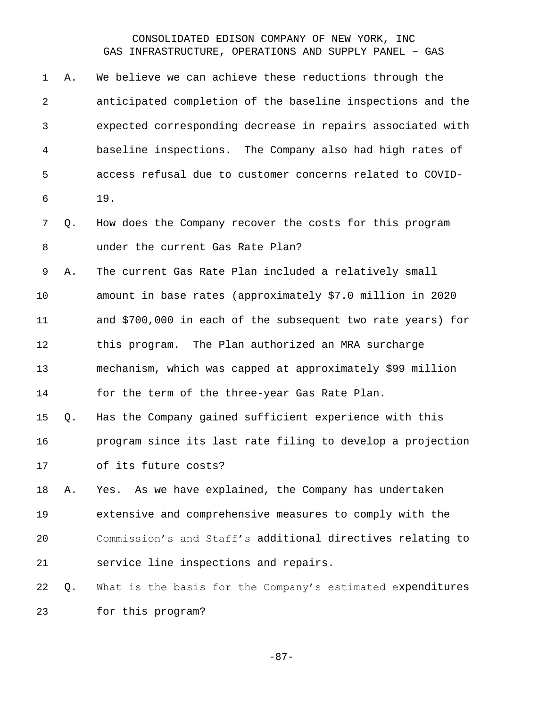| $\mathbf 1$ | Α. | We believe we can achieve these reductions through the      |
|-------------|----|-------------------------------------------------------------|
| 2           |    | anticipated completion of the baseline inspections and the  |
| 3           |    | expected corresponding decrease in repairs associated with  |
| 4           |    | baseline inspections. The Company also had high rates of    |
| 5           |    | access refusal due to customer concerns related to COVID-   |
| 6           |    | 19.                                                         |
| 7           | Q. | How does the Company recover the costs for this program     |
| 8           |    | under the current Gas Rate Plan?                            |
| 9           | Α. | The current Gas Rate Plan included a relatively small       |
| 10          |    | amount in base rates (approximately \$7.0 million in 2020   |
| 11          |    | and \$700,000 in each of the subsequent two rate years) for |
| 12          |    | this program. The Plan authorized an MRA surcharge          |
| 13          |    | mechanism, which was capped at approximately \$99 million   |
| 14          |    | for the term of the three-year Gas Rate Plan.               |
| 15          | Q. | Has the Company gained sufficient experience with this      |
| 16          |    | program since its last rate filing to develop a projection  |
| 17          |    | of its future costs?                                        |
| 18          | Α. | Yes. As we have explained, the Company has undertaken       |
| 19          |    | extensive and comprehensive measures to comply with the     |
| 20          |    | Commission's and Staff's additional directives relating to  |
| 21          |    | service line inspections and repairs.                       |
| 22          | Q. | What is the basis for the Company's estimated expenditures  |
| 23          |    | for this program?                                           |

-87-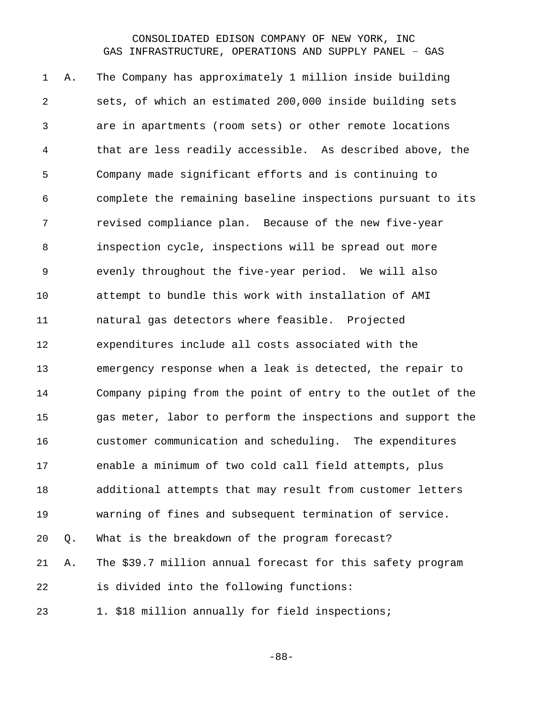A. The Company has approximately 1 million inside building sets, of which an estimated 200,000 inside building sets are in apartments (room sets) or other remote locations that are less readily accessible. As described above, the Company made significant efforts and is continuing to complete the remaining baseline inspections pursuant to its revised compliance plan. Because of the new five-year inspection cycle, inspections will be spread out more evenly throughout the five-year period. We will also attempt to bundle this work with installation of AMI natural gas detectors where feasible. Projected expenditures include all costs associated with the emergency response when a leak is detected, the repair to Company piping from the point of entry to the outlet of the gas meter, labor to perform the inspections and support the customer communication and scheduling. The expenditures enable a minimum of two cold call field attempts, plus additional attempts that may result from customer letters warning of fines and subsequent termination of service. Q. What is the breakdown of the program forecast? A. The \$39.7 million annual forecast for this safety program is divided into the following functions: 23 1. \$18 million annually for field inspections;

-88-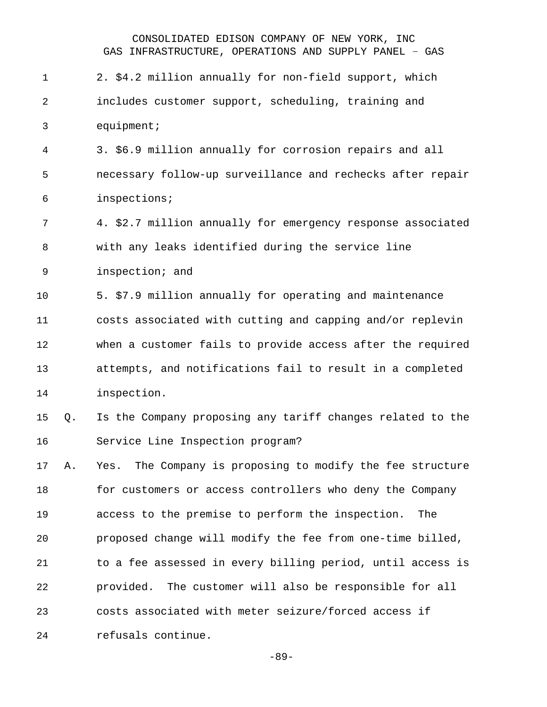2. \$4.2 million annually for non-field support, which includes customer support, scheduling, training and equipment; 3. \$6.9 million annually for corrosion repairs and all necessary follow-up surveillance and rechecks after repair inspections; 4. \$2.7 million annually for emergency response associated with any leaks identified during the service line inspection; and 5. \$7.9 million annually for operating and maintenance costs associated with cutting and capping and/or replevin when a customer fails to provide access after the required attempts, and notifications fail to result in a completed inspection. Q. Is the Company proposing any tariff changes related to the Service Line Inspection program? A. Yes. The Company is proposing to modify the fee structure for customers or access controllers who deny the Company access to the premise to perform the inspection. The proposed change will modify the fee from one-time billed, to a fee assessed in every billing period, until access is provided. The customer will also be responsible for all costs associated with meter seizure/forced access if refusals continue.

-89-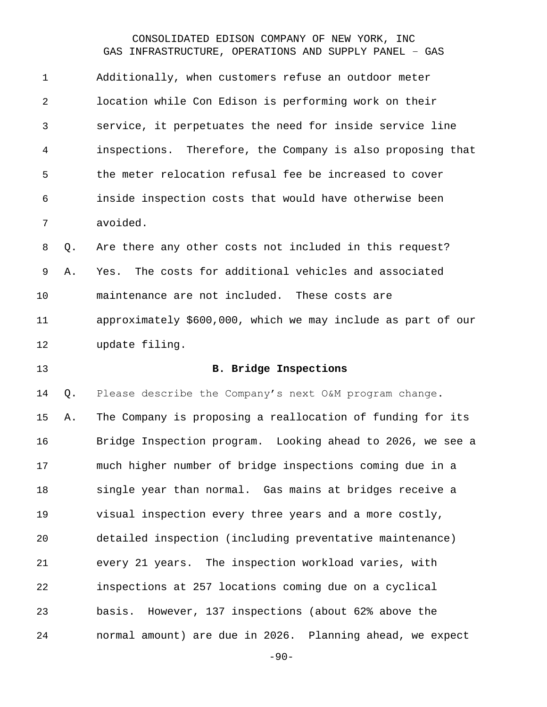Additionally, when customers refuse an outdoor meter location while Con Edison is performing work on their service, it perpetuates the need for inside service line inspections. Therefore, the Company is also proposing that the meter relocation refusal fee be increased to cover inside inspection costs that would have otherwise been avoided.

 Q. Are there any other costs not included in this request? A. Yes. The costs for additional vehicles and associated maintenance are not included. These costs are approximately \$600,000, which we may include as part of our update filing.

#### **B. Bridge Inspections**

 Q. Please describe the Company's next O&M program change. A. The Company is proposing a reallocation of funding for its Bridge Inspection program. Looking ahead to 2026, we see a much higher number of bridge inspections coming due in a single year than normal. Gas mains at bridges receive a visual inspection every three years and a more costly, detailed inspection (including preventative maintenance) every 21 years. The inspection workload varies, with inspections at 257 locations coming due on a cyclical basis. However, 137 inspections (about 62% above the normal amount) are due in 2026. Planning ahead, we expect

-90-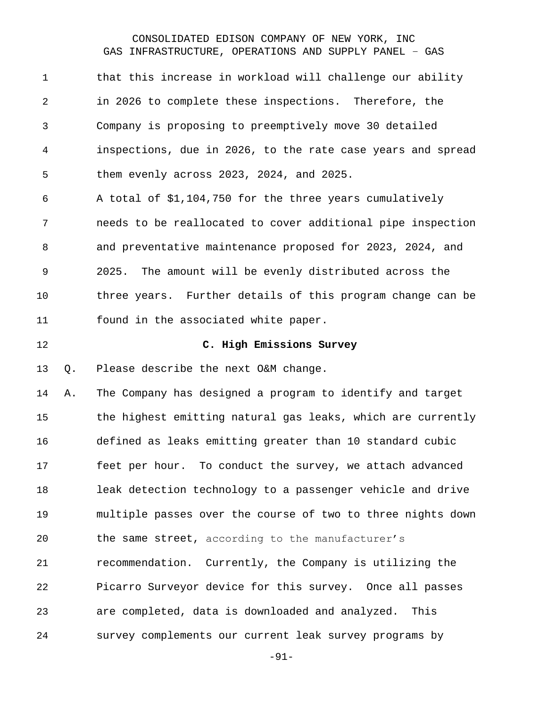| $\mathbf 1$ |    | that this increase in workload will challenge our ability   |
|-------------|----|-------------------------------------------------------------|
| 2           |    | in 2026 to complete these inspections. Therefore, the       |
| 3           |    | Company is proposing to preemptively move 30 detailed       |
| 4           |    | inspections, due in 2026, to the rate case years and spread |
| 5           |    | them evenly across 2023, 2024, and 2025.                    |
| 6           |    | A total of \$1,104,750 for the three years cumulatively     |
| 7           |    | needs to be reallocated to cover additional pipe inspection |
| 8           |    | and preventative maintenance proposed for 2023, 2024, and   |
| $\mathsf 9$ |    | The amount will be evenly distributed across the<br>2025.   |
| 10          |    | three years. Further details of this program change can be  |
| 11          |    | found in the associated white paper.                        |
| 12          |    | C. High Emissions Survey                                    |
|             |    |                                                             |
| 13          | Q. | Please describe the next O&M change.                        |
| 14          | Α. | The Company has designed a program to identify and target   |
| 15          |    | the highest emitting natural gas leaks, which are currently |
| 16          |    | defined as leaks emitting greater than 10 standard cubic    |
| 17          |    | feet per hour. To conduct the survey, we attach advanced    |
| 18          |    | leak detection technology to a passenger vehicle and drive  |
| 19          |    | multiple passes over the course of two to three nights down |
| 20          |    | the same street, according to the manufacturer's            |
| 21          |    | recommendation. Currently, the Company is utilizing the     |
| 22          |    | Picarro Surveyor device for this survey. Once all passes    |
| 23          |    | are completed, data is downloaded and analyzed.<br>This     |

-91-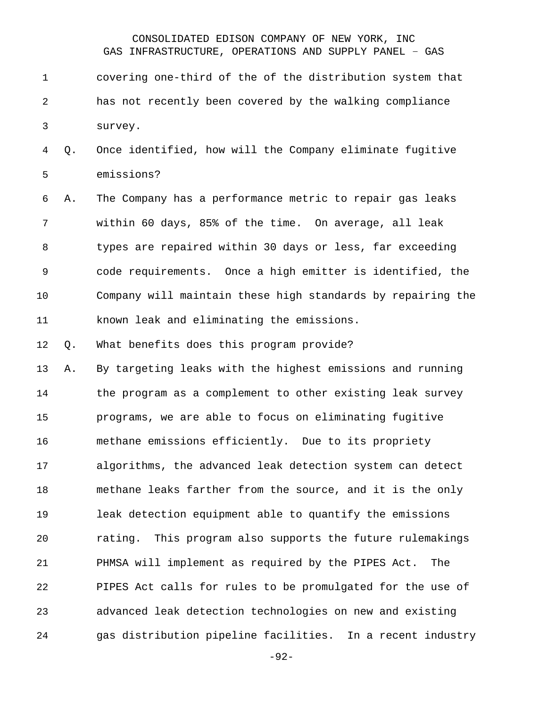covering one-third of the of the distribution system that has not recently been covered by the walking compliance survey.

 Q. Once identified, how will the Company eliminate fugitive emissions?

 A. The Company has a performance metric to repair gas leaks within 60 days, 85% of the time. On average, all leak types are repaired within 30 days or less, far exceeding code requirements. Once a high emitter is identified, the Company will maintain these high standards by repairing the known leak and eliminating the emissions.

Q. What benefits does this program provide?

 A. By targeting leaks with the highest emissions and running the program as a complement to other existing leak survey programs, we are able to focus on eliminating fugitive methane emissions efficiently. Due to its propriety algorithms, the advanced leak detection system can detect methane leaks farther from the source, and it is the only leak detection equipment able to quantify the emissions rating. This program also supports the future rulemakings PHMSA will implement as required by the PIPES Act. The PIPES Act calls for rules to be promulgated for the use of advanced leak detection technologies on new and existing gas distribution pipeline facilities. In a recent industry

-92-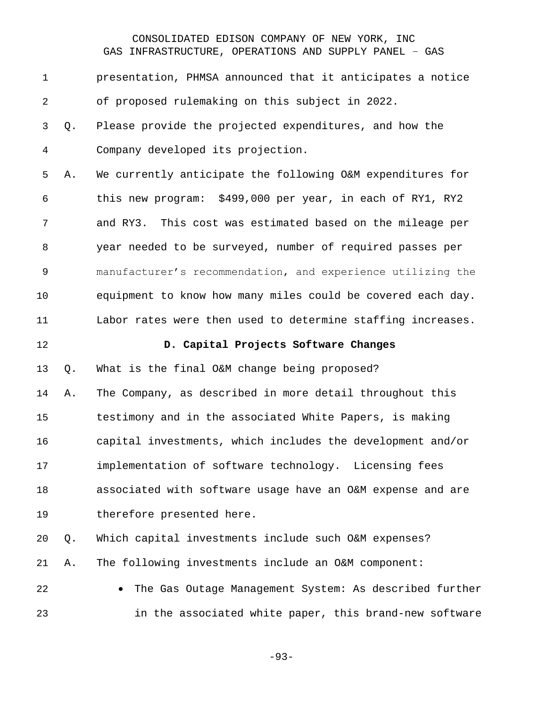presentation, PHMSA announced that it anticipates a notice of proposed rulemaking on this subject in 2022. Q. Please provide the projected expenditures, and how the Company developed its projection. A. We currently anticipate the following O&M expenditures for this new program: \$499,000 per year, in each of RY1, RY2 and RY3. This cost was estimated based on the mileage per year needed to be surveyed, number of required passes per manufacturer's recommendation, and experience utilizing the equipment to know how many miles could be covered each day. Labor rates were then used to determine staffing increases.

#### **D. Capital Projects Software Changes**

Q. What is the final O&M change being proposed?

 A. The Company, as described in more detail throughout this testimony and in the associated White Papers, is making capital investments, which includes the development and/or implementation of software technology. Licensing fees associated with software usage have an O&M expense and are therefore presented here.

 Q. Which capital investments include such O&M expenses? A. The following investments include an O&M component:

 • The Gas Outage Management System: As described further in the associated white paper, this brand-new software

-93-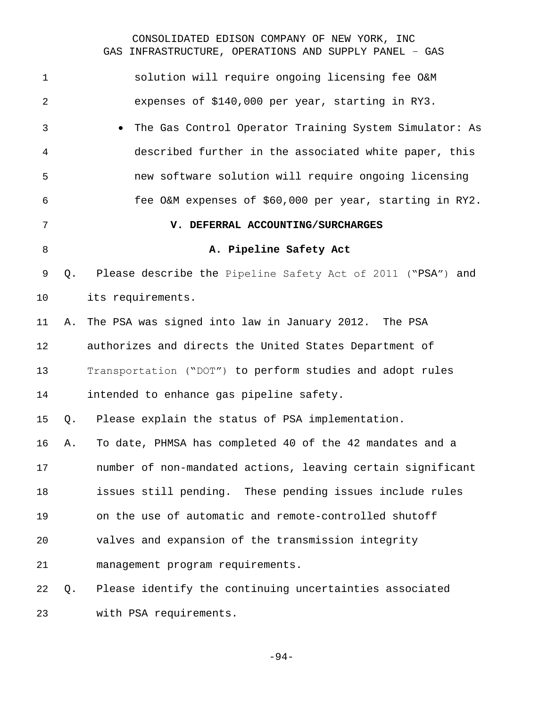| $\mathbf 1$ |    | solution will require ongoing licensing fee O&M             |
|-------------|----|-------------------------------------------------------------|
| 2           |    | expenses of \$140,000 per year, starting in RY3.            |
| 3           |    | The Gas Control Operator Training System Simulator: As      |
| 4           |    | described further in the associated white paper, this       |
| 5           |    | new software solution will require ongoing licensing        |
| 6           |    | fee O&M expenses of \$60,000 per year, starting in RY2.     |
| 7           |    | V. DEFERRAL ACCOUNTING/SURCHARGES                           |
| 8           |    | A. Pipeline Safety Act                                      |
| 9           | Q. | Please describe the Pipeline Safety Act of 2011 ("PSA") and |
| 10          |    | its requirements.                                           |
| 11          | Α. | The PSA was signed into law in January 2012. The PSA        |
| 12          |    | authorizes and directs the United States Department of      |
| 13          |    | Transportation ("DOT") to perform studies and adopt rules   |
| 14          |    | intended to enhance gas pipeline safety.                    |
| 15          | Q. | Please explain the status of PSA implementation.            |
| 16          | Α. | To date, PHMSA has completed 40 of the 42 mandates and a    |
| 17          |    | number of non-mandated actions, leaving certain significant |
| 18          |    | issues still pending. These pending issues include rules    |
| 19          |    | on the use of automatic and remote-controlled shutoff       |
| 20          |    | valves and expansion of the transmission integrity          |
| 21          |    | management program requirements.                            |
| 22          | Q. | Please identify the continuing uncertainties associated     |
| 23          |    | with PSA requirements.                                      |

-94-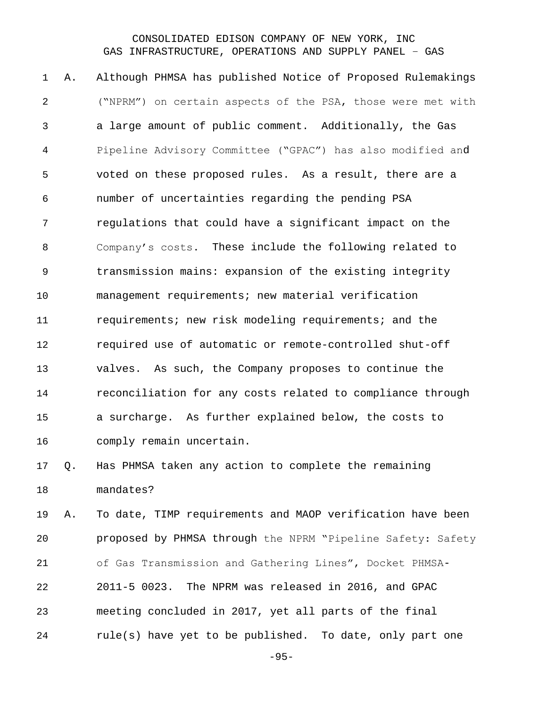A. Although PHMSA has published Notice of Proposed Rulemakings ("NPRM") on certain aspects of the PSA, those were met with a large amount of public comment. Additionally, the Gas Pipeline Advisory Committee ("GPAC") has also modified and voted on these proposed rules. As a result, there are a number of uncertainties regarding the pending PSA regulations that could have a significant impact on the Company's costs. These include the following related to transmission mains: expansion of the existing integrity management requirements; new material verification requirements; new risk modeling requirements; and the required use of automatic or remote-controlled shut-off valves. As such, the Company proposes to continue the reconciliation for any costs related to compliance through a surcharge. As further explained below, the costs to comply remain uncertain.

# Q. Has PHMSA taken any action to complete the remaining mandates?

 A. To date, TIMP requirements and MAOP verification have been proposed by PHMSA through the NPRM "Pipeline Safety: Safety of Gas Transmission and Gathering Lines", Docket PHMSA- 2011-5 0023. The NPRM was released in 2016, and GPAC meeting concluded in 2017, yet all parts of the final rule(s) have yet to be published. To date, only part one

-95-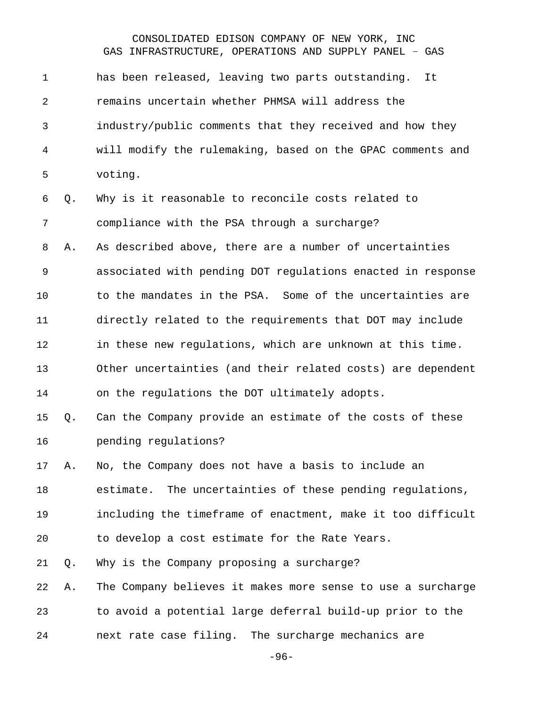| $\mathbf 1$    |    | has been released, leaving two parts outstanding.<br>It     |
|----------------|----|-------------------------------------------------------------|
| $\overline{a}$ |    | remains uncertain whether PHMSA will address the            |
| 3              |    | industry/public comments that they received and how they    |
| 4              |    | will modify the rulemaking, based on the GPAC comments and  |
| 5              |    | voting.                                                     |
| 6              | Q. | Why is it reasonable to reconcile costs related to          |
| 7              |    | compliance with the PSA through a surcharge?                |
| 8              | Α. | As described above, there are a number of uncertainties     |
| $\mathsf 9$    |    | associated with pending DOT regulations enacted in response |
| 10             |    | to the mandates in the PSA. Some of the uncertainties are   |
| 11             |    | directly related to the requirements that DOT may include   |
| 12             |    | in these new regulations, which are unknown at this time.   |
| 13             |    | Other uncertainties (and their related costs) are dependent |
| 14             |    | on the regulations the DOT ultimately adopts.               |
| 15             | Q. | Can the Company provide an estimate of the costs of these   |
| 16             |    | pending regulations?                                        |
| 17             | Α. | No, the Company does not have a basis to include an         |
| 18             |    | estimate. The uncertainties of these pending regulations,   |
| 19             |    | including the timeframe of enactment, make it too difficult |
| 20             |    | to develop a cost estimate for the Rate Years.              |
| 21             | Q. | Why is the Company proposing a surcharge?                   |
| 22             | Α. | The Company believes it makes more sense to use a surcharge |
| 23             |    | to avoid a potential large deferral build-up prior to the   |
| 24             |    | next rate case filing. The surcharge mechanics are          |

-96-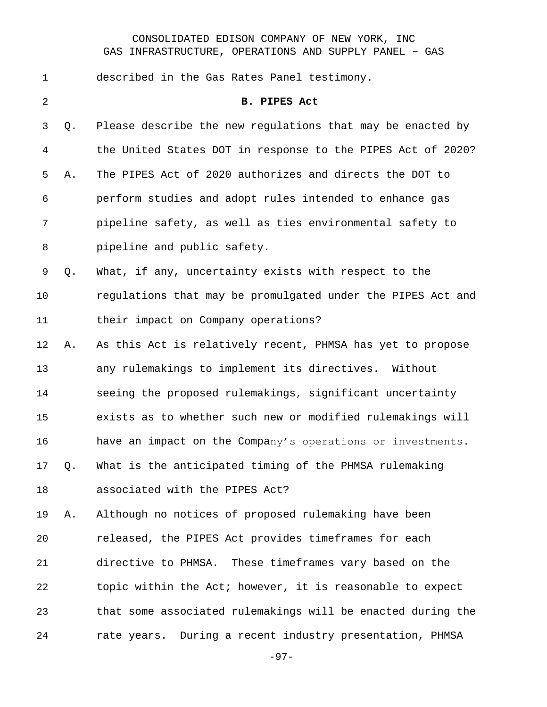| $\mathbf 1$ |    | described in the Gas Rates Panel testimony.                 |
|-------------|----|-------------------------------------------------------------|
| 2           |    | <b>B. PIPES Act</b>                                         |
| 3           | Q. | Please describe the new regulations that may be enacted by  |
| 4           |    | the United States DOT in response to the PIPES Act of 2020? |
| 5           | Α. | The PIPES Act of 2020 authorizes and directs the DOT to     |
| 6           |    | perform studies and adopt rules intended to enhance gas     |
| 7           |    | pipeline safety, as well as ties environmental safety to    |
| 8           |    | pipeline and public safety.                                 |
| 9           | Q. | What, if any, uncertainty exists with respect to the        |
| 10          |    | regulations that may be promulgated under the PIPES Act and |
| 11          |    | their impact on Company operations?                         |
| 12          | Α. | As this Act is relatively recent, PHMSA has yet to propose  |
| 13          |    | any rulemakings to implement its directives. Without        |
| 14          |    | seeing the proposed rulemakings, significant uncertainty    |
| 15          |    | exists as to whether such new or modified rulemakings will  |
| 16          |    | have an impact on the Company's operations or investments.  |
| 17          | Q. | What is the anticipated timing of the PHMSA rulemaking      |
| 18          |    | associated with the PIPES Act?                              |
| 19          | Α. | Although no notices of proposed rulemaking have been        |
| 20          |    | released, the PIPES Act provides timeframes for each        |
| 21          |    | directive to PHMSA. These timeframes vary based on the      |
| 22          |    | topic within the Act; however, it is reasonable to expect   |
| 23          |    | that some associated rulemakings will be enacted during the |
| 24          |    | rate years. During a recent industry presentation, PHMSA    |

-97-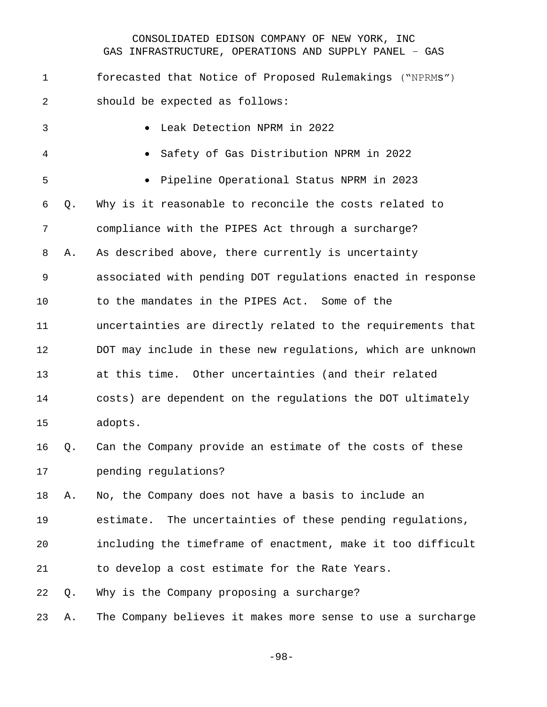forecasted that Notice of Proposed Rulemakings ("NPRMs") should be expected as follows:

| $\mathbf{3}$ |    | Leak Detection NPRM in 2022                                 |
|--------------|----|-------------------------------------------------------------|
| 4            |    | Safety of Gas Distribution NPRM in 2022<br>$\bullet$        |
| 5            |    | Pipeline Operational Status NPRM in 2023                    |
| 6            | Q. | Why is it reasonable to reconcile the costs related to      |
| 7            |    | compliance with the PIPES Act through a surcharge?          |
| 8            | Α. | As described above, there currently is uncertainty          |
| 9            |    | associated with pending DOT regulations enacted in response |
| 10           |    | to the mandates in the PIPES Act. Some of the               |
| 11           |    | uncertainties are directly related to the requirements that |
| 12           |    | DOT may include in these new regulations, which are unknown |
| 13           |    | at this time. Other uncertainties (and their related        |
| 14           |    | costs) are dependent on the regulations the DOT ultimately  |
| 15           |    | adopts.                                                     |
| 16           | Q. | Can the Company provide an estimate of the costs of these   |
| 17           |    | pending regulations?                                        |

A. No, the Company does not have a basis to include an

estimate. The uncertainties of these pending regulations,

including the timeframe of enactment, make it too difficult

to develop a cost estimate for the Rate Years.

Q. Why is the Company proposing a surcharge?

A. The Company believes it makes more sense to use a surcharge

-98-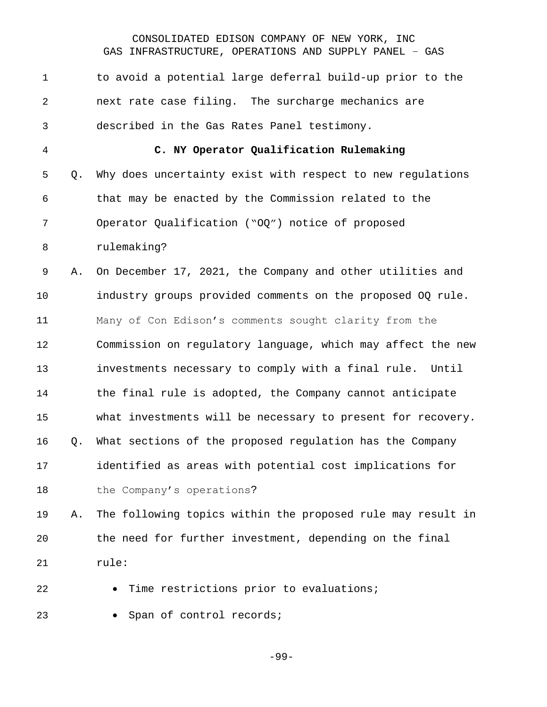| $\mathbf{1}$   |    | to avoid a potential large deferral build-up prior to the   |
|----------------|----|-------------------------------------------------------------|
| $\overline{2}$ |    | next rate case filing. The surcharge mechanics are          |
| 3              |    | described in the Gas Rates Panel testimony.                 |
| 4              |    | C. NY Operator Qualification Rulemaking                     |
| 5              | Q. | Why does uncertainty exist with respect to new regulations  |
| 6              |    | that may be enacted by the Commission related to the        |
| 7              |    | Operator Qualification ("OQ") notice of proposed            |
| 8              |    | rulemaking?                                                 |
| 9              | Α. | On December 17, 2021, the Company and other utilities and   |
| 10             |    | industry groups provided comments on the proposed OQ rule.  |
| 11             |    | Many of Con Edison's comments sought clarity from the       |
| 12             |    | Commission on regulatory language, which may affect the new |
| 13             |    | investments necessary to comply with a final rule. Until    |
| 14             |    | the final rule is adopted, the Company cannot anticipate    |
| 15             |    | what investments will be necessary to present for recovery. |
| 16             | Q. | What sections of the proposed regulation has the Company    |
| $17$           |    | identified as areas with potential cost implications for    |
| 18             |    | the Company's operations?                                   |
| 19             | Α. | The following topics within the proposed rule may result in |
| 20             |    | the need for further investment, depending on the final     |
| 21             |    | rule:                                                       |
| 22             |    | Time restrictions prior to evaluations;                     |
| 23             |    | Span of control records;                                    |

-99-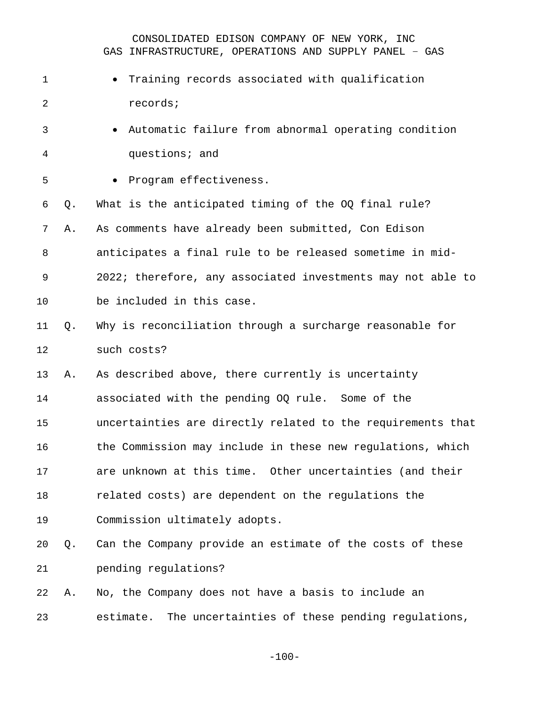| $\mathbf{1}$ |    | Training records associated with qualification               |
|--------------|----|--------------------------------------------------------------|
| 2            |    | records;                                                     |
| 3            |    | Automatic failure from abnormal operating condition          |
| 4            |    | questions; and                                               |
| 5            |    | Program effectiveness.                                       |
| 6            | Q. | What is the anticipated timing of the OQ final rule?         |
| 7            | Α. | As comments have already been submitted, Con Edison          |
| 8            |    | anticipates a final rule to be released sometime in mid-     |
| 9            |    | 2022; therefore, any associated investments may not able to  |
| 10           |    | be included in this case.                                    |
| 11           | Q. | Why is reconciliation through a surcharge reasonable for     |
| 12           |    | such costs?                                                  |
| 13           | Α. | As described above, there currently is uncertainty           |
| 14           |    | associated with the pending OQ rule. Some of the             |
| 15           |    | uncertainties are directly related to the requirements that  |
| 16           |    | the Commission may include in these new regulations, which   |
| 17           |    | are unknown at this time. Other uncertainties (and their     |
| 18           |    | related costs) are dependent on the regulations the          |
| 19           |    | Commission ultimately adopts.                                |
| 20           | Q. | Can the Company provide an estimate of the costs of these    |
| 21           |    | pending regulations?                                         |
| 22           | Α. | No, the Company does not have a basis to include an          |
| 23           |    | The uncertainties of these pending regulations,<br>estimate. |

-100-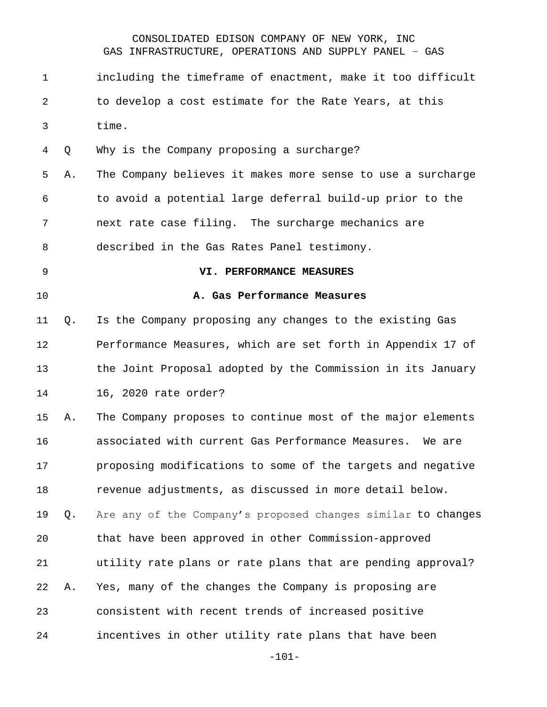| 1           |    | including the timeframe of enactment, make it too difficult  |
|-------------|----|--------------------------------------------------------------|
| 2           |    | to develop a cost estimate for the Rate Years, at this       |
| 3           |    | time.                                                        |
| 4           | Q  | Why is the Company proposing a surcharge?                    |
| 5           | Α. | The Company believes it makes more sense to use a surcharge  |
| 6           |    | to avoid a potential large deferral build-up prior to the    |
| 7           |    | next rate case filing. The surcharge mechanics are           |
| 8           |    | described in the Gas Rates Panel testimony.                  |
| $\mathsf 9$ |    | VI. PERFORMANCE MEASURES                                     |
| 10          |    | A. Gas Performance Measures                                  |
| 11          | Q. | Is the Company proposing any changes to the existing Gas     |
| 12          |    | Performance Measures, which are set forth in Appendix 17 of  |
| 13          |    | the Joint Proposal adopted by the Commission in its January  |
| 14          |    | 16, 2020 rate order?                                         |
| 15          | Α. | The Company proposes to continue most of the major elements  |
| 16          |    | associated with current Gas Performance Measures.<br>We are  |
| 17          |    | proposing modifications to some of the targets and negative  |
| 18          |    | revenue adjustments, as discussed in more detail below.      |
| 19          | Q. | Are any of the Company's proposed changes similar to changes |
| 20          |    | that have been approved in other Commission-approved         |
| 21          |    | utility rate plans or rate plans that are pending approval?  |
| 22          | Α. | Yes, many of the changes the Company is proposing are        |
| 23          |    | consistent with recent trends of increased positive          |
| 24          |    | incentives in other utility rate plans that have been        |
|             |    |                                                              |

-101-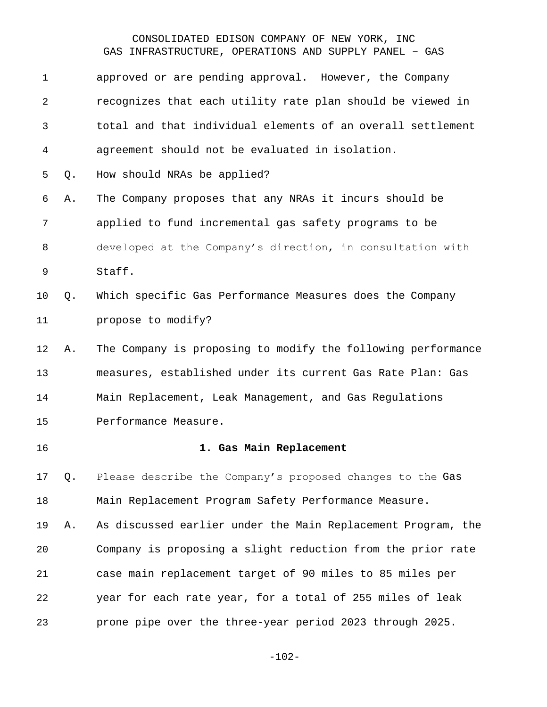| $\mathbf{1}$ |    | approved or are pending approval. However, the Company       |
|--------------|----|--------------------------------------------------------------|
| 2            |    | recognizes that each utility rate plan should be viewed in   |
| 3            |    | total and that individual elements of an overall settlement  |
| 4            |    | agreement should not be evaluated in isolation.              |
| 5            | Q. | How should NRAs be applied?                                  |
| 6            | Α. | The Company proposes that any NRAs it incurs should be       |
| 7            |    | applied to fund incremental gas safety programs to be        |
| 8            |    | developed at the Company's direction, in consultation with   |
| $\mathsf 9$  |    | Staff.                                                       |
| 10           | Q. | Which specific Gas Performance Measures does the Company     |
| 11           |    | propose to modify?                                           |
| 12           | Α. | The Company is proposing to modify the following performance |
| 13           |    | measures, established under its current Gas Rate Plan: Gas   |
| 14           |    | Main Replacement, Leak Management, and Gas Regulations       |
| 15           |    | Performance Measure.                                         |
| 16           |    | 1. Gas Main Replacement                                      |
| 17           | Q. | Please describe the Company's proposed changes to the Gas    |
| 18           |    | Main Replacement Program Safety Performance Measure.         |
| 19           | Α. | As discussed earlier under the Main Replacement Program, the |
| 20           |    | Company is proposing a slight reduction from the prior rate  |
| 21           |    | case main replacement target of 90 miles to 85 miles per     |
|              |    |                                                              |
| 22           |    | year for each rate year, for a total of 255 miles of leak    |

-102-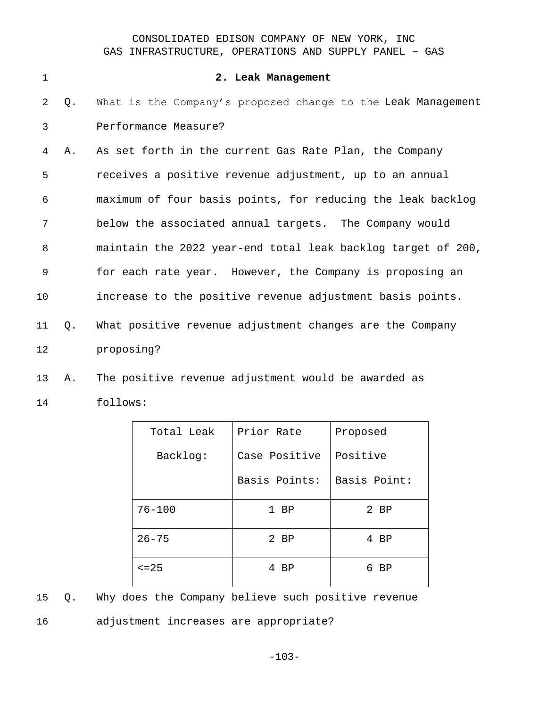| $\mathbf{1}$ |    | 2. Leak Management                                           |
|--------------|----|--------------------------------------------------------------|
| 2            | Q. | What is the Company's proposed change to the Leak Management |
| 3            |    | Performance Measure?                                         |
| 4            | Α. | As set forth in the current Gas Rate Plan, the Company       |
| 5            |    | receives a positive revenue adjustment, up to an annual      |
| 6            |    | maximum of four basis points, for reducing the leak backlog  |
| 7            |    | below the associated annual targets. The Company would       |
| 8            |    | maintain the 2022 year-end total leak backlog target of 200, |
| 9            |    | for each rate year. However, the Company is proposing an     |
| 10           |    | increase to the positive revenue adjustment basis points.    |
| 11           | Q. | What positive revenue adjustment changes are the Company     |
| 12           |    | proposing?                                                   |
| 13           | Α. | The positive revenue adjustment would be awarded as          |

14 follows:

| Total Leak  | Prior Rate    | Proposed     |
|-------------|---------------|--------------|
| Backlog:    | Case Positive | Positive     |
|             | Basis Points: | Basis Point: |
| $76 - 100$  | $1$ BP        | $2$ BP       |
| $26 - 75$   | $2$ BP        | 4 BP         |
| $\leq$ = 25 | 4 BP          | BP<br>6.     |

15 Q. Why does the Company believe such positive revenue 16 adjustment increases are appropriate?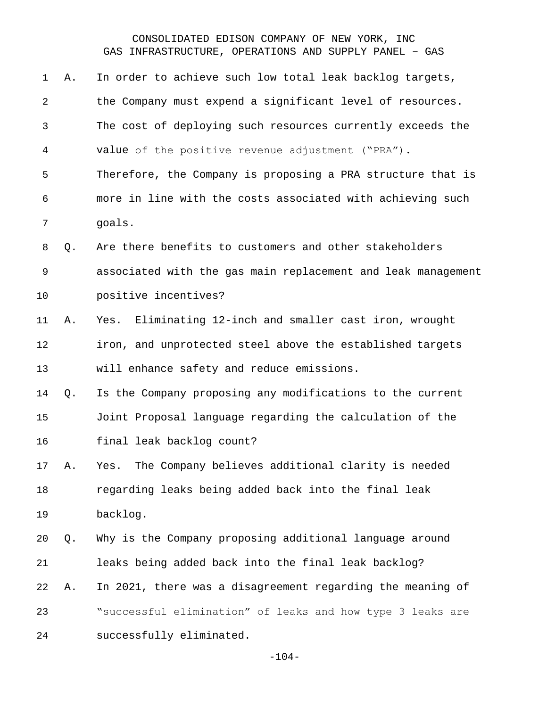| Α. | In order to achieve such low total leak backlog targets,     |
|----|--------------------------------------------------------------|
|    | the Company must expend a significant level of resources.    |
|    | The cost of deploying such resources currently exceeds the   |
|    | value of the positive revenue adjustment ("PRA").            |
|    | Therefore, the Company is proposing a PRA structure that is  |
|    | more in line with the costs associated with achieving such   |
|    | goals.                                                       |
| Q. | Are there benefits to customers and other stakeholders       |
|    | associated with the gas main replacement and leak management |
|    | positive incentives?                                         |
| Α. | Eliminating 12-inch and smaller cast iron, wrought<br>Yes.   |
|    | iron, and unprotected steel above the established targets    |
|    | will enhance safety and reduce emissions.                    |
| Q. | Is the Company proposing any modifications to the current    |
|    | Joint Proposal language regarding the calculation of the     |
|    | final leak backlog count?                                    |
| Α. | The Company believes additional clarity is needed<br>Yes.    |
|    | regarding leaks being added back into the final leak         |
|    | backlog.                                                     |
| Q. | Why is the Company proposing additional language around      |
|    |                                                              |
|    | leaks being added back into the final leak backlog?          |
| Α. | In 2021, there was a disagreement regarding the meaning of   |
|    | "successful elimination" of leaks and how type 3 leaks are   |
|    |                                                              |

-104-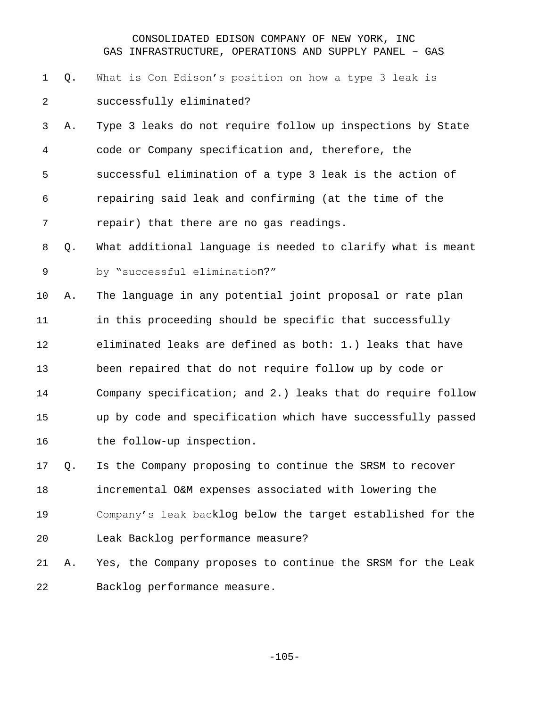- Q. What is Con Edison's position on how a type 3 leak is successfully eliminated?
- A. Type 3 leaks do not require follow up inspections by State code or Company specification and, therefore, the successful elimination of a type 3 leak is the action of repairing said leak and confirming (at the time of the repair) that there are no gas readings.
- Q. What additional language is needed to clarify what is meant by "successful elimination?"
- A. The language in any potential joint proposal or rate plan in this proceeding should be specific that successfully eliminated leaks are defined as both: 1.) leaks that have been repaired that do not require follow up by code or Company specification; and 2.) leaks that do require follow up by code and specification which have successfully passed 16 the follow-up inspection.
- Q. Is the Company proposing to continue the SRSM to recover incremental O&M expenses associated with lowering the Company's leak backlog below the target established for the Leak Backlog performance measure?
- A. Yes, the Company proposes to continue the SRSM for the Leak Backlog performance measure.

-105-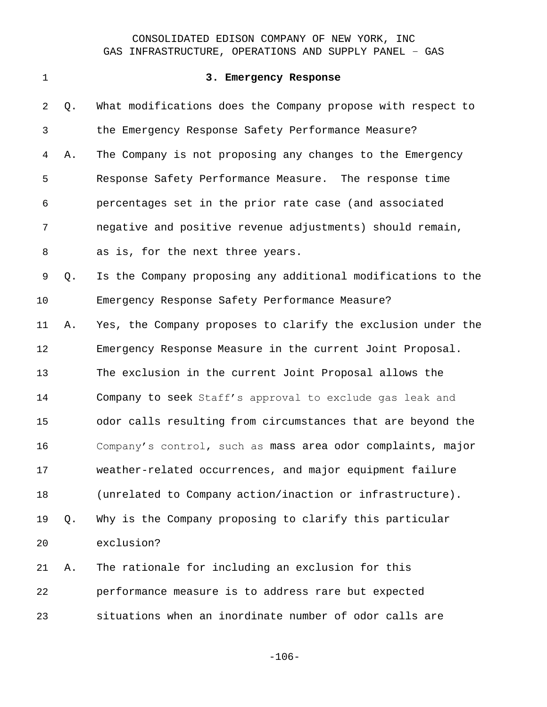#### **3. Emergency Response**

 Q. What modifications does the Company propose with respect to the Emergency Response Safety Performance Measure? A. The Company is not proposing any changes to the Emergency Response Safety Performance Measure. The response time percentages set in the prior rate case (and associated negative and positive revenue adjustments) should remain, as is, for the next three years. Q. Is the Company proposing any additional modifications to the Emergency Response Safety Performance Measure? A. Yes, the Company proposes to clarify the exclusion under the Emergency Response Measure in the current Joint Proposal. The exclusion in the current Joint Proposal allows the Company to seek Staff's approval to exclude gas leak and odor calls resulting from circumstances that are beyond the Company's control, such as mass area odor complaints, major weather-related occurrences, and major equipment failure (unrelated to Company action/inaction or infrastructure). Q. Why is the Company proposing to clarify this particular exclusion? A. The rationale for including an exclusion for this performance measure is to address rare but expected

situations when an inordinate number of odor calls are

-106-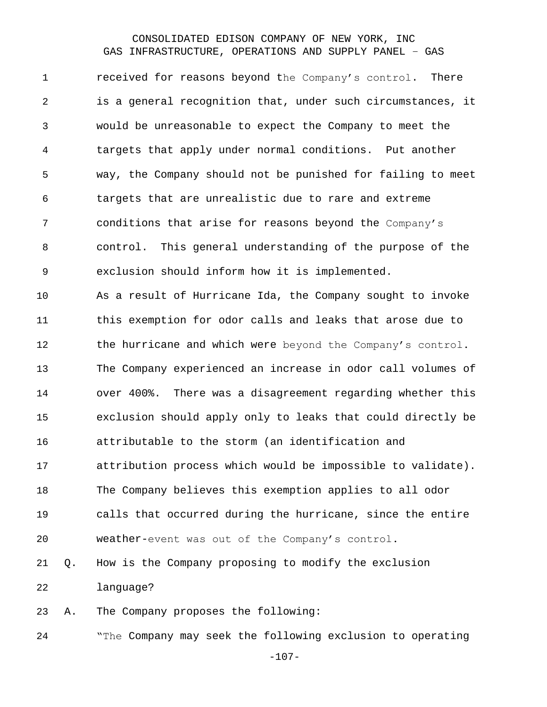received for reasons beyond the Company's control. There is a general recognition that, under such circumstances, it would be unreasonable to expect the Company to meet the targets that apply under normal conditions. Put another way, the Company should not be punished for failing to meet targets that are unrealistic due to rare and extreme conditions that arise for reasons beyond the Company's control. This general understanding of the purpose of the exclusion should inform how it is implemented. As a result of Hurricane Ida, the Company sought to invoke this exemption for odor calls and leaks that arose due to 12 the hurricane and which were beyond the Company's control. The Company experienced an increase in odor call volumes of over 400%. There was a disagreement regarding whether this exclusion should apply only to leaks that could directly be attributable to the storm (an identification and attribution process which would be impossible to validate). The Company believes this exemption applies to all odor calls that occurred during the hurricane, since the entire weather-event was out of the Company's control. Q. How is the Company proposing to modify the exclusion language?

A. The Company proposes the following:

"The Company may seek the following exclusion to operating

-107-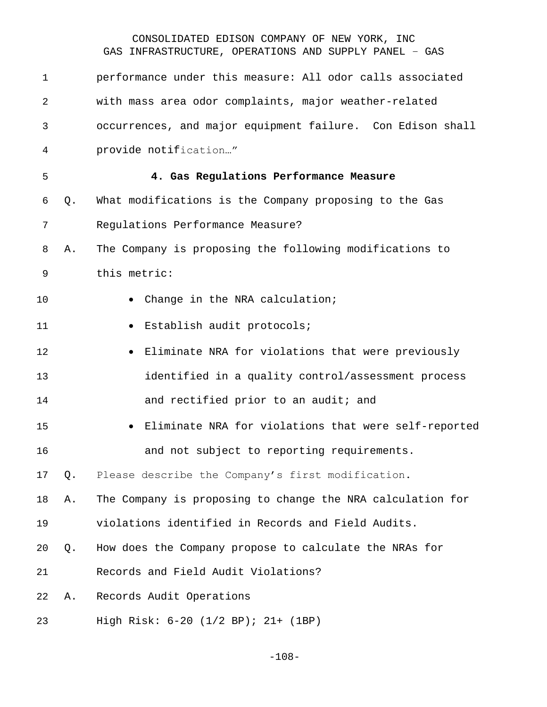| 1  |    | performance under this measure: All odor calls associated  |
|----|----|------------------------------------------------------------|
| 2  |    | with mass area odor complaints, major weather-related      |
| 3  |    | occurrences, and major equipment failure. Con Edison shall |
| 4  |    | provide notification"                                      |
| 5  |    | 4. Gas Regulations Performance Measure                     |
| 6  | Q. | What modifications is the Company proposing to the Gas     |
| 7  |    | Regulations Performance Measure?                           |
| 8  | Α. | The Company is proposing the following modifications to    |
| 9  |    | this metric:                                               |
| 10 |    | Change in the NRA calculation;                             |
| 11 |    | Establish audit protocols;<br>$\bullet$                    |
| 12 |    | Eliminate NRA for violations that were previously          |
| 13 |    | identified in a quality control/assessment process         |
| 14 |    | and rectified prior to an audit; and                       |
| 15 |    | • Eliminate NRA for violations that were self-reported     |
| 16 |    | and not subject to reporting requirements.                 |
| 17 | Q. | Please describe the Company's first modification.          |
| 18 | Α. | The Company is proposing to change the NRA calculation for |
| 19 |    | violations identified in Records and Field Audits.         |
| 20 | Q. | How does the Company propose to calculate the NRAs for     |
| 21 |    | Records and Field Audit Violations?                        |
| 22 | Α. | Records Audit Operations                                   |
| 23 |    | High Risk: 6-20 (1/2 BP); 21+ (1BP)                        |

-108-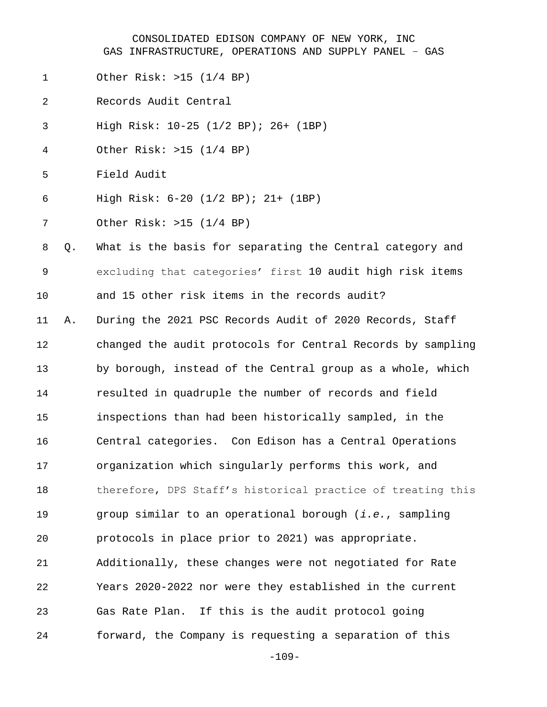- Other Risk: >15 (1/4 BP)
- Records Audit Central
- High Risk: 10-25 (1/2 BP); 26+ (1BP)
- Other Risk: >15 (1/4 BP)
- Field Audit
- High Risk: 6-20 (1/2 BP); 21+ (1BP)
- Other Risk: >15 (1/4 BP)

 Q. What is the basis for separating the Central category and excluding that categories' first 10 audit high risk items and 15 other risk items in the records audit?

 A. During the 2021 PSC Records Audit of 2020 Records, Staff changed the audit protocols for Central Records by sampling by borough, instead of the Central group as a whole, which resulted in quadruple the number of records and field inspections than had been historically sampled, in the Central categories. Con Edison has a Central Operations organization which singularly performs this work, and 18 therefore, DPS Staff's historical practice of treating this group similar to an operational borough (*i.e.*, sampling protocols in place prior to 2021) was appropriate. Additionally, these changes were not negotiated for Rate Years 2020-2022 nor were they established in the current Gas Rate Plan. If this is the audit protocol going forward, the Company is requesting a separation of this

-109-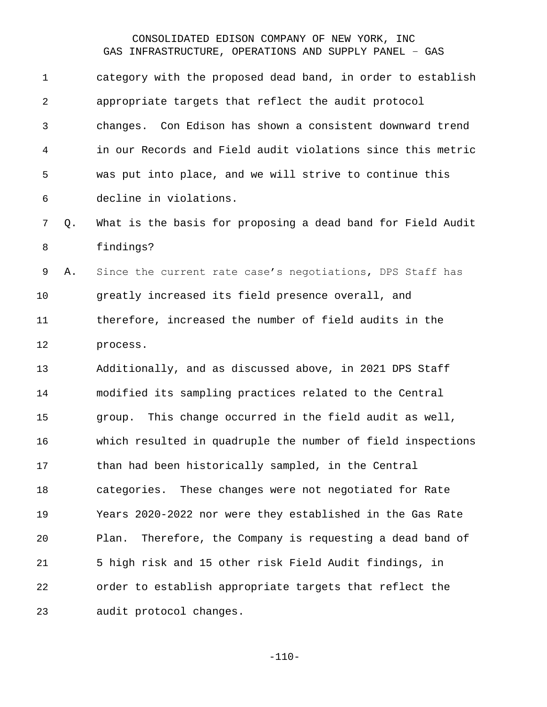| $\mathbf 1$ |    | category with the proposed dead band, in order to establish  |
|-------------|----|--------------------------------------------------------------|
| 2           |    | appropriate targets that reflect the audit protocol          |
| 3           |    | changes. Con Edison has shown a consistent downward trend    |
| 4           |    | in our Records and Field audit violations since this metric  |
| 5           |    | was put into place, and we will strive to continue this      |
| 6           |    | decline in violations.                                       |
| 7           | Q. | What is the basis for proposing a dead band for Field Audit  |
| 8           |    | findings?                                                    |
| 9           | Α. | Since the current rate case's negotiations, DPS Staff has    |
| 10          |    | greatly increased its field presence overall, and            |
| 11          |    | therefore, increased the number of field audits in the       |
| 12          |    | process.                                                     |
| 13          |    | Additionally, and as discussed above, in 2021 DPS Staff      |
| 14          |    | modified its sampling practices related to the Central       |
| 15          |    | This change occurred in the field audit as well,<br>group.   |
| 16          |    | which resulted in quadruple the number of field inspections  |
| 17          |    | than had been historically sampled, in the Central           |
| 18          |    | categories. These changes were not negotiated for Rate       |
| 19          |    | Years 2020-2022 nor were they established in the Gas Rate    |
| 20          |    | Therefore, the Company is requesting a dead band of<br>Plan. |
| 21          |    | 5 high risk and 15 other risk Field Audit findings, in       |
| 22          |    | order to establish appropriate targets that reflect the      |
| 23          |    | audit protocol changes.                                      |

-110-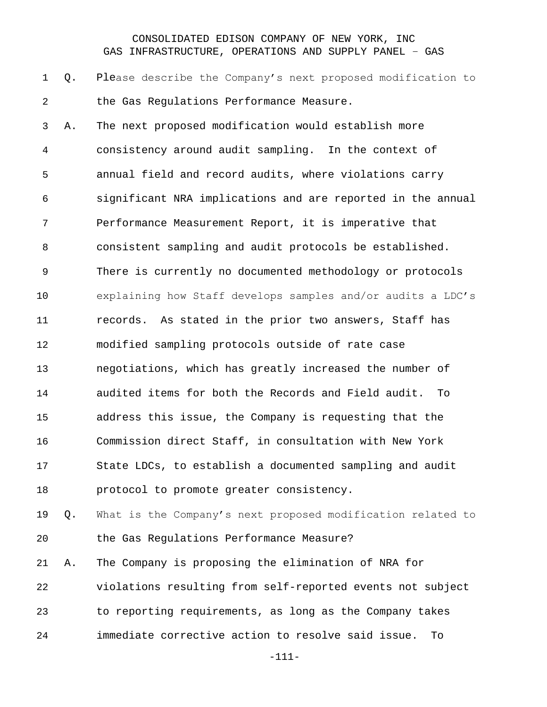Q. Please describe the Company's next proposed modification to the Gas Regulations Performance Measure.

 A. The next proposed modification would establish more consistency around audit sampling. In the context of annual field and record audits, where violations carry significant NRA implications and are reported in the annual Performance Measurement Report, it is imperative that consistent sampling and audit protocols be established. There is currently no documented methodology or protocols explaining how Staff develops samples and/or audits a LDC's records. As stated in the prior two answers, Staff has modified sampling protocols outside of rate case negotiations, which has greatly increased the number of audited items for both the Records and Field audit. To address this issue, the Company is requesting that the Commission direct Staff, in consultation with New York State LDCs, to establish a documented sampling and audit protocol to promote greater consistency.

 Q. What is the Company's next proposed modification related to the Gas Regulations Performance Measure?

 A. The Company is proposing the elimination of NRA for violations resulting from self-reported events not subject to reporting requirements, as long as the Company takes immediate corrective action to resolve said issue. To

-111-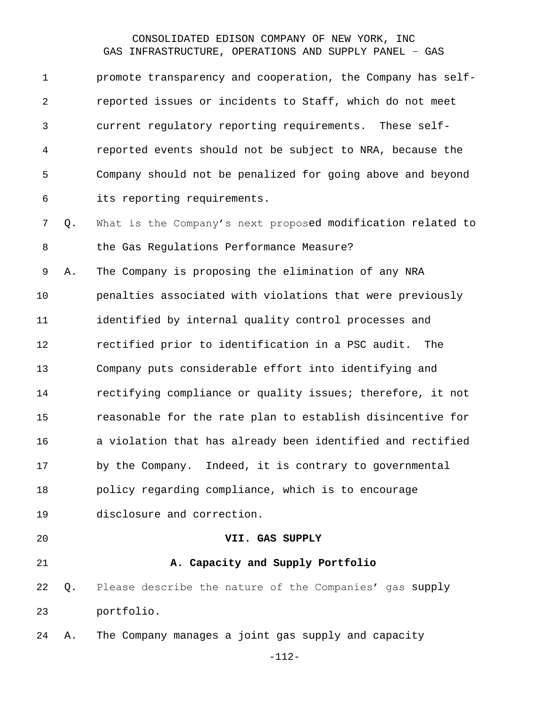promote transparency and cooperation, the Company has self- reported issues or incidents to Staff, which do not meet current regulatory reporting requirements. These self- reported events should not be subject to NRA, because the Company should not be penalized for going above and beyond its reporting requirements.

 Q. What is the Company's next proposed modification related to the Gas Regulations Performance Measure?

 A. The Company is proposing the elimination of any NRA penalties associated with violations that were previously identified by internal quality control processes and rectified prior to identification in a PSC audit. The Company puts considerable effort into identifying and rectifying compliance or quality issues; therefore, it not reasonable for the rate plan to establish disincentive for a violation that has already been identified and rectified by the Company. Indeed, it is contrary to governmental policy regarding compliance, which is to encourage disclosure and correction.

# **VII. GAS SUPPLY**

#### **A. Capacity and Supply Portfolio**

- Q. Please describe the nature of the Companies' gas supply portfolio.
- A. The Company manages a joint gas supply and capacity

-112-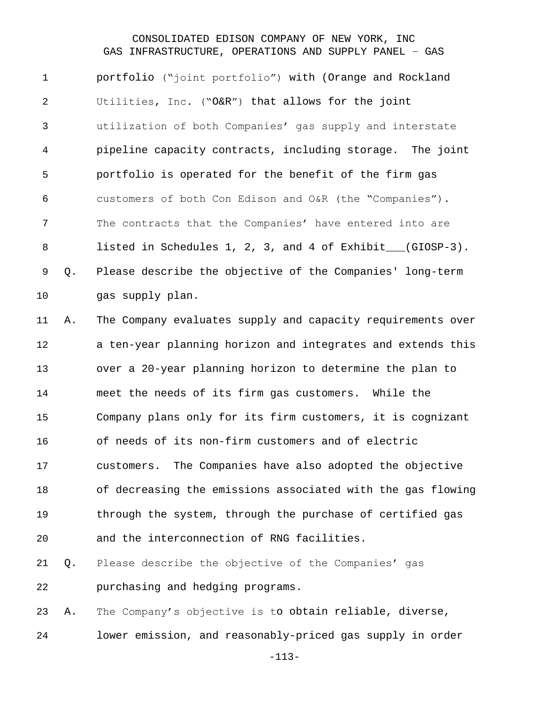portfolio ("joint portfolio") with (Orange and Rockland Utilities, Inc. ("O&R") that allows for the joint utilization of both Companies' gas supply and interstate pipeline capacity contracts, including storage. The joint portfolio is operated for the benefit of the firm gas customers of both Con Edison and O&R (the "Companies"). The contracts that the Companies' have entered into are 8 listed in Schedules 1, 2, 3, and 4 of Exhibit (GIOSP-3). Q. Please describe the objective of the Companies' long-term 10 gas supply plan.

 A. The Company evaluates supply and capacity requirements over a ten-year planning horizon and integrates and extends this over a 20-year planning horizon to determine the plan to meet the needs of its firm gas customers. While the Company plans only for its firm customers, it is cognizant of needs of its non-firm customers and of electric customers. The Companies have also adopted the objective of decreasing the emissions associated with the gas flowing through the system, through the purchase of certified gas and the interconnection of RNG facilities. Q. Please describe the objective of the Companies' gas

purchasing and hedging programs.

 A. The Company's objective is to obtain reliable, diverse, lower emission, and reasonably-priced gas supply in order

-113-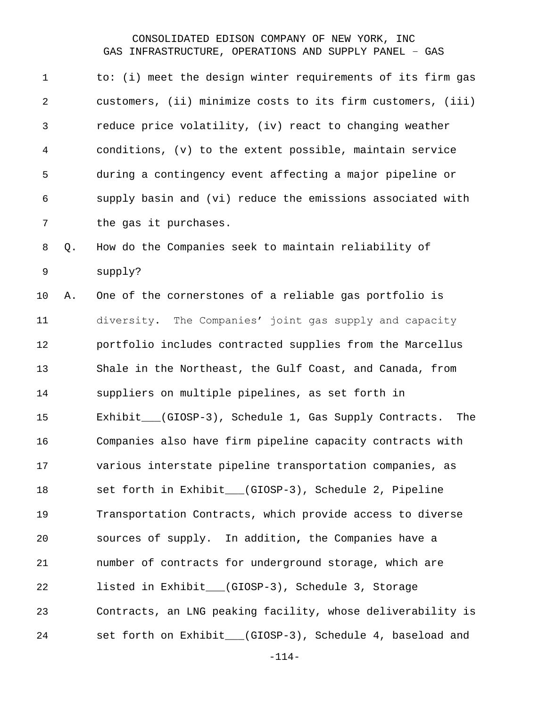| $\mathbf 1$    |    | to: (i) meet the design winter requirements of its firm gas |
|----------------|----|-------------------------------------------------------------|
| $\overline{2}$ |    | customers, (ii) minimize costs to its firm customers, (iii) |
| 3              |    | reduce price volatility, (iv) react to changing weather     |
| 4              |    | conditions, (v) to the extent possible, maintain service    |
| 5              |    | during a contingency event affecting a major pipeline or    |
| 6              |    | supply basin and (vi) reduce the emissions associated with  |
| 7              |    | the gas it purchases.                                       |
| 8              | Q. | How do the Companies seek to maintain reliability of        |
| $\mathsf 9$    |    | supply?                                                     |
| 10             | Α. | One of the cornerstones of a reliable gas portfolio is      |
| 11             |    | diversity. The Companies' joint gas supply and capacity     |
| 12             |    | portfolio includes contracted supplies from the Marcellus   |
| 13             |    | Shale in the Northeast, the Gulf Coast, and Canada, from    |
| 14             |    | suppliers on multiple pipelines, as set forth in            |
| 15             |    | Exhibit__(GIOSP-3), Schedule 1, Gas Supply Contracts. The   |
| 16             |    | Companies also have firm pipeline capacity contracts with   |
| 17             |    | various interstate pipeline transportation companies, as    |
| 18             |    | set forth in Exhibit__(GIOSP-3), Schedule 2, Pipeline       |
| 19             |    | Transportation Contracts, which provide access to diverse   |
| 20             |    | sources of supply. In addition, the Companies have a        |
| 21             |    | number of contracts for underground storage, which are      |
| 22             |    | listed in Exhibit__(GIOSP-3), Schedule 3, Storage           |
| 23             |    | Contracts, an LNG peaking facility, whose deliverability is |
| 24             |    | set forth on Exhibit__(GIOSP-3), Schedule 4, baseload and   |
|                |    |                                                             |

-114-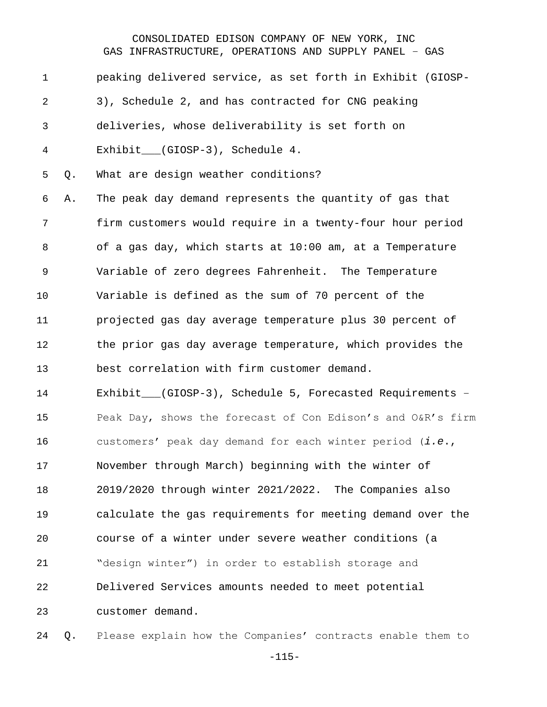| $\mathbf 1$ |    | peaking delivered service, as set forth in Exhibit (GIOSP-  |
|-------------|----|-------------------------------------------------------------|
| 2           |    | 3), Schedule 2, and has contracted for CNG peaking          |
| 3           |    | deliveries, whose deliverability is set forth on            |
| 4           |    | Exhibit___(GIOSP-3), Schedule 4.                            |
| 5           | Q. | What are design weather conditions?                         |
| 6           | Α. | The peak day demand represents the quantity of gas that     |
| 7           |    | firm customers would require in a twenty-four hour period   |
| 8           |    | of a gas day, which starts at 10:00 am, at a Temperature    |
| 9           |    | Variable of zero degrees Fahrenheit. The Temperature        |
| 10          |    | Variable is defined as the sum of 70 percent of the         |
| 11          |    | projected gas day average temperature plus 30 percent of    |
| 12          |    | the prior gas day average temperature, which provides the   |
| 13          |    | best correlation with firm customer demand.                 |
| 14          |    | Exhibit___(GIOSP-3), Schedule 5, Forecasted Requirements -  |
| 15          |    | Peak Day, shows the forecast of Con Edison's and O&R's firm |
| 16          |    | customers' peak day demand for each winter period (i.e.,    |
| 17          |    | November through March) beginning with the winter of        |
| 18          |    | 2019/2020 through winter 2021/2022. The Companies also      |
| 19          |    | calculate the gas requirements for meeting demand over the  |
| 20          |    | course of a winter under severe weather conditions (a       |
| 21          |    | "design winter") in order to establish storage and          |
| 22          |    | Delivered Services amounts needed to meet potential         |
| 23          |    | customer demand.                                            |
|             |    |                                                             |

Q. Please explain how the Companies' contracts enable them to

-115-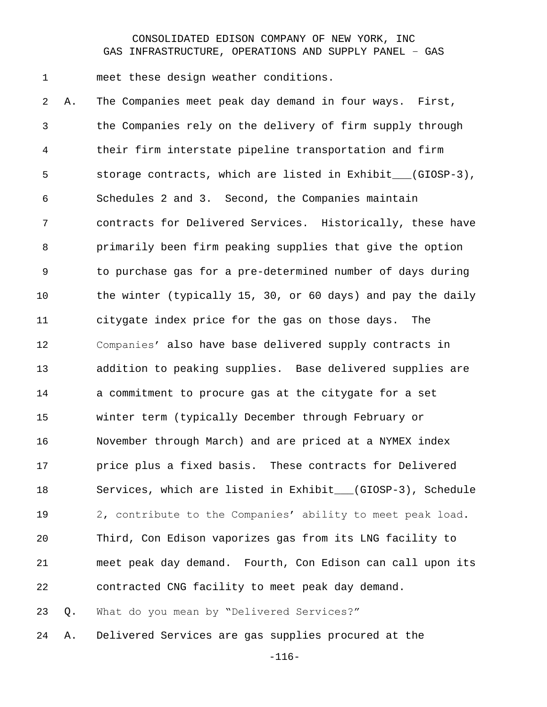meet these design weather conditions.

 A. The Companies meet peak day demand in four ways. First, the Companies rely on the delivery of firm supply through their firm interstate pipeline transportation and firm 5 storage contracts, which are listed in Exhibit (GIOSP-3), Schedules 2 and 3. Second, the Companies maintain contracts for Delivered Services. Historically, these have primarily been firm peaking supplies that give the option to purchase gas for a pre-determined number of days during the winter (typically 15, 30, or 60 days) and pay the daily citygate index price for the gas on those days. The Companies' also have base delivered supply contracts in addition to peaking supplies. Base delivered supplies are a commitment to procure gas at the citygate for a set winter term (typically December through February or November through March) and are priced at a NYMEX index price plus a fixed basis. These contracts for Delivered Services, which are listed in Exhibit\_\_\_(GIOSP-3), Schedule 2, contribute to the Companies' ability to meet peak load. Third, Con Edison vaporizes gas from its LNG facility to meet peak day demand. Fourth, Con Edison can call upon its contracted CNG facility to meet peak day demand. Q. What do you mean by "Delivered Services?"

A. Delivered Services are gas supplies procured at the

-116-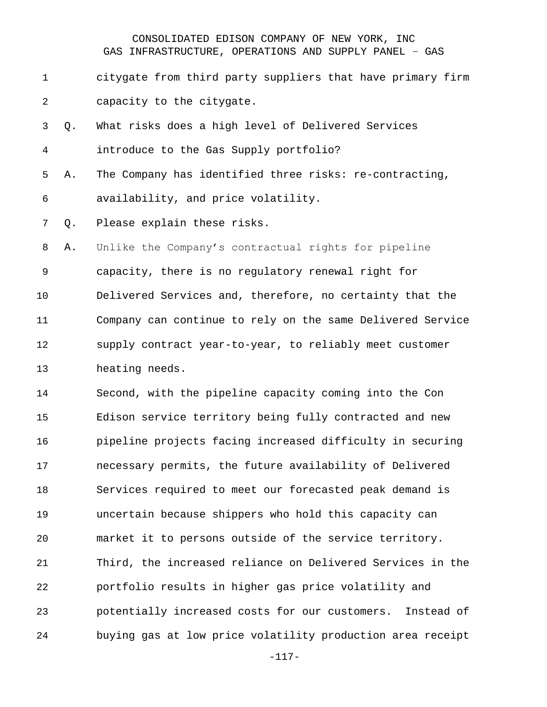- citygate from third party suppliers that have primary firm capacity to the citygate.
- Q. What risks does a high level of Delivered Services introduce to the Gas Supply portfolio?
- A. The Company has identified three risks: re-contracting, availability, and price volatility.

Q. Please explain these risks.

 A. Unlike the Company's contractual rights for pipeline capacity, there is no regulatory renewal right for Delivered Services and, therefore, no certainty that the Company can continue to rely on the same Delivered Service supply contract year-to-year, to reliably meet customer heating needs.

 Second, with the pipeline capacity coming into the Con Edison service territory being fully contracted and new pipeline projects facing increased difficulty in securing necessary permits, the future availability of Delivered Services required to meet our forecasted peak demand is uncertain because shippers who hold this capacity can market it to persons outside of the service territory. Third, the increased reliance on Delivered Services in the portfolio results in higher gas price volatility and potentially increased costs for our customers. Instead of buying gas at low price volatility production area receipt

-117-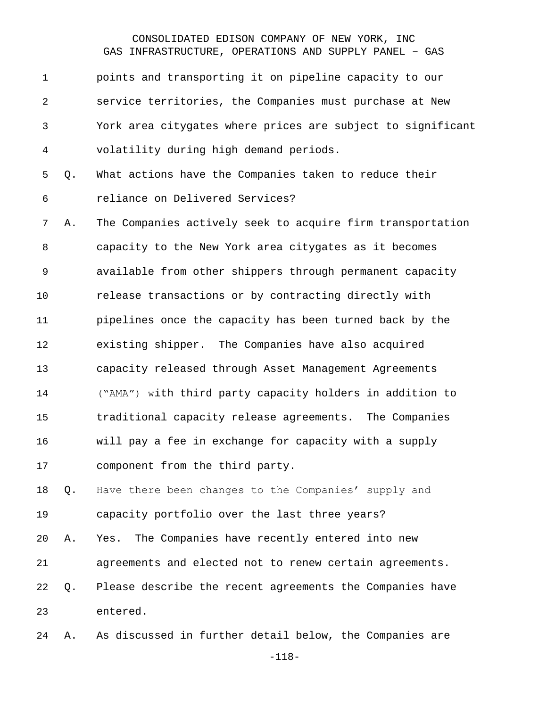| $\mathbf 1$ |    | points and transporting it on pipeline capacity to our      |
|-------------|----|-------------------------------------------------------------|
| 2           |    | service territories, the Companies must purchase at New     |
| 3           |    | York area citygates where prices are subject to significant |
| 4           |    | volatility during high demand periods.                      |
| 5           | Q. | What actions have the Companies taken to reduce their       |
| 6           |    | reliance on Delivered Services?                             |
| 7           | Α. | The Companies actively seek to acquire firm transportation  |
| 8           |    | capacity to the New York area citygates as it becomes       |
| 9           |    | available from other shippers through permanent capacity    |
| 10          |    | release transactions or by contracting directly with        |
| 11          |    | pipelines once the capacity has been turned back by the     |
| 12          |    | existing shipper. The Companies have also acquired          |
| 13          |    | capacity released through Asset Management Agreements       |
| 14          |    | ("AMA") with third party capacity holders in addition to    |
| 15          |    | traditional capacity release agreements. The Companies      |
| 16          |    | will pay a fee in exchange for capacity with a supply       |
| 17          |    | component from the third party.                             |
| 18          | Q. | Have there been changes to the Companies' supply and        |
| 19          |    | capacity portfolio over the last three years?               |
| 20          | Α. | Yes. The Companies have recently entered into new           |
| 21          |    | agreements and elected not to renew certain agreements.     |
| 22          | Q. | Please describe the recent agreements the Companies have    |
| 23          |    | entered.                                                    |
| 24          | Α. | As discussed in further detail below, the Companies are     |

-118-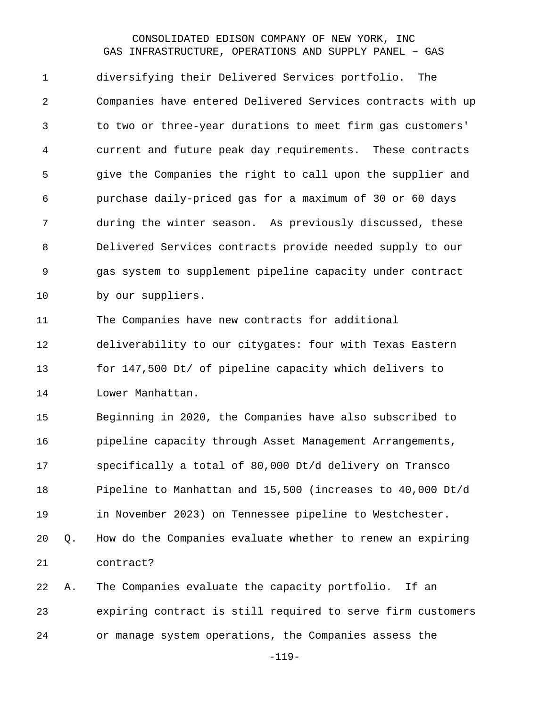diversifying their Delivered Services portfolio. The Companies have entered Delivered Services contracts with up to two or three-year durations to meet firm gas customers' current and future peak day requirements. These contracts give the Companies the right to call upon the supplier and purchase daily-priced gas for a maximum of 30 or 60 days during the winter season. As previously discussed, these Delivered Services contracts provide needed supply to our gas system to supplement pipeline capacity under contract by our suppliers.

The Companies have new contracts for additional

 deliverability to our citygates: four with Texas Eastern for 147,500 Dt/ of pipeline capacity which delivers to Lower Manhattan.

 Beginning in 2020, the Companies have also subscribed to pipeline capacity through Asset Management Arrangements, specifically a total of 80,000 Dt/d delivery on Transco Pipeline to Manhattan and 15,500 (increases to 40,000 Dt/d in November 2023) on Tennessee pipeline to Westchester. Q. How do the Companies evaluate whether to renew an expiring contract?

 A. The Companies evaluate the capacity portfolio. If an expiring contract is still required to serve firm customers or manage system operations, the Companies assess the

-119-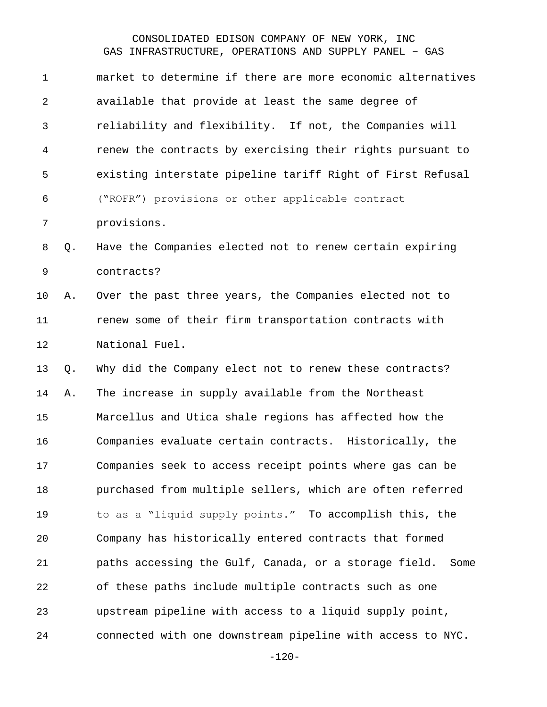| $\mathbf 1$ |    | market to determine if there are more economic alternatives   |
|-------------|----|---------------------------------------------------------------|
| 2           |    | available that provide at least the same degree of            |
| 3           |    | reliability and flexibility. If not, the Companies will       |
| 4           |    | renew the contracts by exercising their rights pursuant to    |
| 5           |    | existing interstate pipeline tariff Right of First Refusal    |
| 6           |    | ("ROFR") provisions or other applicable contract              |
| 7           |    | provisions.                                                   |
| 8           | Q. | Have the Companies elected not to renew certain expiring      |
| $\mathsf 9$ |    | contracts?                                                    |
| 10          | Α. | Over the past three years, the Companies elected not to       |
| 11          |    | renew some of their firm transportation contracts with        |
| 12          |    | National Fuel.                                                |
| 13          | Q. | Why did the Company elect not to renew these contracts?       |
| 14          | Α. | The increase in supply available from the Northeast           |
| 15          |    |                                                               |
|             |    | Marcellus and Utica shale regions has affected how the        |
| 16          |    | Companies evaluate certain contracts. Historically, the       |
| 17          |    | Companies seek to access receipt points where gas can be      |
| 18          |    | purchased from multiple sellers, which are often referred     |
| 19          |    | to as a "liquid supply points." To accomplish this, the       |
| 20          |    | Company has historically entered contracts that formed        |
| 21          |    | paths accessing the Gulf, Canada, or a storage field.<br>Some |
| 22          |    | of these paths include multiple contracts such as one         |
| 23          |    | upstream pipeline with access to a liquid supply point,       |

-120-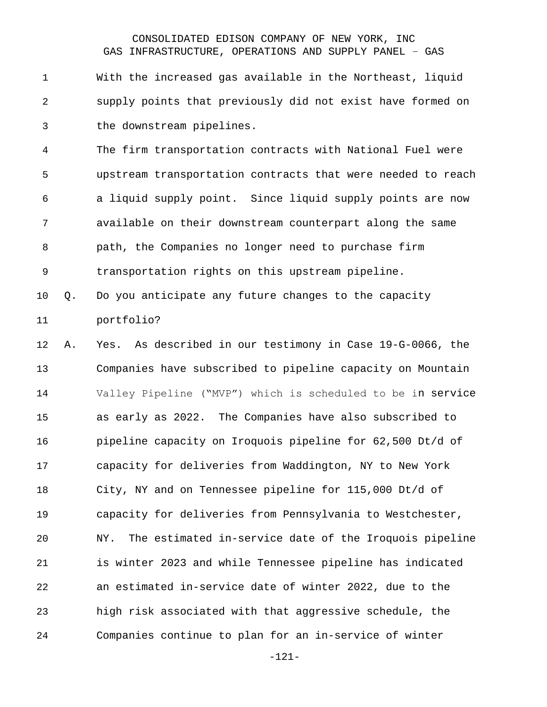With the increased gas available in the Northeast, liquid supply points that previously did not exist have formed on the downstream pipelines.

 The firm transportation contracts with National Fuel were upstream transportation contracts that were needed to reach a liquid supply point. Since liquid supply points are now available on their downstream counterpart along the same path, the Companies no longer need to purchase firm transportation rights on this upstream pipeline.

 Q. Do you anticipate any future changes to the capacity portfolio?

 A. Yes. As described in our testimony in Case 19-G-0066, the Companies have subscribed to pipeline capacity on Mountain Valley Pipeline ("MVP") which is scheduled to be in service as early as 2022. The Companies have also subscribed to pipeline capacity on Iroquois pipeline for 62,500 Dt/d of capacity for deliveries from Waddington, NY to New York City, NY and on Tennessee pipeline for 115,000 Dt/d of capacity for deliveries from Pennsylvania to Westchester, NY. The estimated in-service date of the Iroquois pipeline is winter 2023 and while Tennessee pipeline has indicated an estimated in-service date of winter 2022, due to the high risk associated with that aggressive schedule, the Companies continue to plan for an in-service of winter

-121-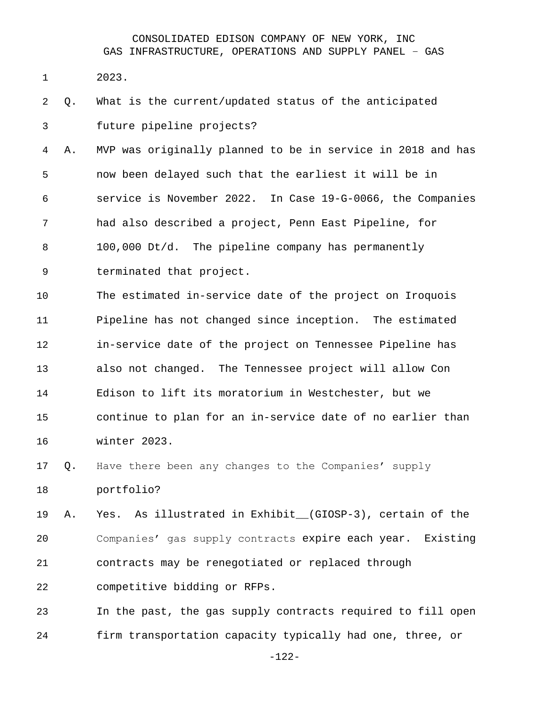- 2023.
- Q. What is the current/updated status of the anticipated future pipeline projects?

 A. MVP was originally planned to be in service in 2018 and has now been delayed such that the earliest it will be in service is November 2022. In Case 19-G-0066, the Companies had also described a project, Penn East Pipeline, for 100,000 Dt/d. The pipeline company has permanently terminated that project.

 The estimated in-service date of the project on Iroquois Pipeline has not changed since inception. The estimated in-service date of the project on Tennessee Pipeline has also not changed. The Tennessee project will allow Con Edison to lift its moratorium in Westchester, but we continue to plan for an in-service date of no earlier than winter 2023.

 Q. Have there been any changes to the Companies' supply portfolio?

 A. Yes. As illustrated in Exhibit\_\_(GIOSP-3), certain of the Companies' gas supply contracts expire each year. Existing contracts may be renegotiated or replaced through

competitive bidding or RFPs.

 In the past, the gas supply contracts required to fill open firm transportation capacity typically had one, three, or

-122-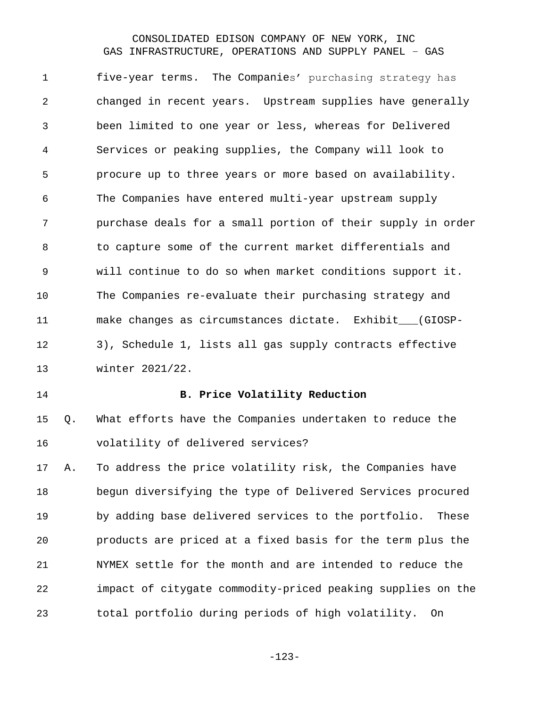five-year terms. The Companies' purchasing strategy has changed in recent years. Upstream supplies have generally been limited to one year or less, whereas for Delivered Services or peaking supplies, the Company will look to procure up to three years or more based on availability. The Companies have entered multi-year upstream supply purchase deals for a small portion of their supply in order to capture some of the current market differentials and will continue to do so when market conditions support it. The Companies re-evaluate their purchasing strategy and make changes as circumstances dictate. Exhibit\_\_\_(GIOSP- 3), Schedule 1, lists all gas supply contracts effective winter 2021/22.

#### **B. Price Volatility Reduction**

 Q. What efforts have the Companies undertaken to reduce the volatility of delivered services?

 A. To address the price volatility risk, the Companies have begun diversifying the type of Delivered Services procured by adding base delivered services to the portfolio. These products are priced at a fixed basis for the term plus the NYMEX settle for the month and are intended to reduce the impact of citygate commodity-priced peaking supplies on the total portfolio during periods of high volatility. On

-123-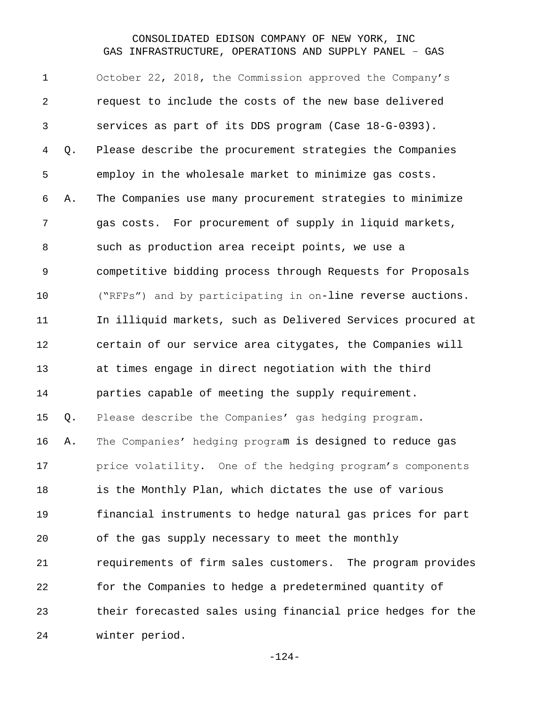October 22, 2018, the Commission approved the Company's request to include the costs of the new base delivered services as part of its DDS program (Case 18-G-0393). Q. Please describe the procurement strategies the Companies employ in the wholesale market to minimize gas costs. A. The Companies use many procurement strategies to minimize gas costs. For procurement of supply in liquid markets, such as production area receipt points, we use a competitive bidding process through Requests for Proposals ("RFPs") and by participating in on-line reverse auctions. In illiquid markets, such as Delivered Services procured at certain of our service area citygates, the Companies will at times engage in direct negotiation with the third parties capable of meeting the supply requirement. Q. Please describe the Companies' gas hedging program. A. The Companies' hedging program is designed to reduce gas price volatility. One of the hedging program's components is the Monthly Plan, which dictates the use of various financial instruments to hedge natural gas prices for part of the gas supply necessary to meet the monthly requirements of firm sales customers. The program provides for the Companies to hedge a predetermined quantity of their forecasted sales using financial price hedges for the winter period.

-124-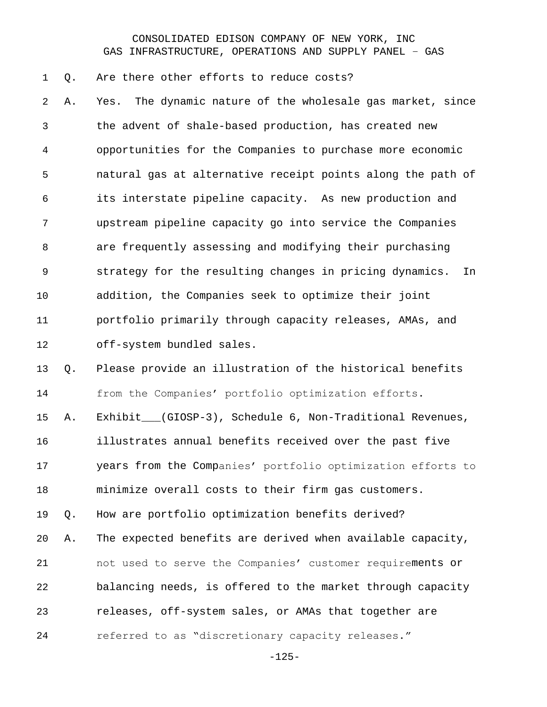Q. Are there other efforts to reduce costs?

 A. Yes. The dynamic nature of the wholesale gas market, since the advent of shale-based production, has created new opportunities for the Companies to purchase more economic natural gas at alternative receipt points along the path of its interstate pipeline capacity. As new production and upstream pipeline capacity go into service the Companies are frequently assessing and modifying their purchasing strategy for the resulting changes in pricing dynamics. In addition, the Companies seek to optimize their joint portfolio primarily through capacity releases, AMAs, and off-system bundled sales.

 Q. Please provide an illustration of the historical benefits from the Companies' portfolio optimization efforts.

A. Exhibit\_\_\_(GIOSP-3), Schedule 6, Non-Traditional Revenues,

illustrates annual benefits received over the past five

 years from the Companies' portfolio optimization efforts to minimize overall costs to their firm gas customers.

Q. How are portfolio optimization benefits derived?

 A. The expected benefits are derived when available capacity, not used to serve the Companies' customer requirements or balancing needs, is offered to the market through capacity releases, off-system sales, or AMAs that together are referred to as "discretionary capacity releases."

-125-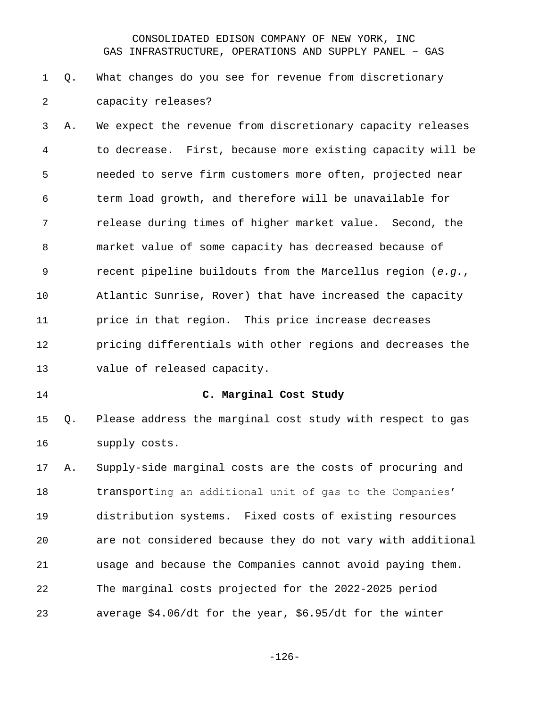# Q. What changes do you see for revenue from discretionary capacity releases?

 A. We expect the revenue from discretionary capacity releases to decrease. First, because more existing capacity will be needed to serve firm customers more often, projected near term load growth, and therefore will be unavailable for release during times of higher market value. Second, the market value of some capacity has decreased because of recent pipeline buildouts from the Marcellus region (*e.g.*, Atlantic Sunrise, Rover) that have increased the capacity price in that region. This price increase decreases pricing differentials with other regions and decreases the value of released capacity.

#### **C. Marginal Cost Study**

 Q. Please address the marginal cost study with respect to gas supply costs.

 A. Supply-side marginal costs are the costs of procuring and transporting an additional unit of gas to the Companies' distribution systems. Fixed costs of existing resources are not considered because they do not vary with additional usage and because the Companies cannot avoid paying them. The marginal costs projected for the 2022-2025 period average \$4.06/dt for the year, \$6.95/dt for the winter

-126-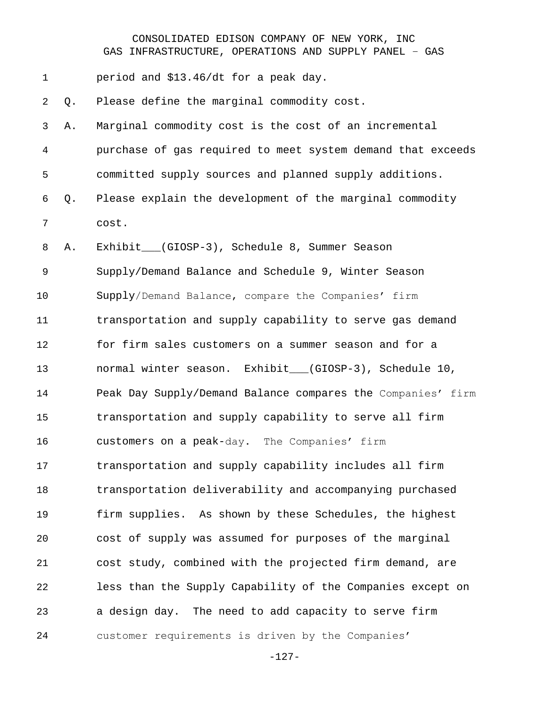| 1  |    | period and \$13.46/dt for a peak day.                       |
|----|----|-------------------------------------------------------------|
| 2  | Q. | Please define the marginal commodity cost.                  |
| 3  | Α. | Marginal commodity cost is the cost of an incremental       |
| 4  |    | purchase of gas required to meet system demand that exceeds |
| 5  |    | committed supply sources and planned supply additions.      |
| 6  | Q. | Please explain the development of the marginal commodity    |
| 7  |    | cost.                                                       |
| 8  | Α. | Exhibit__(GIOSP-3), Schedule 8, Summer Season               |
| 9  |    | Supply/Demand Balance and Schedule 9, Winter Season         |
| 10 |    | Supply/Demand Balance, compare the Companies' firm          |
| 11 |    | transportation and supply capability to serve gas demand    |
| 12 |    | for firm sales customers on a summer season and for a       |
| 13 |    | normal winter season. Exhibit__(GIOSP-3), Schedule 10,      |
| 14 |    | Peak Day Supply/Demand Balance compares the Companies' firm |
| 15 |    | transportation and supply capability to serve all firm      |
| 16 |    | customers on a peak-day. The Companies' firm                |
| 17 |    | transportation and supply capability includes all firm      |
| 18 |    | transportation deliverability and accompanying purchased    |
| 19 |    | firm supplies. As shown by these Schedules, the highest     |
| 20 |    | cost of supply was assumed for purposes of the marginal     |
| 21 |    | cost study, combined with the projected firm demand, are    |
| 22 |    | less than the Supply Capability of the Companies except on  |
| 23 |    | a design day. The need to add capacity to serve firm        |
| 24 |    | customer requirements is driven by the Companies'           |

-127-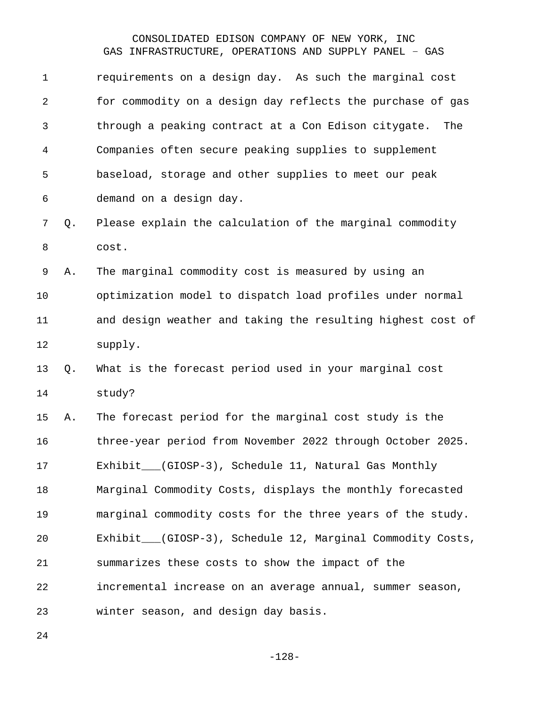| $\mathbf 1$    |    | requirements on a design day. As such the marginal cost     |
|----------------|----|-------------------------------------------------------------|
| $\overline{2}$ |    | for commodity on a design day reflects the purchase of gas  |
| 3              |    | through a peaking contract at a Con Edison citygate.<br>The |
| $\overline{4}$ |    | Companies often secure peaking supplies to supplement       |
| 5              |    | baseload, storage and other supplies to meet our peak       |
| 6              |    | demand on a design day.                                     |
| 7              | Q. | Please explain the calculation of the marginal commodity    |
| 8              |    | cost.                                                       |
| 9              | Α. | The marginal commodity cost is measured by using an         |
| 10             |    | optimization model to dispatch load profiles under normal   |
| 11             |    | and design weather and taking the resulting highest cost of |
|                |    |                                                             |
| 12             |    | supply.                                                     |
| 13             | Q. | What is the forecast period used in your marginal cost      |
| 14             |    | study?                                                      |
| 15             | Α. | The forecast period for the marginal cost study is the      |
| 16             |    | three-year period from November 2022 through October 2025.  |
| 17             |    | __(GIOSP-3), Schedule 11, Natural Gas Monthly<br>Exhibit_   |
| 18             |    | Marginal Commodity Costs, displays the monthly forecasted   |
| 19             |    | marginal commodity costs for the three years of the study.  |
| 20             |    | Exhibit___(GIOSP-3), Schedule 12, Marginal Commodity Costs, |
| 21             |    | summarizes these costs to show the impact of the            |
| 22             |    | incremental increase on an average annual, summer season,   |
| 23             |    | winter season, and design day basis.                        |

-128-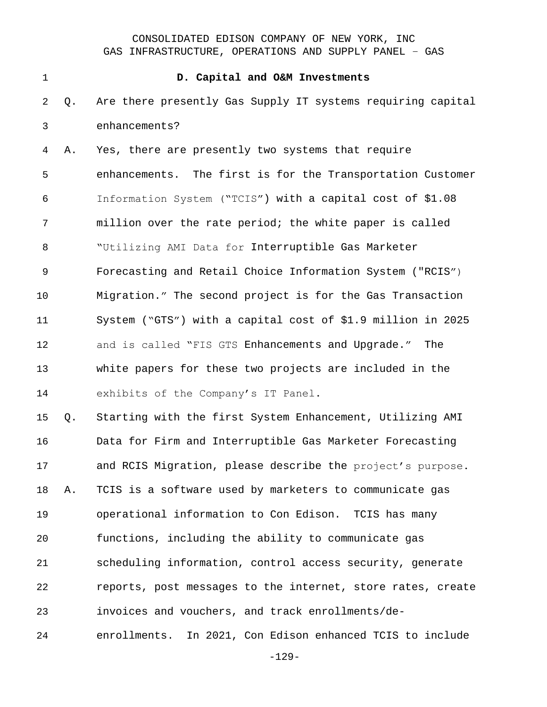#### **D. Capital and O&M Investments**

 Q. Are there presently Gas Supply IT systems requiring capital enhancements?

 A. Yes, there are presently two systems that require enhancements. The first is for the Transportation Customer Information System ("TCIS") with a capital cost of \$1.08 million over the rate period; the white paper is called "Utilizing AMI Data for Interruptible Gas Marketer Forecasting and Retail Choice Information System ("RCIS") Migration." The second project is for the Gas Transaction System ("GTS") with a capital cost of \$1.9 million in 2025 and is called "FIS GTS Enhancements and Upgrade." The white papers for these two projects are included in the exhibits of the Company's IT Panel.

 Q. Starting with the first System Enhancement, Utilizing AMI Data for Firm and Interruptible Gas Marketer Forecasting and RCIS Migration, please describe the project's purpose. A. TCIS is a software used by marketers to communicate gas operational information to Con Edison. TCIS has many functions, including the ability to communicate gas scheduling information, control access security, generate reports, post messages to the internet, store rates, create invoices and vouchers, and track enrollments/de-enrollments. In 2021, Con Edison enhanced TCIS to include

-129-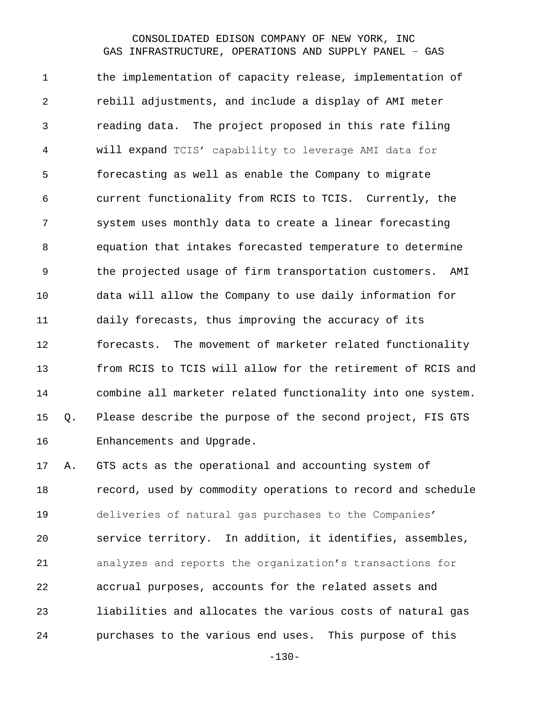the implementation of capacity release, implementation of rebill adjustments, and include a display of AMI meter reading data. The project proposed in this rate filing will expand TCIS' capability to leverage AMI data for forecasting as well as enable the Company to migrate current functionality from RCIS to TCIS. Currently, the system uses monthly data to create a linear forecasting equation that intakes forecasted temperature to determine the projected usage of firm transportation customers. AMI data will allow the Company to use daily information for daily forecasts, thus improving the accuracy of its forecasts. The movement of marketer related functionality from RCIS to TCIS will allow for the retirement of RCIS and combine all marketer related functionality into one system. Q. Please describe the purpose of the second project, FIS GTS Enhancements and Upgrade.

 A. GTS acts as the operational and accounting system of **record, used by commodity operations to record and schedule**  deliveries of natural gas purchases to the Companies' service territory. In addition, it identifies, assembles, analyzes and reports the organization's transactions for accrual purposes, accounts for the related assets and liabilities and allocates the various costs of natural gas purchases to the various end uses. This purpose of this

-130-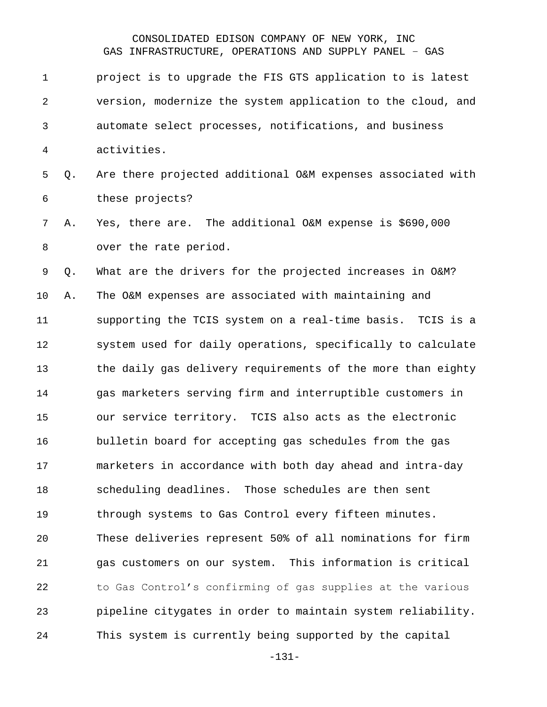project is to upgrade the FIS GTS application to is latest version, modernize the system application to the cloud, and automate select processes, notifications, and business activities. Q. Are there projected additional O&M expenses associated with these projects? A. Yes, there are. The additional O&M expense is \$690,000 over the rate period. Q. What are the drivers for the projected increases in O&M? A. The O&M expenses are associated with maintaining and supporting the TCIS system on a real-time basis. TCIS is a system used for daily operations, specifically to calculate the daily gas delivery requirements of the more than eighty gas marketers serving firm and interruptible customers in our service territory. TCIS also acts as the electronic bulletin board for accepting gas schedules from the gas marketers in accordance with both day ahead and intra-day scheduling deadlines. Those schedules are then sent through systems to Gas Control every fifteen minutes. These deliveries represent 50% of all nominations for firm gas customers on our system. This information is critical to Gas Control's confirming of gas supplies at the various pipeline citygates in order to maintain system reliability.

This system is currently being supported by the capital

-131-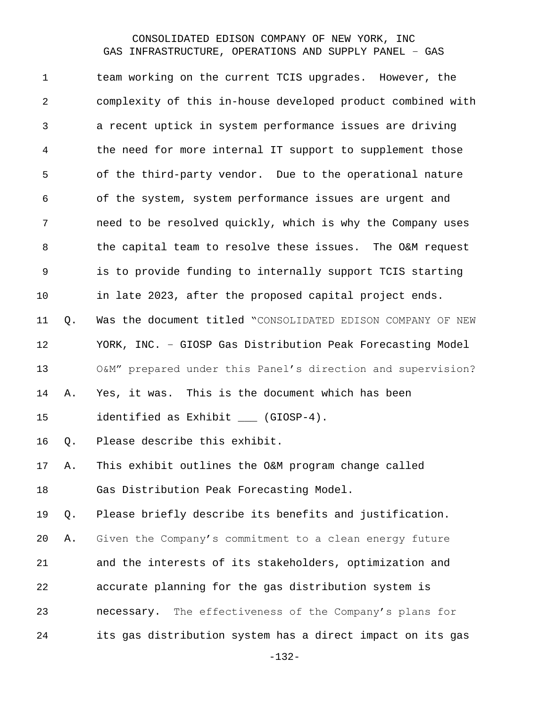team working on the current TCIS upgrades. However, the complexity of this in-house developed product combined with a recent uptick in system performance issues are driving the need for more internal IT support to supplement those of the third-party vendor. Due to the operational nature of the system, system performance issues are urgent and need to be resolved quickly, which is why the Company uses the capital team to resolve these issues. The O&M request is to provide funding to internally support TCIS starting in late 2023, after the proposed capital project ends. Q. Was the document titled "CONSOLIDATED EDISON COMPANY OF NEW YORK, INC. – GIOSP Gas Distribution Peak Forecasting Model O&M" prepared under this Panel's direction and supervision? A. Yes, it was. This is the document which has been 15 identified as Exhibit \_\_\_ (GIOSP-4). Q. Please describe this exhibit. A. This exhibit outlines the O&M program change called Gas Distribution Peak Forecasting Model. Q. Please briefly describe its benefits and justification. A. Given the Company's commitment to a clean energy future and the interests of its stakeholders, optimization and accurate planning for the gas distribution system is necessary. The effectiveness of the Company's plans for its gas distribution system has a direct impact on its gas

-132-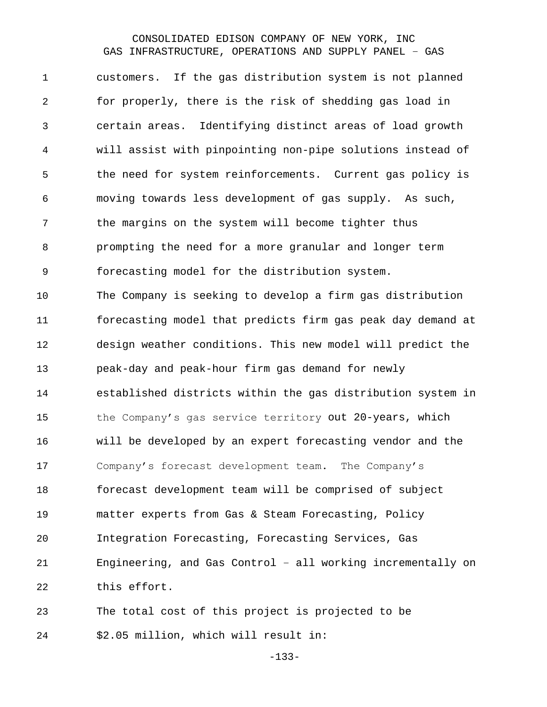customers. If the gas distribution system is not planned for properly, there is the risk of shedding gas load in certain areas. Identifying distinct areas of load growth will assist with pinpointing non-pipe solutions instead of the need for system reinforcements. Current gas policy is moving towards less development of gas supply. As such, the margins on the system will become tighter thus prompting the need for a more granular and longer term forecasting model for the distribution system. The Company is seeking to develop a firm gas distribution forecasting model that predicts firm gas peak day demand at design weather conditions. This new model will predict the peak-day and peak-hour firm gas demand for newly established districts within the gas distribution system in the Company's gas service territory out 20-years, which will be developed by an expert forecasting vendor and the Company's forecast development team. The Company's forecast development team will be comprised of subject matter experts from Gas & Steam Forecasting, Policy Integration Forecasting, Forecasting Services, Gas Engineering, and Gas Control – all working incrementally on this effort. The total cost of this project is projected to be

\$2.05 million, which will result in:

-133-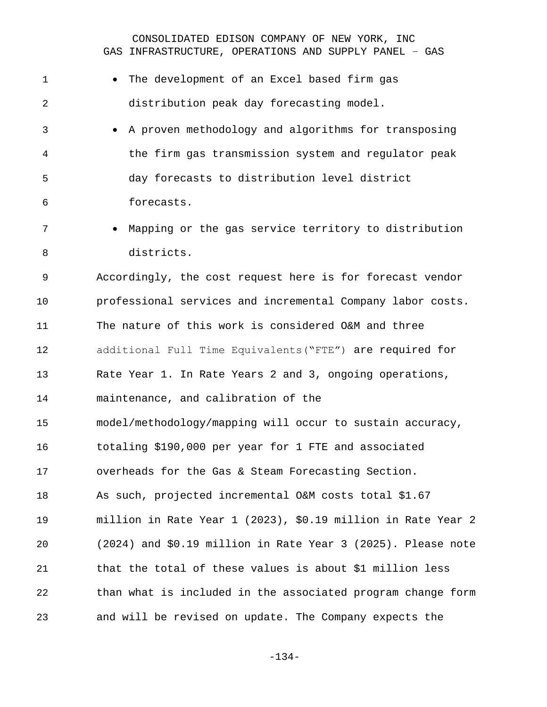| 1              | The development of an Excel based firm gas                     |
|----------------|----------------------------------------------------------------|
| $\overline{2}$ | distribution peak day forecasting model.                       |
| 3              | A proven methodology and algorithms for transposing            |
| 4              | the firm gas transmission system and regulator peak            |
| 5              | day forecasts to distribution level district                   |
| 6              | forecasts.                                                     |
| 7              | Mapping or the gas service territory to distribution           |
| 8              | districts.                                                     |
| 9              | Accordingly, the cost request here is for forecast vendor      |
| 10             | professional services and incremental Company labor costs.     |
| 11             | The nature of this work is considered O&M and three            |
| 12             | additional Full Time Equivalents ("FTE") are required for      |
| 13             | Rate Year 1. In Rate Years 2 and 3, ongoing operations,        |
| 14             | maintenance, and calibration of the                            |
| 15             | model/methodology/mapping will occur to sustain accuracy,      |
| 16             | totaling \$190,000 per year for 1 FTE and associated           |
| 17             | overheads for the Gas & Steam Forecasting Section.             |
| 18             | As such, projected incremental O&M costs total \$1.67          |
| 19             | million in Rate Year 1 (2023), \$0.19 million in Rate Year 2   |
| 20             | $(2024)$ and \$0.19 million in Rate Year 3 (2025). Please note |
| 21             | that the total of these values is about \$1 million less       |
| 22             | than what is included in the associated program change form    |
| 23             | and will be revised on update. The Company expects the         |

-134-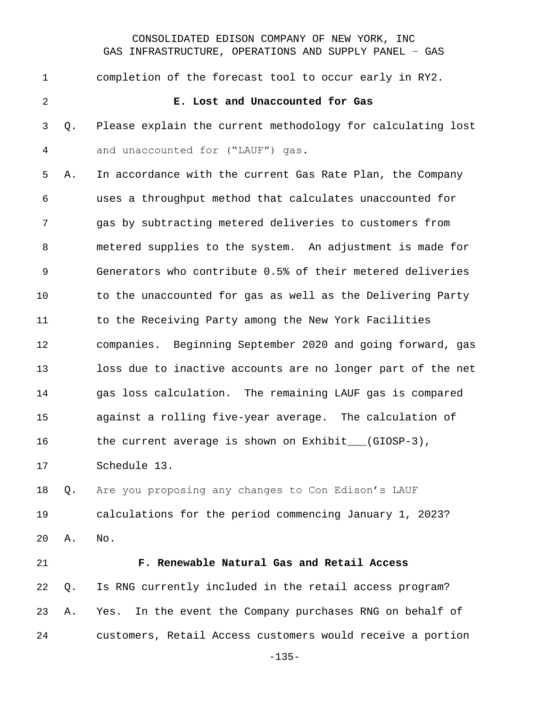completion of the forecast tool to occur early in RY2. **E. Lost and Unaccounted for Gas** Q. Please explain the current methodology for calculating lost and unaccounted for ("LAUF") gas. A. In accordance with the current Gas Rate Plan, the Company uses a throughput method that calculates unaccounted for gas by subtracting metered deliveries to customers from metered supplies to the system. An adjustment is made for Generators who contribute 0.5% of their metered deliveries to the unaccounted for gas as well as the Delivering Party 11 to the Receiving Party among the New York Facilities companies. Beginning September 2020 and going forward, gas loss due to inactive accounts are no longer part of the net gas loss calculation. The remaining LAUF gas is compared against a rolling five-year average. The calculation of the current average is shown on Exhibit\_\_\_(GIOSP-3), Schedule 13. Q. Are you proposing any changes to Con Edison's LAUF calculations for the period commencing January 1, 2023? A. No. **F. Renewable Natural Gas and Retail Access** Q. Is RNG currently included in the retail access program?

 A. Yes. In the event the Company purchases RNG on behalf of customers, Retail Access customers would receive a portion

-135-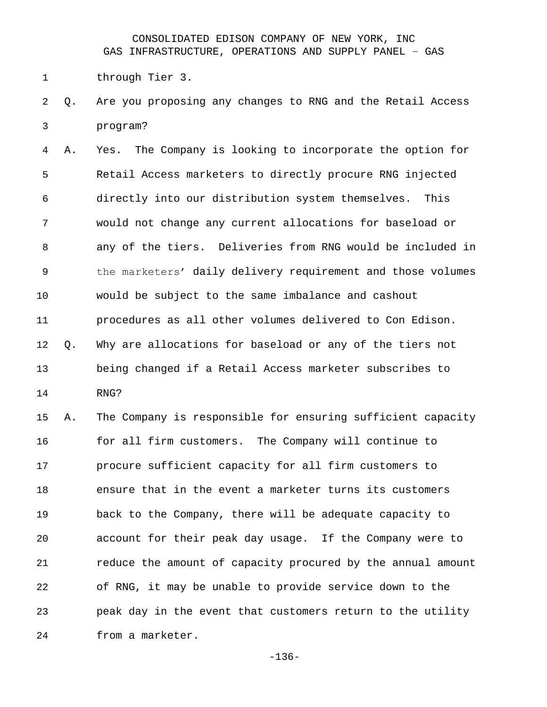through Tier 3.

 Q. Are you proposing any changes to RNG and the Retail Access program?

 A. Yes. The Company is looking to incorporate the option for Retail Access marketers to directly procure RNG injected directly into our distribution system themselves. This would not change any current allocations for baseload or any of the tiers. Deliveries from RNG would be included in the marketers' daily delivery requirement and those volumes would be subject to the same imbalance and cashout procedures as all other volumes delivered to Con Edison. Q. Why are allocations for baseload or any of the tiers not being changed if a Retail Access marketer subscribes to RNG?

 A. The Company is responsible for ensuring sufficient capacity for all firm customers. The Company will continue to procure sufficient capacity for all firm customers to ensure that in the event a marketer turns its customers back to the Company, there will be adequate capacity to account for their peak day usage. If the Company were to 21 reduce the amount of capacity procured by the annual amount of RNG, it may be unable to provide service down to the peak day in the event that customers return to the utility from a marketer.

-136-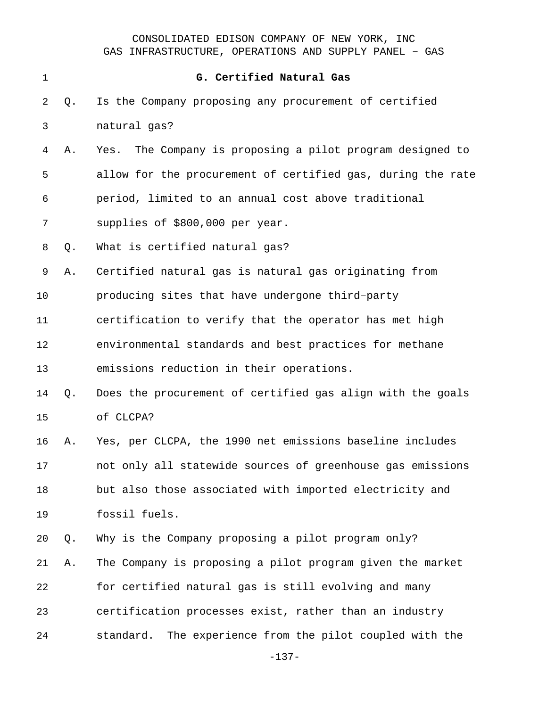| $\mathbf 1$ |    | G. Certified Natural Gas                                     |
|-------------|----|--------------------------------------------------------------|
| 2           | Q. | Is the Company proposing any procurement of certified        |
| 3           |    | natural gas?                                                 |
| 4           | Α. | The Company is proposing a pilot program designed to<br>Yes. |
| 5           |    | allow for the procurement of certified gas, during the rate  |
| 6           |    | period, limited to an annual cost above traditional          |
| 7           |    | supplies of \$800,000 per year.                              |
| 8           | Q. | What is certified natural gas?                               |
| 9           | Α. | Certified natural gas is natural gas originating from        |
| 10          |    | producing sites that have undergone third-party              |
| 11          |    | certification to verify that the operator has met high       |
| 12          |    | environmental standards and best practices for methane       |
| 13          |    | emissions reduction in their operations.                     |
| 14          | Q. | Does the procurement of certified gas align with the goals   |
| 15          |    | of CLCPA?                                                    |
| 16          | Α. | Yes, per CLCPA, the 1990 net emissions baseline includes     |
| 17          |    | not only all statewide sources of greenhouse gas emissions   |
| 18          |    | but also those associated with imported electricity and      |
| 19          |    | fossil fuels.                                                |
| 20          | Q. | Why is the Company proposing a pilot program only?           |
| 21          | Α. | The Company is proposing a pilot program given the market    |
| 22          |    | for certified natural gas is still evolving and many         |
| 23          |    | certification processes exist, rather than an industry       |
| 24          |    | standard.<br>The experience from the pilot coupled with the  |
|             |    |                                                              |

-137-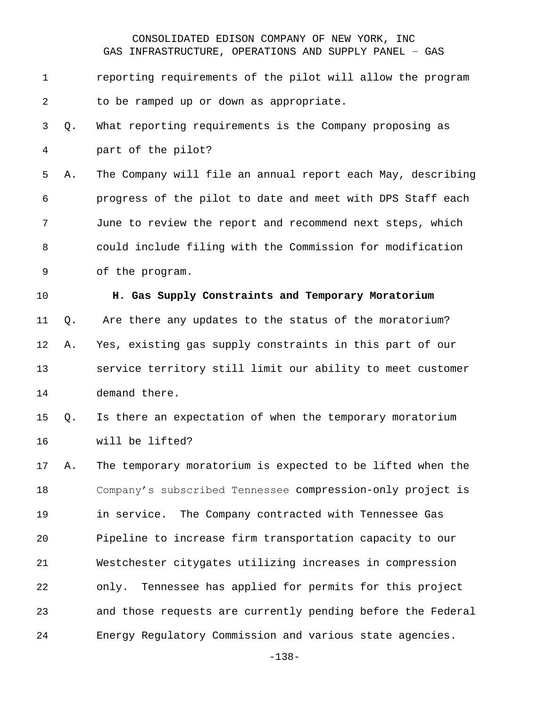# reporting requirements of the pilot will allow the program to be ramped up or down as appropriate. Q. What reporting requirements is the Company proposing as part of the pilot? A. The Company will file an annual report each May, describing progress of the pilot to date and meet with DPS Staff each June to review the report and recommend next steps, which could include filing with the Commission for modification of the program. **H. Gas Supply Constraints and Temporary Moratorium** Q. Are there any updates to the status of the moratorium? A. Yes, existing gas supply constraints in this part of our service territory still limit our ability to meet customer demand there. Q. Is there an expectation of when the temporary moratorium will be lifted? A. The temporary moratorium is expected to be lifted when the Company's subscribed Tennessee compression-only project is in service. The Company contracted with Tennessee Gas Pipeline to increase firm transportation capacity to our Westchester citygates utilizing increases in compression only. Tennessee has applied for permits for this project and those requests are currently pending before the Federal Energy Regulatory Commission and various state agencies.

-138-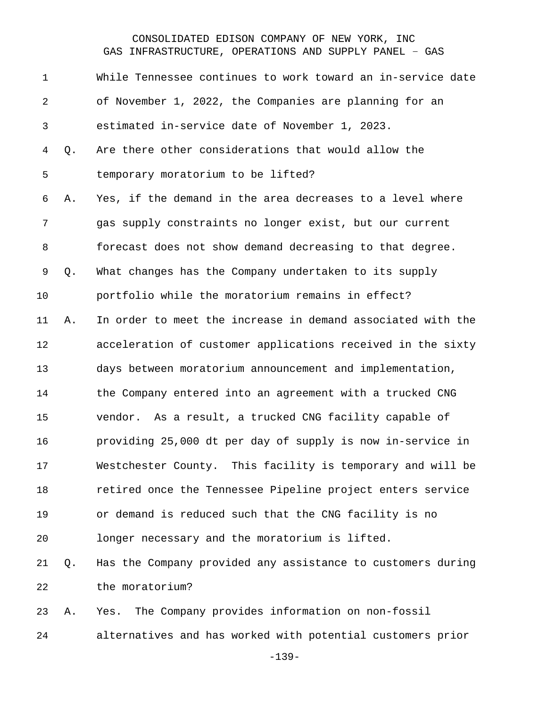| $\mathbf 1$    |    | While Tennessee continues to work toward an in-service date |
|----------------|----|-------------------------------------------------------------|
| $\overline{2}$ |    | of November 1, 2022, the Companies are planning for an      |
| $\mathfrak{Z}$ |    | estimated in-service date of November 1, 2023.              |
| 4              | Q. | Are there other considerations that would allow the         |
| 5              |    | temporary moratorium to be lifted?                          |
| 6              | Α. | Yes, if the demand in the area decreases to a level where   |
| 7              |    | gas supply constraints no longer exist, but our current     |
| 8              |    | forecast does not show demand decreasing to that degree.    |
| 9              | Q. | What changes has the Company undertaken to its supply       |
| 10             |    | portfolio while the moratorium remains in effect?           |
| 11             | Α. | In order to meet the increase in demand associated with the |
| 12             |    | acceleration of customer applications received in the sixty |
| 13             |    | days between moratorium announcement and implementation,    |
| 14             |    | the Company entered into an agreement with a trucked CNG    |
| 15             |    | As a result, a trucked CNG facility capable of<br>vendor.   |
| 16             |    | providing 25,000 dt per day of supply is now in-service in  |
| 17             |    | Westchester County. This facility is temporary and will be  |
| 18             |    | retired once the Tennessee Pipeline project enters service  |
| 19             |    | or demand is reduced such that the CNG facility is no       |
| 20             |    | longer necessary and the moratorium is lifted.              |
| 21             | Q. | Has the Company provided any assistance to customers during |
| 22             |    | the moratorium?                                             |
| 23             | Α. | The Company provides information on non-fossil<br>Yes.      |
| 24             |    | alternatives and has worked with potential customers prior  |

-139-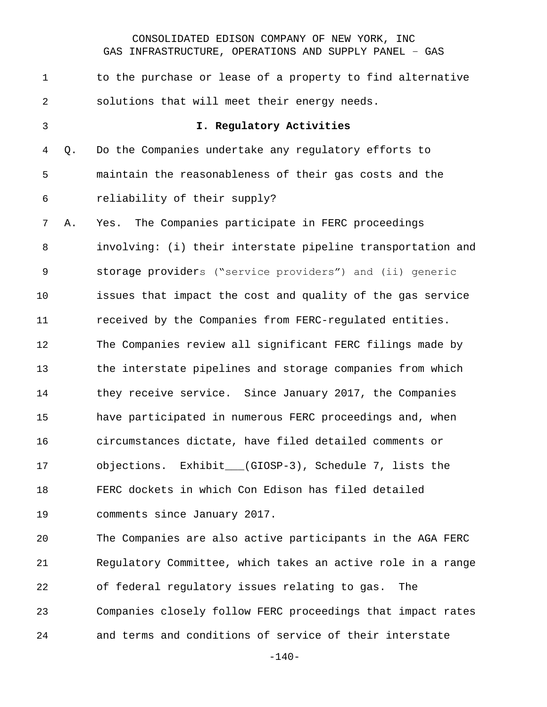| 1              |    | to the purchase or lease of a property to find alternative  |
|----------------|----|-------------------------------------------------------------|
| $\overline{2}$ |    | solutions that will meet their energy needs.                |
| 3              |    | I. Regulatory Activities                                    |
| 4              | Q. | Do the Companies undertake any regulatory efforts to        |
| 5              |    | maintain the reasonableness of their gas costs and the      |
| 6              |    | reliability of their supply?                                |
| 7              | Α. | The Companies participate in FERC proceedings<br>Yes.       |
| 8              |    | involving: (i) their interstate pipeline transportation and |
| $\mathsf 9$    |    | storage providers ("service providers") and (ii) generic    |
| 10             |    | issues that impact the cost and quality of the gas service  |
| 11             |    | received by the Companies from FERC-regulated entities.     |
| 12             |    | The Companies review all significant FERC filings made by   |
| 13             |    | the interstate pipelines and storage companies from which   |
| 14             |    | they receive service. Since January 2017, the Companies     |
| 15             |    | have participated in numerous FERC proceedings and, when    |
| 16             |    | circumstances dictate, have filed detailed comments or      |
| 17             |    | objections. Exhibit__(GIOSP-3), Schedule 7, lists the       |
| 18             |    | FERC dockets in which Con Edison has filed detailed         |
| 19             |    | comments since January 2017.                                |
| 20             |    | The Companies are also active participants in the AGA FERC  |
| 21             |    | Regulatory Committee, which takes an active role in a range |
| 22             |    | of federal regulatory issues relating to gas.<br>The        |
| 23             |    | Companies closely follow FERC proceedings that impact rates |
| 24             |    | and terms and conditions of service of their interstate     |

-140-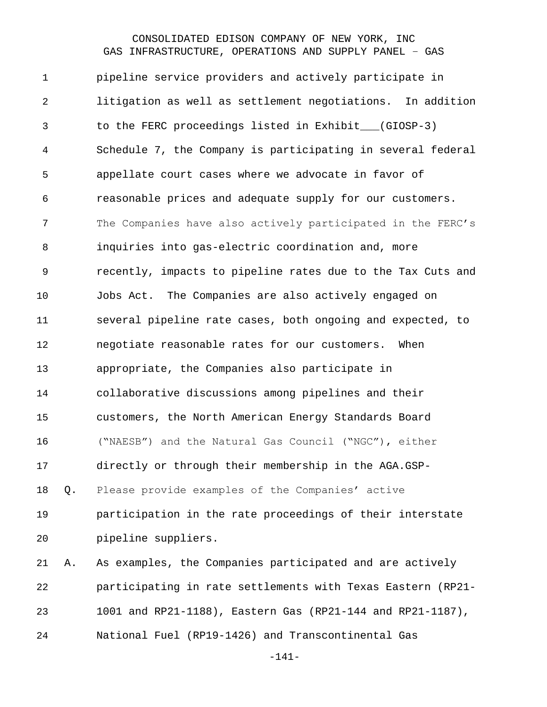pipeline service providers and actively participate in litigation as well as settlement negotiations. In addition to the FERC proceedings listed in Exhibit\_\_\_(GIOSP-3) Schedule 7, the Company is participating in several federal appellate court cases where we advocate in favor of reasonable prices and adequate supply for our customers. The Companies have also actively participated in the FERC's inquiries into gas-electric coordination and, more recently, impacts to pipeline rates due to the Tax Cuts and Jobs Act. The Companies are also actively engaged on several pipeline rate cases, both ongoing and expected, to negotiate reasonable rates for our customers. When appropriate, the Companies also participate in collaborative discussions among pipelines and their customers, the North American Energy Standards Board ("NAESB") and the Natural Gas Council ("NGC"), either directly or through their membership in the AGA.GSP- Q. Please provide examples of the Companies' active participation in the rate proceedings of their interstate pipeline suppliers. A. As examples, the Companies participated and are actively participating in rate settlements with Texas Eastern (RP21- 1001 and RP21-1188), Eastern Gas (RP21-144 and RP21-1187), National Fuel (RP19-1426) and Transcontinental Gas

-141-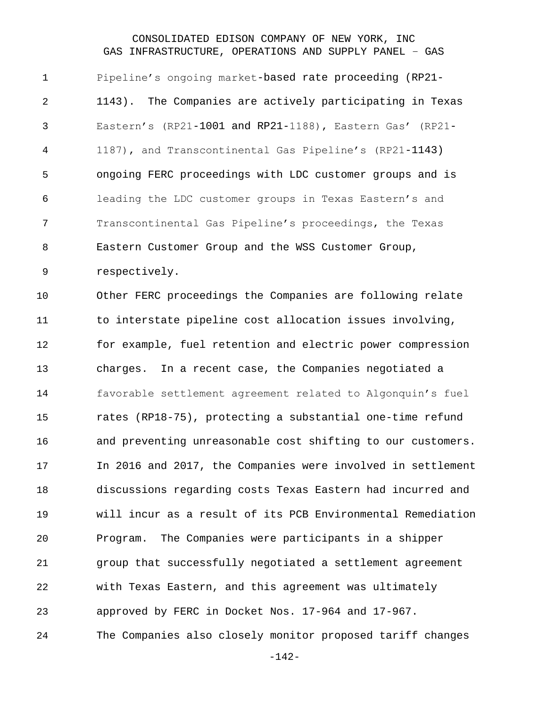Pipeline's ongoing market-based rate proceeding (RP21- 1143). The Companies are actively participating in Texas Eastern's (RP21-1001 and RP21-1188), Eastern Gas' (RP21- 1187), and Transcontinental Gas Pipeline's (RP21-1143) ongoing FERC proceedings with LDC customer groups and is leading the LDC customer groups in Texas Eastern's and Transcontinental Gas Pipeline's proceedings, the Texas Eastern Customer Group and the WSS Customer Group, respectively.

 Other FERC proceedings the Companies are following relate to interstate pipeline cost allocation issues involving, for example, fuel retention and electric power compression charges. In a recent case, the Companies negotiated a favorable settlement agreement related to Algonquin's fuel rates (RP18-75), protecting a substantial one-time refund and preventing unreasonable cost shifting to our customers. In 2016 and 2017, the Companies were involved in settlement discussions regarding costs Texas Eastern had incurred and will incur as a result of its PCB Environmental Remediation Program. The Companies were participants in a shipper group that successfully negotiated a settlement agreement with Texas Eastern, and this agreement was ultimately approved by FERC in Docket Nos. 17-964 and 17-967. The Companies also closely monitor proposed tariff changes

-142-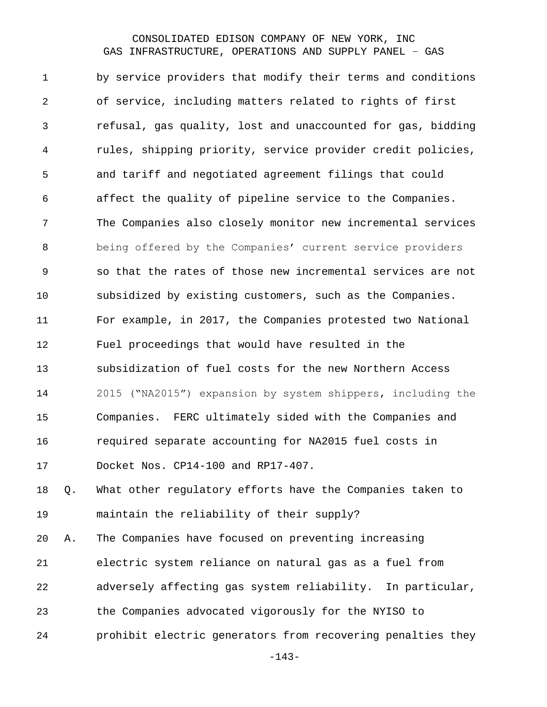by service providers that modify their terms and conditions of service, including matters related to rights of first refusal, gas quality, lost and unaccounted for gas, bidding rules, shipping priority, service provider credit policies, and tariff and negotiated agreement filings that could affect the quality of pipeline service to the Companies. The Companies also closely monitor new incremental services being offered by the Companies' current service providers so that the rates of those new incremental services are not subsidized by existing customers, such as the Companies. For example, in 2017, the Companies protested two National Fuel proceedings that would have resulted in the subsidization of fuel costs for the new Northern Access 2015 ("NA2015") expansion by system shippers, including the Companies. FERC ultimately sided with the Companies and required separate accounting for NA2015 fuel costs in Docket Nos. CP14-100 and RP17-407.

 Q. What other regulatory efforts have the Companies taken to maintain the reliability of their supply?

 A. The Companies have focused on preventing increasing electric system reliance on natural gas as a fuel from adversely affecting gas system reliability. In particular, the Companies advocated vigorously for the NYISO to prohibit electric generators from recovering penalties they

-143-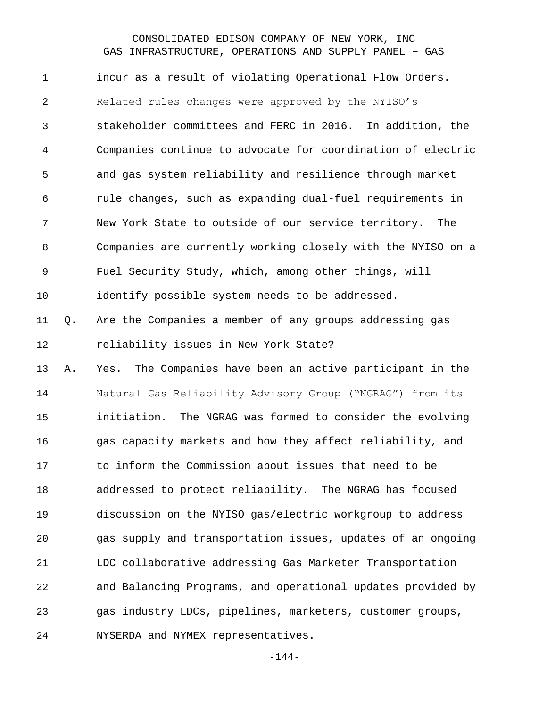incur as a result of violating Operational Flow Orders. Related rules changes were approved by the NYISO's stakeholder committees and FERC in 2016. In addition, the Companies continue to advocate for coordination of electric and gas system reliability and resilience through market rule changes, such as expanding dual-fuel requirements in New York State to outside of our service territory. The Companies are currently working closely with the NYISO on a Fuel Security Study, which, among other things, will identify possible system needs to be addressed. Q. Are the Companies a member of any groups addressing gas reliability issues in New York State? A. Yes. The Companies have been an active participant in the Natural Gas Reliability Advisory Group ("NGRAG") from its initiation. The NGRAG was formed to consider the evolving gas capacity markets and how they affect reliability, and to inform the Commission about issues that need to be addressed to protect reliability. The NGRAG has focused discussion on the NYISO gas/electric workgroup to address gas supply and transportation issues, updates of an ongoing LDC collaborative addressing Gas Marketer Transportation and Balancing Programs, and operational updates provided by gas industry LDCs, pipelines, marketers, customer groups, NYSERDA and NYMEX representatives.

-144-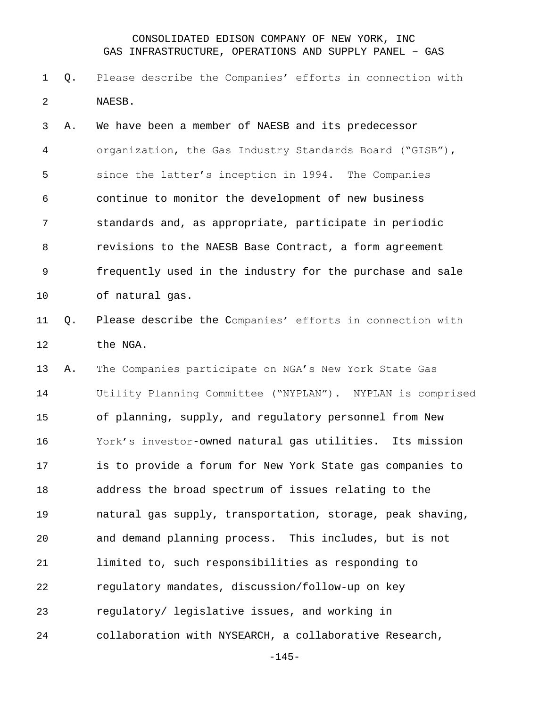#### CONSOLIDATED EDISON COMPANY OF NEW YORK, INC GAS INFRASTRUCTURE, OPERATIONS AND SUPPLY PANEL – GAS

 Q. Please describe the Companies' efforts in connection with NAESB.

 A. We have been a member of NAESB and its predecessor organization, the Gas Industry Standards Board ("GISB"), since the latter's inception in 1994. The Companies continue to monitor the development of new business standards and, as appropriate, participate in periodic revisions to the NAESB Base Contract, a form agreement frequently used in the industry for the purchase and sale of natural gas.

 Q. Please describe the Companies' efforts in connection with the NGA.

 A. The Companies participate on NGA's New York State Gas Utility Planning Committee ("NYPLAN"). NYPLAN is comprised of planning, supply, and regulatory personnel from New York's investor-owned natural gas utilities. Its mission is to provide a forum for New York State gas companies to address the broad spectrum of issues relating to the natural gas supply, transportation, storage, peak shaving, and demand planning process. This includes, but is not limited to, such responsibilities as responding to regulatory mandates, discussion/follow-up on key regulatory/ legislative issues, and working in collaboration with NYSEARCH, a collaborative Research,

-145-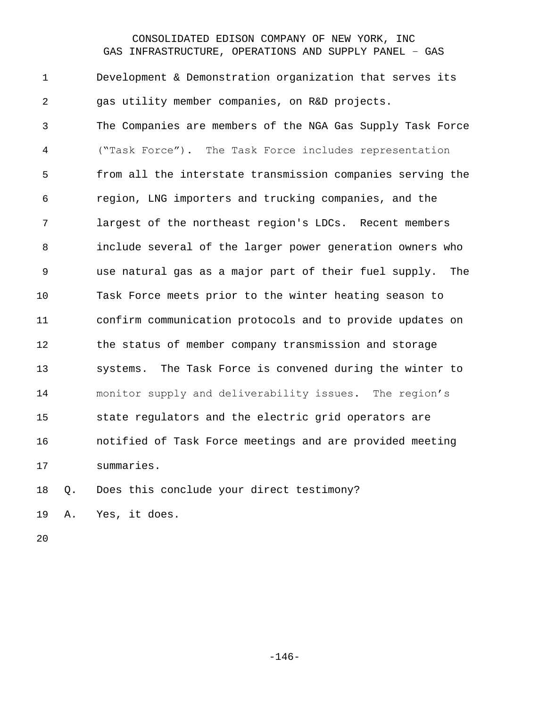#### CONSOLIDATED EDISON COMPANY OF NEW YORK, INC GAS INFRASTRUCTURE, OPERATIONS AND SUPPLY PANEL – GAS

 Development & Demonstration organization that serves its gas utility member companies, on R&D projects. The Companies are members of the NGA Gas Supply Task Force ("Task Force"). The Task Force includes representation from all the interstate transmission companies serving the region, LNG importers and trucking companies, and the largest of the northeast region's LDCs. Recent members include several of the larger power generation owners who use natural gas as a major part of their fuel supply. The Task Force meets prior to the winter heating season to confirm communication protocols and to provide updates on the status of member company transmission and storage systems. The Task Force is convened during the winter to monitor supply and deliverability issues. The region's state regulators and the electric grid operators are notified of Task Force meetings and are provided meeting summaries.

Q. Does this conclude your direct testimony?

A. Yes, it does.

-146-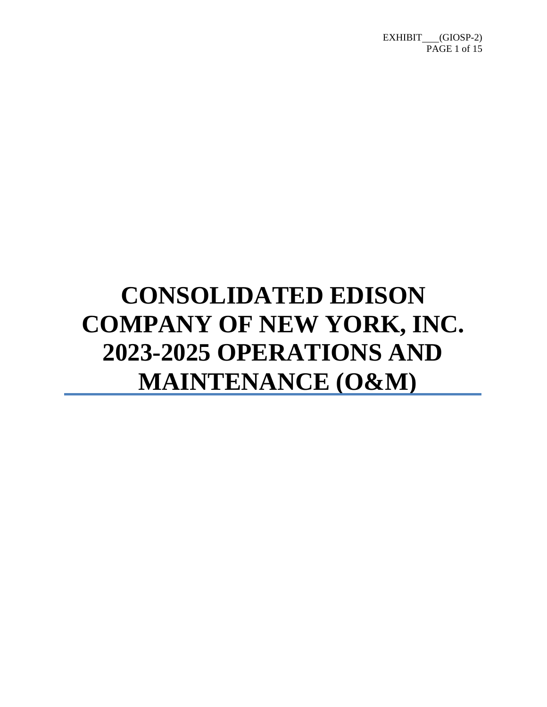# **CONSOLIDATED EDISON COMPANY OF NEW YORK, INC. 2023-2025 OPERATIONS AND MAINTENANCE (O&M)**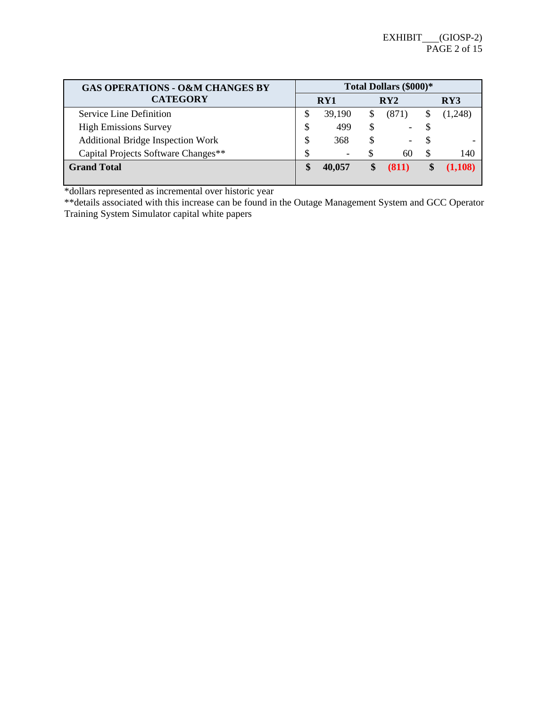| <b>GAS OPERATIONS - O&amp;M CHANGES BY</b> |   | Total Dollars (\$000)*   |    |       |   |         |  |
|--------------------------------------------|---|--------------------------|----|-------|---|---------|--|
| <b>CATEGORY</b>                            |   | RY1                      |    | RY2   |   | RY3     |  |
| Service Line Definition                    | S | 39,190                   | S. | (871) |   | (1,248) |  |
| <b>High Emissions Survey</b>               | S | 499                      |    | -     |   |         |  |
| <b>Additional Bridge Inspection Work</b>   |   | 368                      |    |       |   |         |  |
| Capital Projects Software Changes**        | S | $\overline{\phantom{0}}$ |    | 60    | S | 140     |  |
| <b>Grand Total</b>                         |   | 40,057                   |    | (811) |   | (1,108) |  |
|                                            |   |                          |    |       |   |         |  |

\*dollars represented as incremental over historic year

\*\*details associated with this increase can be found in the Outage Management System and GCC Operator Training System Simulator capital white papers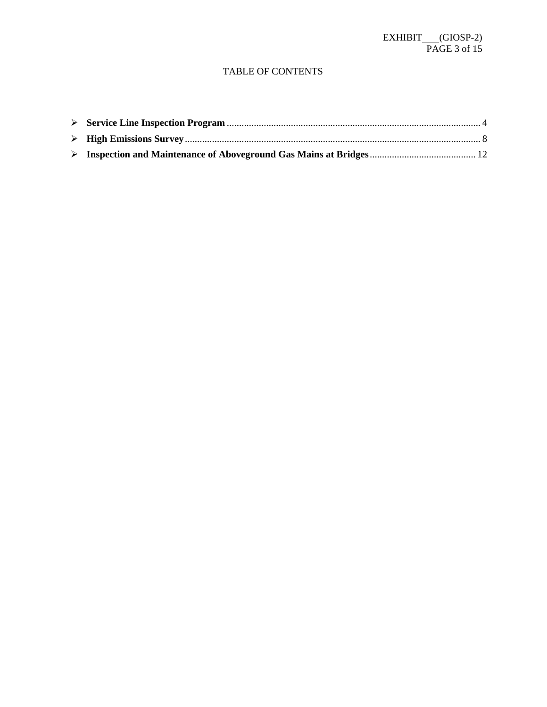#### TABLE OF CONTENTS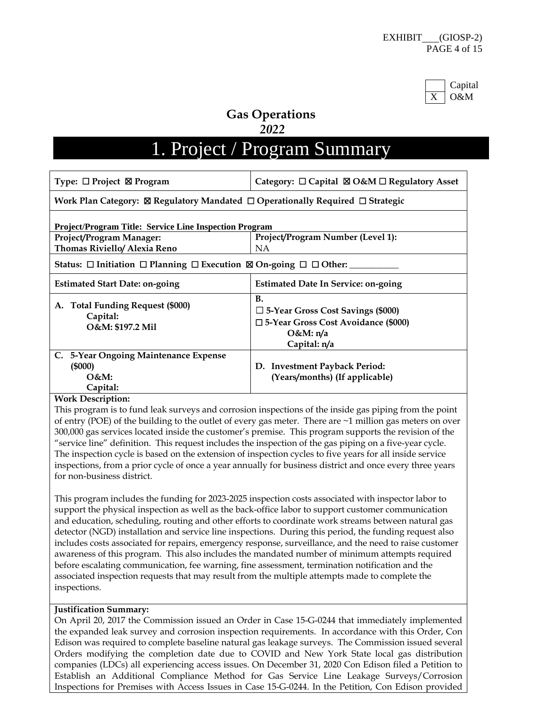

## **Gas Operations**

#### *2022*

# 1. Project / Program Summary

| Type: $\Box$ Project $\boxtimes$ Program                                                             | Category: $\Box$ Capital $\boxtimes$ O&M $\Box$ Regulatory Asset                                                                   |  |  |  |
|------------------------------------------------------------------------------------------------------|------------------------------------------------------------------------------------------------------------------------------------|--|--|--|
| Work Plan Category: $\boxtimes$ Regulatory Mandated $\Box$ Operationally Required $\Box$ Strategic   |                                                                                                                                    |  |  |  |
| Project/Program Title: Service Line Inspection Program                                               |                                                                                                                                    |  |  |  |
| <b>Project/Program Manager:</b>                                                                      | Project/Program Number (Level 1):                                                                                                  |  |  |  |
| Thomas Riviello/ Alexia Reno                                                                         | <b>NA</b>                                                                                                                          |  |  |  |
| Status: $\Box$ Initiation $\Box$ Planning $\Box$ Execution $\boxtimes$ On-going $\Box$ $\Box$ Other: |                                                                                                                                    |  |  |  |
| <b>Estimated Start Date: on-going</b>                                                                | <b>Estimated Date In Service: on-going</b>                                                                                         |  |  |  |
| <b>Total Funding Request (\$000)</b><br>A.<br>Capital:<br>O&M: \$197.2 Mil                           | <b>B.</b><br>□ 5-Year Gross Cost Savings (\$000)<br>$\square$ 5-Year Gross Cost Avoidance (\$000)<br>$O&M: \eta/a$<br>Capital: n/a |  |  |  |
| C. 5-Year Ongoing Maintenance Expense<br>(5000)<br>$O&M$ :<br>Capital:                               | D. Investment Payback Period:<br>(Years/months) (If applicable)                                                                    |  |  |  |

#### **Work Description:**

This program is to fund leak surveys and corrosion inspections of the inside gas piping from the point of entry (POE) of the building to the outlet of every gas meter. There are ~1 million gas meters on over 300,000 gas services located inside the customer's premise. This program supports the revision of the "service line" definition. This request includes the inspection of the gas piping on a five-year cycle. The inspection cycle is based on the extension of inspection cycles to five years for all inside service inspections, from a prior cycle of once a year annually for business district and once every three years for non-business district.

This program includes the funding for 2023-2025 inspection costs associated with inspector labor to support the physical inspection as well as the back-office labor to support customer communication and education, scheduling, routing and other efforts to coordinate work streams between natural gas detector (NGD) installation and service line inspections. During this period, the funding request also includes costs associated for repairs, emergency response, surveillance, and the need to raise customer awareness of this program. This also includes the mandated number of minimum attempts required before escalating communication, fee warning, fine assessment, termination notification and the associated inspection requests that may result from the multiple attempts made to complete the inspections.

#### **Justification Summary:**

On April 20, 2017 the Commission issued an Order in Case 15-G-0244 that immediately implemented the expanded leak survey and corrosion inspection requirements. In accordance with this Order, Con Edison was required to complete baseline natural gas leakage surveys. The Commission issued several Orders modifying the completion date due to COVID and New York State local gas distribution companies (LDCs) all experiencing access issues. On December 31, 2020 Con Edison filed a Petition to Establish an Additional Compliance Method for Gas Service Line Leakage Surveys/Corrosion Inspections for Premises with Access Issues in Case 15-G-0244. In the Petition, Con Edison provided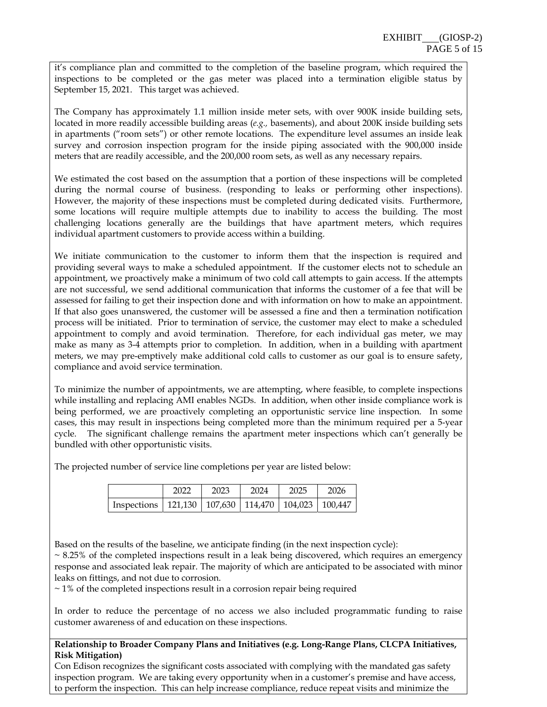it's compliance plan and committed to the completion of the baseline program, which required the inspections to be completed or the gas meter was placed into a termination eligible status by September 15, 2021. This target was achieved.

The Company has approximately 1.1 million inside meter sets, with over 900K inside building sets, located in more readily accessible building areas (*e.g.,* basements), and about 200K inside building sets in apartments ("room sets") or other remote locations. The expenditure level assumes an inside leak survey and corrosion inspection program for the inside piping associated with the 900,000 inside meters that are readily accessible, and the 200,000 room sets, as well as any necessary repairs.

We estimated the cost based on the assumption that a portion of these inspections will be completed during the normal course of business. (responding to leaks or performing other inspections). However, the majority of these inspections must be completed during dedicated visits. Furthermore, some locations will require multiple attempts due to inability to access the building. The most challenging locations generally are the buildings that have apartment meters, which requires individual apartment customers to provide access within a building.

We initiate communication to the customer to inform them that the inspection is required and providing several ways to make a scheduled appointment. If the customer elects not to schedule an appointment, we proactively make a minimum of two cold call attempts to gain access. If the attempts are not successful, we send additional communication that informs the customer of a fee that will be assessed for failing to get their inspection done and with information on how to make an appointment. If that also goes unanswered, the customer will be assessed a fine and then a termination notification process will be initiated. Prior to termination of service, the customer may elect to make a scheduled appointment to comply and avoid termination. Therefore, for each individual gas meter, we may make as many as 3-4 attempts prior to completion. In addition, when in a building with apartment meters, we may pre-emptively make additional cold calls to customer as our goal is to ensure safety, compliance and avoid service termination.

To minimize the number of appointments, we are attempting, where feasible, to complete inspections while installing and replacing AMI enables NGDs. In addition, when other inside compliance work is being performed, we are proactively completing an opportunistic service line inspection. In some cases, this may result in inspections being completed more than the minimum required per a 5-year cycle. The significant challenge remains the apartment meter inspections which can't generally be bundled with other opportunistic visits.

The projected number of service line completions per year are listed below:

|                                                               | 2022 | 2023 | 2024 | 2025 | 2026 |
|---------------------------------------------------------------|------|------|------|------|------|
| Inspections   121,130   107,630   114,470   104,023   100,447 |      |      |      |      |      |

Based on the results of the baseline, we anticipate finding (in the next inspection cycle):

 $\sim$  8.25% of the completed inspections result in a leak being discovered, which requires an emergency response and associated leak repair. The majority of which are anticipated to be associated with minor leaks on fittings, and not due to corrosion.

 $\sim$  1% of the completed inspections result in a corrosion repair being required

In order to reduce the percentage of no access we also included programmatic funding to raise customer awareness of and education on these inspections.

#### **Relationship to Broader Company Plans and Initiatives (e.g. Long-Range Plans, CLCPA Initiatives, Risk Mitigation)**

Con Edison recognizes the significant costs associated with complying with the mandated gas safety inspection program. We are taking every opportunity when in a customer's premise and have access, to perform the inspection. This can help increase compliance, reduce repeat visits and minimize the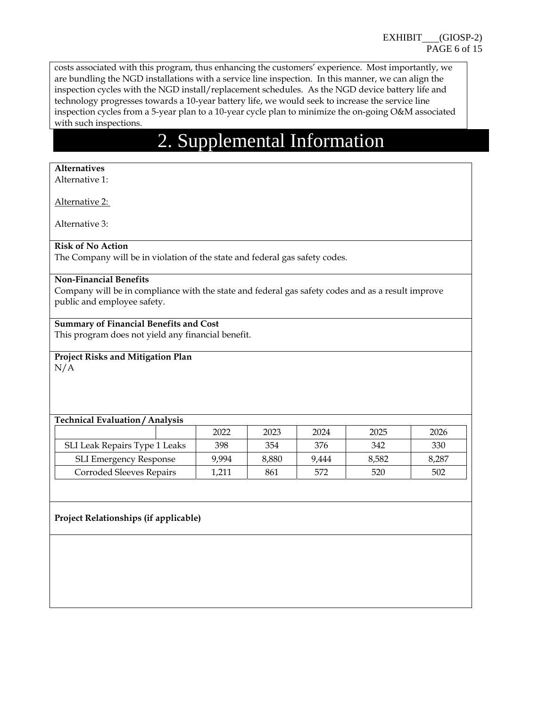costs associated with this program, thus enhancing the customers' experience. Most importantly, we are bundling the NGD installations with a service line inspection. In this manner, we can align the inspection cycles with the NGD install/replacement schedules. As the NGD device battery life and technology progresses towards a 10-year battery life, we would seek to increase the service line inspection cycles from a 5-year plan to a 10-year cycle plan to minimize the on-going O&M associated with such inspections.

# 2. Supplemental Information

#### **Alternatives**

Alternative 1:

Alternative 2:

Alternative 3:

#### **Risk of No Action**

The Company will be in violation of the state and federal gas safety codes.

#### **Non-Financial Benefits**

Company will be in compliance with the state and federal gas safety codes and as a result improve public and employee safety.

#### **Summary of Financial Benefits and Cost**

This program does not yield any financial benefit.

#### **Project Risks and Mitigation Plan**  N/A

#### **Technical Evaluation / Analysis**

|                               | 2022  | 2023  | 2024  | 2025  | 2026  |
|-------------------------------|-------|-------|-------|-------|-------|
| SLI Leak Repairs Type 1 Leaks | 398   | 354   | 376   | 342   | 330   |
| <b>SLI Emergency Response</b> | 9.994 | 8.880 | 9.444 | 8.582 | 8,287 |
| Corroded Sleeves Repairs      | 1,211 | 861   | 572   | 520   | 502   |

#### **Project Relationships (if applicable)**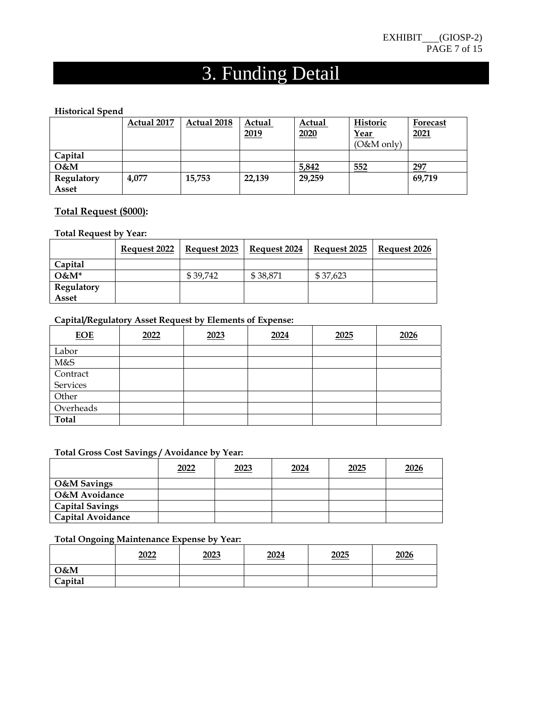# 3. Funding Detail

#### **Historical Spend**

|            | Actual 2017 | Actual 2018 | Actual<br>2019 | Actual<br>2020 | Historic<br><u>Year</u><br>$(O&M$ only) | Forecast<br>2021 |
|------------|-------------|-------------|----------------|----------------|-----------------------------------------|------------------|
| Capital    |             |             |                |                |                                         |                  |
| $O$ &M     |             |             |                | 5,842          | 552                                     | 297              |
| Regulatory | 4.077       | 15,753      | 22,139         | 29,259         |                                         | 69,719           |
| Asset      |             |             |                |                |                                         |                  |

#### **Total Request (\$000):**

#### **Total Request by Year:**

|            | Request 2022 | Request 2023 | Request 2024 | Request 2025 | Request 2026 |
|------------|--------------|--------------|--------------|--------------|--------------|
| Capital    |              |              |              |              |              |
| $O\&M^*$   |              | \$39.742     | \$38.871     | \$37.623     |              |
| Regulatory |              |              |              |              |              |
| Asset      |              |              |              |              |              |

#### **Capital/Regulatory Asset Request by Elements of Expense:**

| <b>EOE</b>   | 2022 | 2023 | 2024 | 2025 | 2026 |
|--------------|------|------|------|------|------|
| Labor        |      |      |      |      |      |
| M&S          |      |      |      |      |      |
| Contract     |      |      |      |      |      |
| Services     |      |      |      |      |      |
| Other        |      |      |      |      |      |
| Overheads    |      |      |      |      |      |
| <b>Total</b> |      |      |      |      |      |

#### **Total Gross Cost Savings / Avoidance by Year:**

|                          | 2022 | 2023 | 2024 | 2025 | <u>2026</u> |
|--------------------------|------|------|------|------|-------------|
| <b>O&amp;M</b> Savings   |      |      |      |      |             |
| <b>O&amp;M</b> Avoidance |      |      |      |      |             |
| <b>Capital Savings</b>   |      |      |      |      |             |
| <b>Capital Avoidance</b> |      |      |      |      |             |

#### **Total Ongoing Maintenance Expense by Year:**

|         | 2022 | 2023 | 2024 | 2025 | 2026 |
|---------|------|------|------|------|------|
| O&M     |      |      |      |      |      |
| Capital |      |      |      |      |      |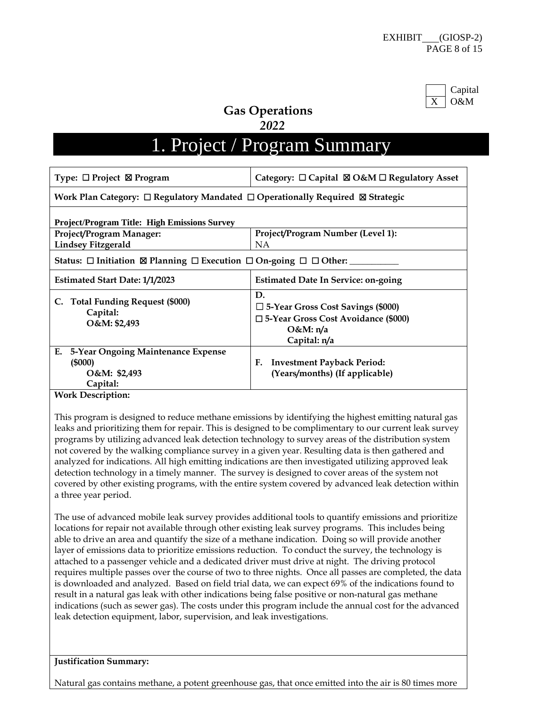

**Gas Operations** 

 *2022* 

# 1. Project / Program Summary

| Category: $\Box$ Capital $\boxtimes$ O&M $\Box$ Regulatory Asset<br>Type: $\Box$ Project $\boxtimes$ Program |                                                                                                                                  |  |  |  |  |
|--------------------------------------------------------------------------------------------------------------|----------------------------------------------------------------------------------------------------------------------------------|--|--|--|--|
| Work Plan Category: $\Box$ Regulatory Mandated $\Box$ Operationally Required $\boxtimes$ Strategic           |                                                                                                                                  |  |  |  |  |
| <b>Project/Program Title: High Emissions Survey</b>                                                          |                                                                                                                                  |  |  |  |  |
| <b>Project/Program Manager:</b>                                                                              | Project/Program Number (Level 1):                                                                                                |  |  |  |  |
| <b>Lindsey Fitzgerald</b>                                                                                    | NA                                                                                                                               |  |  |  |  |
| Status: $\Box$ Initiation $\boxtimes$ Planning $\Box$ Execution $\Box$ On-going $\Box$ $\Box$ Other:         |                                                                                                                                  |  |  |  |  |
| Estimated Start Date: 1/1/2023                                                                               | <b>Estimated Date In Service: on-going</b>                                                                                       |  |  |  |  |
| C. Total Funding Request (\$000)<br>Capital:<br>O&M: \$2,493                                                 | D.<br>$\Box$ 5-Year Gross Cost Savings (\$000)<br>$\square$ 5-Year Gross Cost Avoidance (\$000)<br>$O&M: \eta/a$<br>Capital: n/a |  |  |  |  |
| Е.<br>5-Year Ongoing Maintenance Expense<br>(5000)<br>O&M: \$2,493<br>Capital:                               | <b>Investment Payback Period:</b><br>F.<br>(Years/months) (If applicable)                                                        |  |  |  |  |
| <b>Work Description:</b>                                                                                     |                                                                                                                                  |  |  |  |  |

This program is designed to reduce methane emissions by identifying the highest emitting natural gas leaks and prioritizing them for repair. This is designed to be complimentary to our current leak survey programs by utilizing advanced leak detection technology to survey areas of the distribution system not covered by the walking compliance survey in a given year. Resulting data is then gathered and analyzed for indications. All high emitting indications are then investigated utilizing approved leak detection technology in a timely manner. The survey is designed to cover areas of the system not covered by other existing programs, with the entire system covered by advanced leak detection within a three year period.

The use of advanced mobile leak survey provides additional tools to quantify emissions and prioritize locations for repair not available through other existing leak survey programs. This includes being able to drive an area and quantify the size of a methane indication. Doing so will provide another layer of emissions data to prioritize emissions reduction. To conduct the survey, the technology is attached to a passenger vehicle and a dedicated driver must drive at night. The driving protocol requires multiple passes over the course of two to three nights. Once all passes are completed, the data is downloaded and analyzed. Based on field trial data, we can expect 69% of the indications found to result in a natural gas leak with other indications being false positive or non-natural gas methane indications (such as sewer gas). The costs under this program include the annual cost for the advanced leak detection equipment, labor, supervision, and leak investigations.

#### **Justification Summary:**

Natural gas contains methane, a potent greenhouse gas, that once emitted into the air is 80 times more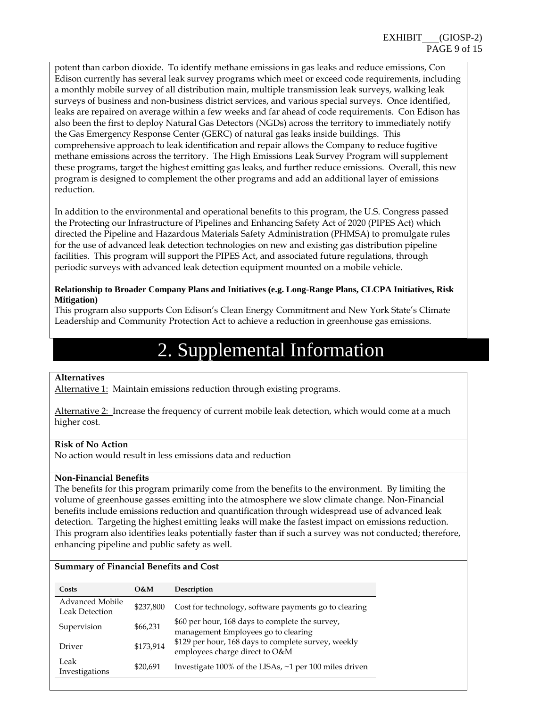potent than carbon dioxide. To identify methane emissions in gas leaks and reduce emissions, Con Edison currently has several leak survey programs which meet or exceed code requirements, including a monthly mobile survey of all distribution main, multiple transmission leak surveys, walking leak surveys of business and non-business district services, and various special surveys. Once identified, leaks are repaired on average within a few weeks and far ahead of code requirements. Con Edison has also been the first to deploy Natural Gas Detectors (NGDs) across the territory to immediately notify the Gas Emergency Response Center (GERC) of natural gas leaks inside buildings. This comprehensive approach to leak identification and repair allows the Company to reduce fugitive methane emissions across the territory. The High Emissions Leak Survey Program will supplement these programs, target the highest emitting gas leaks, and further reduce emissions. Overall, this new program is designed to complement the other programs and add an additional layer of emissions reduction.

In addition to the environmental and operational benefits to this program, the U.S. Congress passed the Protecting our Infrastructure of Pipelines and Enhancing Safety Act of 2020 (PIPES Act) which directed the Pipeline and Hazardous Materials Safety Administration (PHMSA) to promulgate rules for the use of advanced leak detection technologies on new and existing gas distribution pipeline facilities. This program will support the PIPES Act, and associated future regulations, through periodic surveys with advanced leak detection equipment mounted on a mobile vehicle.

#### **Relationship to Broader Company Plans and Initiatives (e.g. Long-Range Plans, CLCPA Initiatives, Risk Mitigation)**

This program also supports Con Edison's Clean Energy Commitment and New York State's Climate Leadership and Community Protection Act to achieve a reduction in greenhouse gas emissions.

# 2. Supplemental Information

#### **Alternatives**

Alternative 1: Maintain emissions reduction through existing programs.

Alternative 2: Increase the frequency of current mobile leak detection, which would come at a much higher cost.

#### **Risk of No Action**

No action would result in less emissions data and reduction

#### **Non-Financial Benefits**

The benefits for this program primarily come from the benefits to the environment. By limiting the volume of greenhouse gasses emitting into the atmosphere we slow climate change. Non-Financial benefits include emissions reduction and quantification through widespread use of advanced leak detection. Targeting the highest emitting leaks will make the fastest impact on emissions reduction. This program also identifies leaks potentially faster than if such a survey was not conducted; therefore, enhancing pipeline and public safety as well.

#### **Summary of Financial Benefits and Cost**

| Costs                                           | O&M       | Description                                                                            |
|-------------------------------------------------|-----------|----------------------------------------------------------------------------------------|
| <b>Advanced Mobile</b><br><b>Leak Detection</b> | \$237,800 | Cost for technology, software payments go to clearing                                  |
| Supervision                                     | \$66,231  | \$60 per hour, 168 days to complete the survey,<br>management Employees go to clearing |
| Driver                                          | \$173,914 | \$129 per hour, 168 days to complete survey, weekly<br>employees charge direct to O&M  |
| Leak<br>Investigations                          | \$20,691  | Investigate 100% of the LISAs, ~1 per 100 miles driven                                 |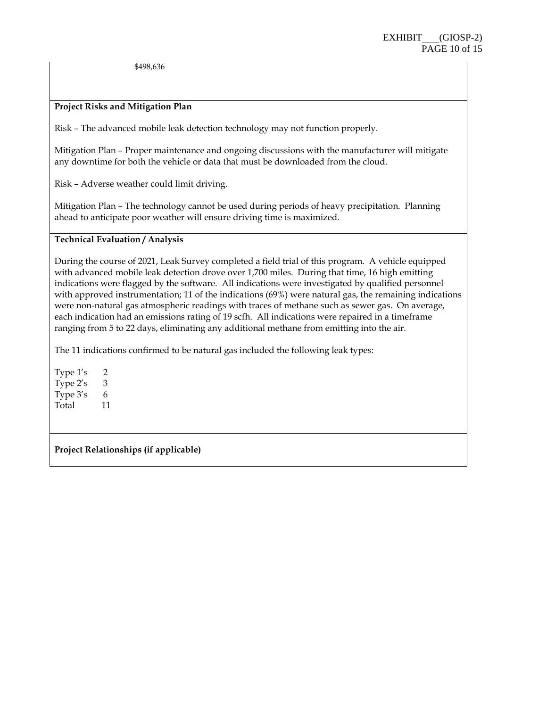\$498,636

#### **Project Risks and Mitigation Plan**

Risk – The advanced mobile leak detection technology may not function properly.

Mitigation Plan – Proper maintenance and ongoing discussions with the manufacturer will mitigate any downtime for both the vehicle or data that must be downloaded from the cloud.

Risk – Adverse weather could limit driving.

Mitigation Plan – The technology cannot be used during periods of heavy precipitation. Planning ahead to anticipate poor weather will ensure driving time is maximized.

#### **Technical Evaluation / Analysis**

During the course of 2021, Leak Survey completed a field trial of this program. A vehicle equipped with advanced mobile leak detection drove over 1,700 miles. During that time, 16 high emitting indications were flagged by the software. All indications were investigated by qualified personnel with approved instrumentation; 11 of the indications (69%) were natural gas, the remaining indications were non-natural gas atmospheric readings with traces of methane such as sewer gas. On average, each indication had an emissions rating of 19 scfh. All indications were repaired in a timeframe ranging from 5 to 22 days, eliminating any additional methane from emitting into the air.

The 11 indications confirmed to be natural gas included the following leak types:

Type 1's 2 Type  $2's \qquad 3$ Type  $3's = 6$ Total 11

**Project Relationships (if applicable)**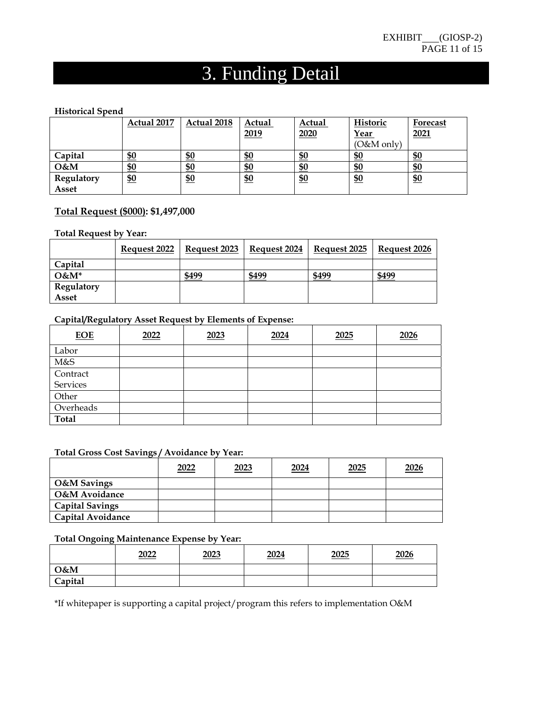# 3. Funding Detail

#### **Historical Spend**

|                   | Actual 2017 | Actual 2018 | Actual     | Actual     | Historic      | Forecast   |
|-------------------|-------------|-------------|------------|------------|---------------|------------|
|                   |             |             | 2019       | 2020       | <u>Year</u>   | 2021       |
|                   |             |             |            |            | $(O&M$ only)  |            |
| Capital           | <u>\$0</u>  | <u>\$0</u>  | <u>\$0</u> | <u>\$0</u> | <u>\$0</u>    | <u>\$0</u> |
| O&M               | <u>\$0</u>  | \$0         | <u>\$0</u> | <u>\$0</u> | \$0           | <u>\$0</u> |
| <b>Regulatory</b> | \$0         | \$0         | <u>\$0</u> | \$0        | $\frac{$0}{}$ | \$0        |
| Asset             |             |             |            |            |               |            |

#### **Total Request (\$000): \$1,497,000**

#### **Total Request by Year:**

|                   | Request 2022 | Request 2023 | Request 2024 | Request 2025 | Request 2026 |
|-------------------|--------------|--------------|--------------|--------------|--------------|
| Capital           |              |              |              |              |              |
| $O\&M^*$          |              | \$499        | \$499        | \$499        | \$499        |
| <b>Regulatory</b> |              |              |              |              |              |
| Asset             |              |              |              |              |              |

#### **Capital/Regulatory Asset Request by Elements of Expense:**

| <b>EOE</b>   | 2022 | 2023 | 2024 | 2025 | 2026 |
|--------------|------|------|------|------|------|
| Labor        |      |      |      |      |      |
| M&S          |      |      |      |      |      |
| Contract     |      |      |      |      |      |
| Services     |      |      |      |      |      |
| Other        |      |      |      |      |      |
| Overheads    |      |      |      |      |      |
| <b>Total</b> |      |      |      |      |      |

## **Total Gross Cost Savings / Avoidance by Year:**

|                          | 2022 | 2023 | 2024 | 2025 | 2026 |
|--------------------------|------|------|------|------|------|
| <b>O&amp;M</b> Savings   |      |      |      |      |      |
| <b>O&amp;M Avoidance</b> |      |      |      |      |      |
| <b>Capital Savings</b>   |      |      |      |      |      |
| <b>Capital Avoidance</b> |      |      |      |      |      |

#### **Total Ongoing Maintenance Expense by Year:**

|         | 2022 | 2023 | 2024 | 2025 | <u>2026</u> |
|---------|------|------|------|------|-------------|
| O&M     |      |      |      |      |             |
| Capital |      |      |      |      |             |

\*If whitepaper is supporting a capital project/program this refers to implementation O&M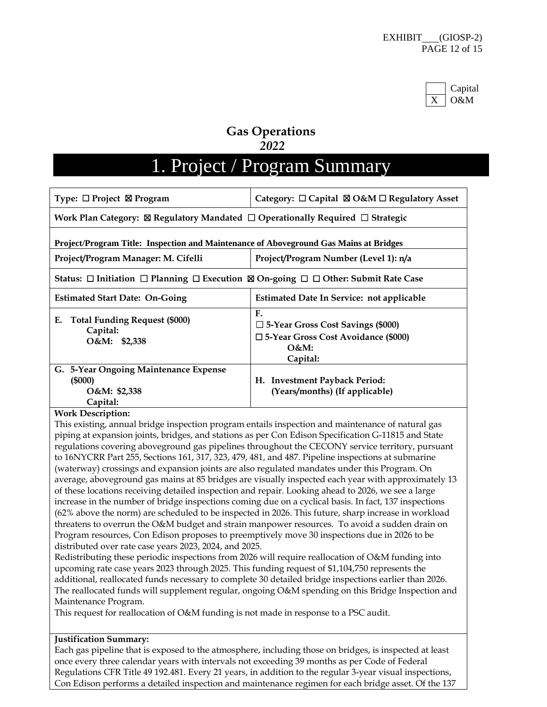

### **Gas Operations**   *2022*

# 1. Project / Program Summary

| Type: $\Box$ Project $\boxtimes$ Program                                                                              | Category: $\Box$ Capital $\boxtimes$ O&M $\Box$ Regulatory Asset                                                       |  |  |
|-----------------------------------------------------------------------------------------------------------------------|------------------------------------------------------------------------------------------------------------------------|--|--|
| Work Plan Category: $\boxtimes$ Regulatory Mandated $\Box$ Operationally Required $\Box$ Strategic                    |                                                                                                                        |  |  |
| Project/Program Title: Inspection and Maintenance of Aboveground Gas Mains at Bridges                                 |                                                                                                                        |  |  |
| Project/Program Manager: M. Cifelli                                                                                   | Project/Program Number (Level 1): n/a                                                                                  |  |  |
| Status: $\Box$ Initiation $\Box$ Planning $\Box$ Execution $\boxtimes$ On-going $\Box$ $\Box$ Other: Submit Rate Case |                                                                                                                        |  |  |
| <b>Estimated Start Date: On-Going</b>                                                                                 | <b>Estimated Date In Service: not applicable</b>                                                                       |  |  |
| Е.<br><b>Total Funding Request (\$000)</b><br>Capital:<br>O&M: \$2,338                                                | F.<br>$\Box$ 5-Year Gross Cost Savings (\$000)<br>$\square$ 5-Year Gross Cost Avoidance (\$000)<br>$O&M$ :<br>Capital: |  |  |
| G. 5-Year Ongoing Maintenance Expense<br>(5000)<br>O&M: \$2,338<br>Capital:                                           | H. Investment Payback Period:<br>(Years/months) (If applicable)                                                        |  |  |

#### **Work Description:**

This existing, annual bridge inspection program entails inspection and maintenance of natural gas piping at expansion joints, bridges, and stations as per Con Edison Specification G-11815 and State regulations covering aboveground gas pipelines throughout the CECONY service territory, pursuant to 16NYCRR Part 255, Sections 161, 317, 323, 479, 481, and 487. Pipeline inspections at submarine (waterway) crossings and expansion joints are also regulated mandates under this Program. On average, aboveground gas mains at 85 bridges are visually inspected each year with approximately 13 of these locations receiving detailed inspection and repair. Looking ahead to 2026, we see a large increase in the number of bridge inspections coming due on a cyclical basis. In fact, 137 inspections (62% above the norm) are scheduled to be inspected in 2026. This future, sharp increase in workload threatens to overrun the O&M budget and strain manpower resources. To avoid a sudden drain on Program resources, Con Edison proposes to preemptively move 30 inspections due in 2026 to be distributed over rate case years 2023, 2024, and 2025.

Redistributing these periodic inspections from 2026 will require reallocation of O&M funding into upcoming rate case years 2023 through 2025. This funding request of \$1,104,750 represents the additional, reallocated funds necessary to complete 30 detailed bridge inspections earlier than 2026. The reallocated funds will supplement regular, ongoing O&M spending on this Bridge Inspection and Maintenance Program.

This request for reallocation of O&M funding is not made in response to a PSC audit.

#### **Justification Summary:**

Each gas pipeline that is exposed to the atmosphere, including those on bridges, is inspected at least once every three calendar years with intervals not exceeding 39 months as per Code of Federal Regulations CFR Title 49 192.481. Every 21 years, in addition to the regular 3-year visual inspections, Con Edison performs a detailed inspection and maintenance regimen for each bridge asset. Of the 137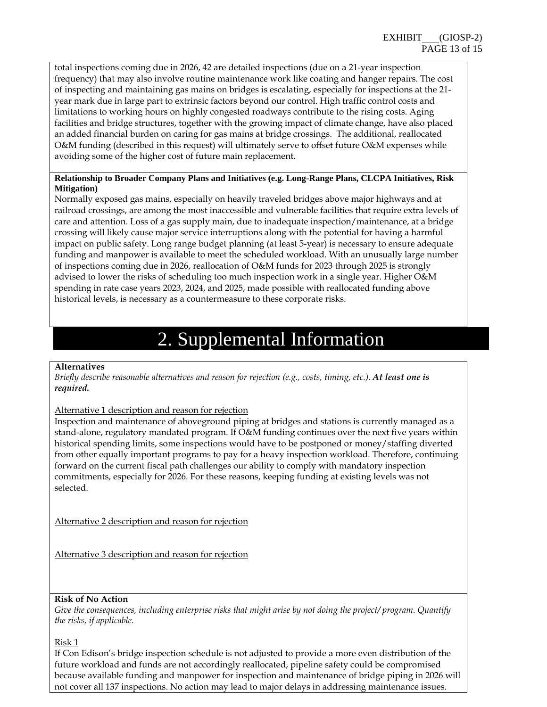total inspections coming due in 2026, 42 are detailed inspections (due on a 21-year inspection frequency) that may also involve routine maintenance work like coating and hanger repairs. The cost of inspecting and maintaining gas mains on bridges is escalating, especially for inspections at the 21 year mark due in large part to extrinsic factors beyond our control. High traffic control costs and limitations to working hours on highly congested roadways contribute to the rising costs. Aging facilities and bridge structures, together with the growing impact of climate change, have also placed an added financial burden on caring for gas mains at bridge crossings. The additional, reallocated O&M funding (described in this request) will ultimately serve to offset future O&M expenses while avoiding some of the higher cost of future main replacement.

#### **Relationship to Broader Company Plans and Initiatives (e.g. Long-Range Plans, CLCPA Initiatives, Risk Mitigation)**

Normally exposed gas mains, especially on heavily traveled bridges above major highways and at railroad crossings, are among the most inaccessible and vulnerable facilities that require extra levels of care and attention. Loss of a gas supply main, due to inadequate inspection/maintenance, at a bridge crossing will likely cause major service interruptions along with the potential for having a harmful impact on public safety. Long range budget planning (at least 5-year) is necessary to ensure adequate funding and manpower is available to meet the scheduled workload. With an unusually large number of inspections coming due in 2026, reallocation of O&M funds for 2023 through 2025 is strongly advised to lower the risks of scheduling too much inspection work in a single year. Higher O&M spending in rate case years 2023, 2024, and 2025, made possible with reallocated funding above historical levels, is necessary as a countermeasure to these corporate risks.

# 2. Supplemental Information

#### **Alternatives**

*Briefly describe reasonable alternatives and reason for rejection (e.g., costs, timing, etc.). At least one is required.*

#### Alternative 1 description and reason for rejection

Inspection and maintenance of aboveground piping at bridges and stations is currently managed as a stand-alone, regulatory mandated program. If O&M funding continues over the next five years within historical spending limits, some inspections would have to be postponed or money/staffing diverted from other equally important programs to pay for a heavy inspection workload. Therefore, continuing forward on the current fiscal path challenges our ability to comply with mandatory inspection commitments, especially for 2026. For these reasons, keeping funding at existing levels was not selected.

Alternative 2 description and reason for rejection

Alternative 3 description and reason for rejection

#### **Risk of No Action**

*Give the consequences, including enterprise risks that might arise by not doing the project/ program. Quantify the risks, if applicable.* 

#### Risk 1

If Con Edison's bridge inspection schedule is not adjusted to provide a more even distribution of the future workload and funds are not accordingly reallocated, pipeline safety could be compromised because available funding and manpower for inspection and maintenance of bridge piping in 2026 will not cover all 137 inspections. No action may lead to major delays in addressing maintenance issues.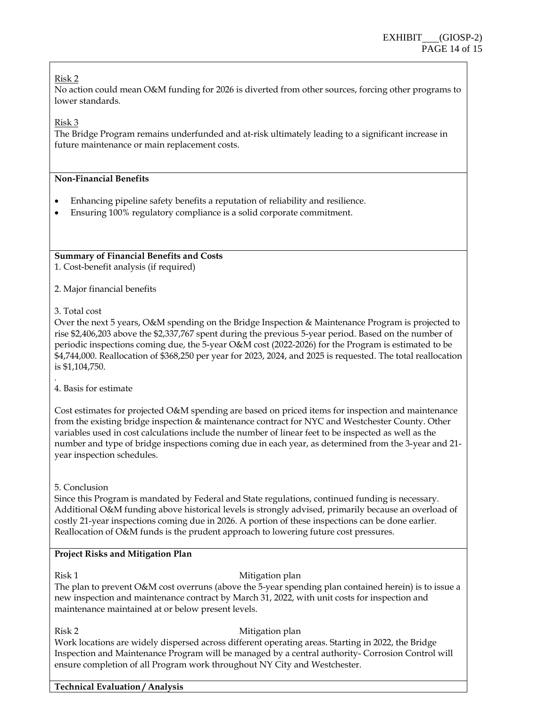#### Risk 2

No action could mean O&M funding for 2026 is diverted from other sources, forcing other programs to lower standards*.* 

Risk 3

The Bridge Program remains underfunded and at-risk ultimately leading to a significant increase in future maintenance or main replacement costs.

#### **Non-Financial Benefits**

- Enhancing pipeline safety benefits a reputation of reliability and resilience.
- Ensuring 100% regulatory compliance is a solid corporate commitment.

**Summary of Financial Benefits and Costs** 

1. Cost-benefit analysis (if required)

2. Major financial benefits

#### 3. Total cost

*.* 

Over the next 5 years, O&M spending on the Bridge Inspection & Maintenance Program is projected to rise \$2,406,203 above the \$2,337,767 spent during the previous 5-year period. Based on the number of periodic inspections coming due, the 5-year O&M cost (2022-2026) for the Program is estimated to be \$4,744,000. Reallocation of \$368,250 per year for 2023, 2024, and 2025 is requested. The total reallocation is \$1,104,750.

4. Basis for estimate

Cost estimates for projected O&M spending are based on priced items for inspection and maintenance from the existing bridge inspection & maintenance contract for NYC and Westchester County. Other variables used in cost calculations include the number of linear feet to be inspected as well as the number and type of bridge inspections coming due in each year, as determined from the 3-year and 21 year inspection schedules.

#### 5. Conclusion

Since this Program is mandated by Federal and State regulations, continued funding is necessary. Additional O&M funding above historical levels is strongly advised, primarily because an overload of costly 21-year inspections coming due in 2026. A portion of these inspections can be done earlier. Reallocation of O&M funds is the prudent approach to lowering future cost pressures.

#### **Project Risks and Mitigation Plan**

#### Risk 1 Mitigation plan

The plan to prevent O&M cost overruns (above the 5-year spending plan contained herein) is to issue a new inspection and maintenance contract by March 31, 2022, with unit costs for inspection and maintenance maintained at or below present levels.

#### Risk 2 Mitigation plan

Work locations are widely dispersed across different operating areas. Starting in 2022, the Bridge Inspection and Maintenance Program will be managed by a central authority- Corrosion Control will ensure completion of all Program work throughout NY City and Westchester.

#### **Technical Evaluation / Analysis**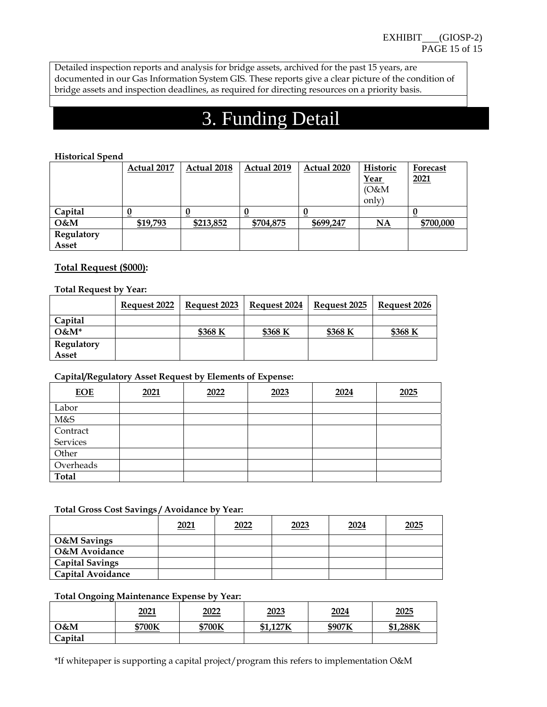Detailed inspection reports and analysis for bridge assets, archived for the past 15 years, are documented in our Gas Information System GIS. These reports give a clear picture of the condition of bridge assets and inspection deadlines, as required for directing resources on a priority basis.

## 3. Funding Detail

#### **Historical Spend**

|                   | Actual 2017 | Actual 2018 | Actual 2019 | Actual 2020 | Historic  | Forecast  |
|-------------------|-------------|-------------|-------------|-------------|-----------|-----------|
|                   |             |             |             |             | Year      | 2021      |
|                   |             |             |             |             | (0 & M)   |           |
|                   |             |             |             |             | only)     |           |
| Capital           |             |             |             |             |           |           |
| O&M               | \$19,793    | \$213,852   | \$704,875   | \$699,247   | <b>NA</b> | \$700,000 |
| <b>Regulatory</b> |             |             |             |             |           |           |
| Asset             |             |             |             |             |           |           |

#### **Total Request (\$000):**

#### **Total Request by Year:**

|            | Request 2022 | Request 2023 | Request 2024 | Request 2025 | Request 2026 |
|------------|--------------|--------------|--------------|--------------|--------------|
| Capital    |              |              |              |              |              |
| $O\&M^*$   |              | \$368 K      | \$368 K      | \$368 K      | \$368 K      |
| Regulatory |              |              |              |              |              |
| Asset      |              |              |              |              |              |

#### **Capital/Regulatory Asset Request by Elements of Expense:**

| <b>EOE</b>   | 2021 | 2022 | 2023 | 2024 | 2025 |
|--------------|------|------|------|------|------|
| Labor        |      |      |      |      |      |
| M&S          |      |      |      |      |      |
| Contract     |      |      |      |      |      |
| Services     |      |      |      |      |      |
| Other        |      |      |      |      |      |
| Overheads    |      |      |      |      |      |
| <b>Total</b> |      |      |      |      |      |

#### **Total Gross Cost Savings / Avoidance by Year:**

|                          | 2021 | 2022 | 2023 | 2024 | 2025 |
|--------------------------|------|------|------|------|------|
| <b>O&amp;M</b> Savings   |      |      |      |      |      |
| O&M Avoidance            |      |      |      |      |      |
| <b>Capital Savings</b>   |      |      |      |      |      |
| <b>Capital Avoidance</b> |      |      |      |      |      |

#### **Total Ongoing Maintenance Expense by Year:**

|         | <u>2021</u> | 2022   | <u> 2023</u> | <u>2024</u> | <u>2025</u>    |
|---------|-------------|--------|--------------|-------------|----------------|
| O&M     | \$700K      | \$700K | ,127K<br>C1  | \$907K      | \$1,288K<br>ው1 |
| Capital |             |        |              |             |                |

\*If whitepaper is supporting a capital project/program this refers to implementation O&M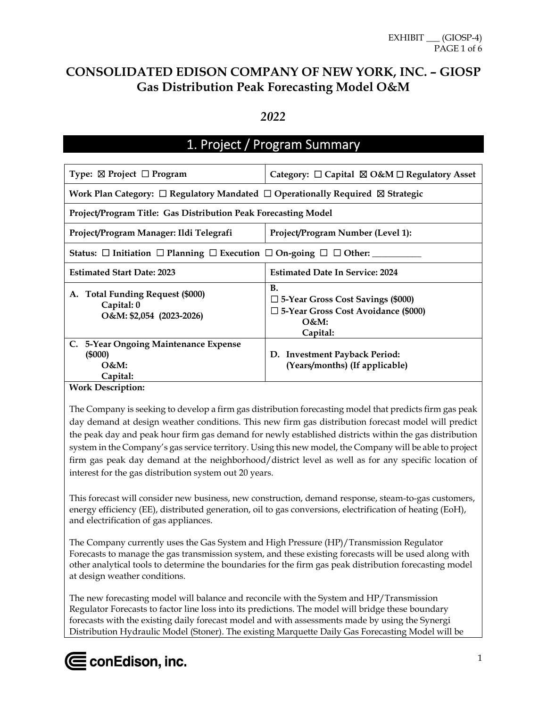## **CONSOLIDATED EDISON COMPANY OF NEW YORK, INC. – GIOSP Gas Distribution Peak Forecasting Model O&M**

#### *2022*

## 1. Project / Program Summary

| Type: $\boxtimes$ Project $\Box$ Program                                                           | Category: $\Box$ Capital $\boxtimes$ O&M $\Box$ Regulatory Asset                                                              |  |  |
|----------------------------------------------------------------------------------------------------|-------------------------------------------------------------------------------------------------------------------------------|--|--|
| Work Plan Category: $\Box$ Regulatory Mandated $\Box$ Operationally Required $\boxtimes$ Strategic |                                                                                                                               |  |  |
| Project/Program Title: Gas Distribution Peak Forecasting Model                                     |                                                                                                                               |  |  |
| Project/Program Manager: Ildi Telegrafi                                                            | Project/Program Number (Level 1):                                                                                             |  |  |
| Status: $\Box$ Initiation $\Box$ Planning $\Box$ Execution $\Box$ On-going $\Box$ $\Box$ Other:    |                                                                                                                               |  |  |
| <b>Estimated Start Date: 2023</b>                                                                  | <b>Estimated Date In Service: 2024</b>                                                                                        |  |  |
| A. Total Funding Request (\$000)<br>Capital: 0<br>O&M: \$2,054 (2023-2026)                         | <b>B.</b><br>$\Box$ 5-Year Gross Cost Savings (\$000)<br>$\square$ 5-Year Gross Cost Avoidance (\$000)<br>$O&M$ :<br>Capital: |  |  |
| C. 5-Year Ongoing Maintenance Expense<br>(5000)<br>$O&M$ :<br>Capital:                             | D. Investment Payback Period:<br>(Years/months) (If applicable)                                                               |  |  |

#### **Work Description:**

The Company is seeking to develop a firm gas distribution forecasting model that predicts firm gas peak day demand at design weather conditions. This new firm gas distribution forecast model will predict the peak day and peak hour firm gas demand for newly established districts within the gas distribution system in the Company's gas service territory. Using this new model, the Company will be able to project firm gas peak day demand at the neighborhood/district level as well as for any specific location of interest for the gas distribution system out 20 years.

This forecast will consider new business, new construction, demand response, steam-to-gas customers, energy efficiency (EE), distributed generation, oil to gas conversions, electrification of heating (EoH), and electrification of gas appliances.

The Company currently uses the Gas System and High Pressure (HP)/Transmission Regulator Forecasts to manage the gas transmission system, and these existing forecasts will be used along with other analytical tools to determine the boundaries for the firm gas peak distribution forecasting model at design weather conditions.

The new forecasting model will balance and reconcile with the System and HP/Transmission Regulator Forecasts to factor line loss into its predictions. The model will bridge these boundary forecasts with the existing daily forecast model and with assessments made by using the Synergi Distribution Hydraulic Model (Stoner). The existing Marquette Daily Gas Forecasting Model will be

# $\boldsymbol{\Subset}$  conEdison, inc.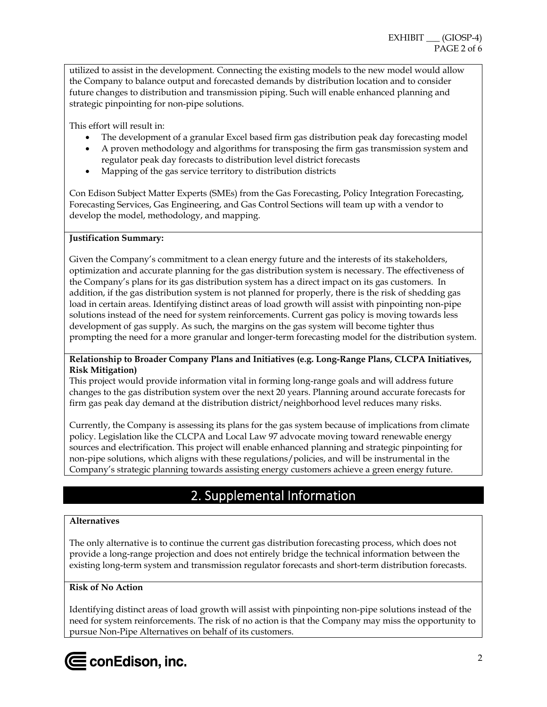utilized to assist in the development. Connecting the existing models to the new model would allow the Company to balance output and forecasted demands by distribution location and to consider future changes to distribution and transmission piping. Such will enable enhanced planning and strategic pinpointing for non-pipe solutions.

This effort will result in:

- The development of a granular Excel based firm gas distribution peak day forecasting model
- A proven methodology and algorithms for transposing the firm gas transmission system and regulator peak day forecasts to distribution level district forecasts
- Mapping of the gas service territory to distribution districts

Con Edison Subject Matter Experts (SMEs) from the Gas Forecasting, Policy Integration Forecasting, Forecasting Services, Gas Engineering, and Gas Control Sections will team up with a vendor to develop the model, methodology, and mapping.

#### **Justification Summary:**

Given the Company's commitment to a clean energy future and the interests of its stakeholders, optimization and accurate planning for the gas distribution system is necessary. The effectiveness of the Company's plans for its gas distribution system has a direct impact on its gas customers. In addition, if the gas distribution system is not planned for properly, there is the risk of shedding gas load in certain areas. Identifying distinct areas of load growth will assist with pinpointing non-pipe solutions instead of the need for system reinforcements. Current gas policy is moving towards less development of gas supply. As such, the margins on the gas system will become tighter thus prompting the need for a more granular and longer-term forecasting model for the distribution system.

#### **Relationship to Broader Company Plans and Initiatives (e.g. Long-Range Plans, CLCPA Initiatives, Risk Mitigation)**

This project would provide information vital in forming long-range goals and will address future changes to the gas distribution system over the next 20 years. Planning around accurate forecasts for firm gas peak day demand at the distribution district/neighborhood level reduces many risks.

Currently, the Company is assessing its plans for the gas system because of implications from climate policy. Legislation like the CLCPA and Local Law 97 advocate moving toward renewable energy sources and electrification. This project will enable enhanced planning and strategic pinpointing for non-pipe solutions, which aligns with these regulations/policies, and will be instrumental in the Company's strategic planning towards assisting energy customers achieve a green energy future.

## 2. Supplemental Information

#### **Alternatives**

The only alternative is to continue the current gas distribution forecasting process, which does not provide a long-range projection and does not entirely bridge the technical information between the existing long-term system and transmission regulator forecasts and short-term distribution forecasts.

#### **Risk of No Action**

Identifying distinct areas of load growth will assist with pinpointing non-pipe solutions instead of the need for system reinforcements. The risk of no action is that the Company may miss the opportunity to pursue Non-Pipe Alternatives on behalf of its customers.

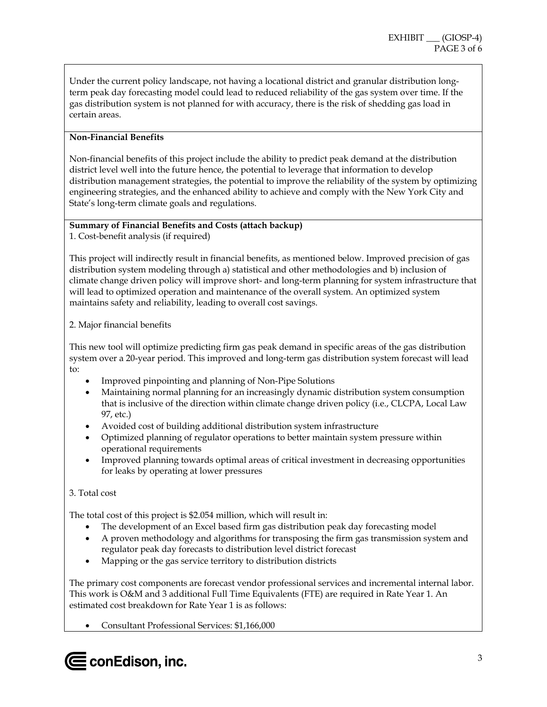Under the current policy landscape, not having a locational district and granular distribution longterm peak day forecasting model could lead to reduced reliability of the gas system over time. If the gas distribution system is not planned for with accuracy, there is the risk of shedding gas load in certain areas.

#### **Non-Financial Benefits**

Non-financial benefits of this project include the ability to predict peak demand at the distribution district level well into the future hence, the potential to leverage that information to develop distribution management strategies, the potential to improve the reliability of the system by optimizing engineering strategies, and the enhanced ability to achieve and comply with the New York City and State's long-term climate goals and regulations.

## **Summary of Financial Benefits and Costs (attach backup)**

1. Cost-benefit analysis (if required)

This project will indirectly result in financial benefits, as mentioned below. Improved precision of gas distribution system modeling through a) statistical and other methodologies and b) inclusion of climate change driven policy will improve short- and long-term planning for system infrastructure that will lead to optimized operation and maintenance of the overall system. An optimized system maintains safety and reliability, leading to overall cost savings.

#### 2. Major financial benefits

This new tool will optimize predicting firm gas peak demand in specific areas of the gas distribution system over a 20-year period. This improved and long-term gas distribution system forecast will lead to:

- Improved pinpointing and planning of Non-Pipe Solutions
- Maintaining normal planning for an increasingly dynamic distribution system consumption that is inclusive of the direction within climate change driven policy (i.e., CLCPA, Local Law 97, etc.)
- Avoided cost of building additional distribution system infrastructure
- Optimized planning of regulator operations to better maintain system pressure within operational requirements
- Improved planning towards optimal areas of critical investment in decreasing opportunities for leaks by operating at lower pressures

#### 3. Total cost

The total cost of this project is \$2.054 million, which will result in:

- The development of an Excel based firm gas distribution peak day forecasting model
- A proven methodology and algorithms for transposing the firm gas transmission system and regulator peak day forecasts to distribution level district forecast
- Mapping or the gas service territory to distribution districts

The primary cost components are forecast vendor professional services and incremental internal labor. This work is O&M and 3 additional Full Time Equivalents (FTE) are required in Rate Year 1. An estimated cost breakdown for Rate Year 1 is as follows:

Consultant Professional Services: \$1,166,000

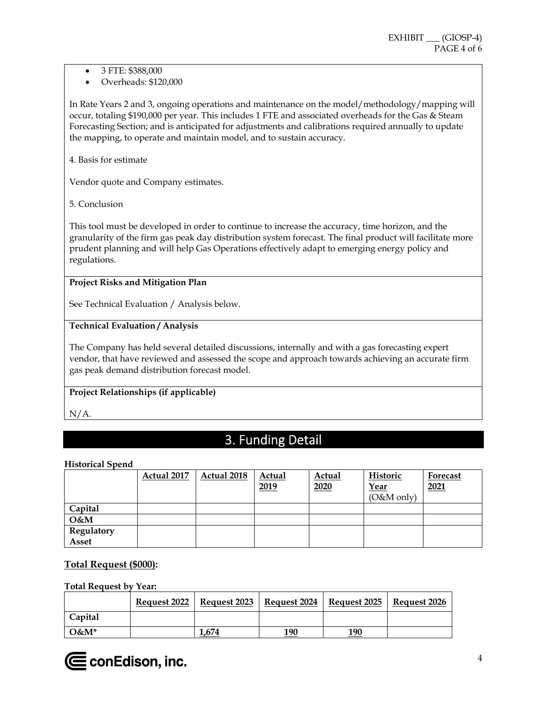- 3 FTE: \$388,000
- Overheads: \$120,000

In Rate Years 2 and 3, ongoing operations and maintenance on the model/methodology/mapping will occur, totaling \$190,000 per year. This includes 1 FTE and associated overheads for the Gas & Steam Forecasting Section; and is anticipated for adjustments and calibrations required annually to update the mapping, to operate and maintain model, and to sustain accuracy.

4. Basis for estimate

Vendor quote and Company estimates.

5. Conclusion

This tool must be developed in order to continue to increase the accuracy, time horizon, and the granularity of the firm gas peak day distribution system forecast. The final product will facilitate more prudent planning and will help Gas Operations effectively adapt to emerging energy policy and regulations.

#### **Project Risks and Mitigation Plan**

See Technical Evaluation / Analysis below.

#### **Technical Evaluation / Analysis**

The Company has held several detailed discussions, internally and with a gas forecasting expert vendor, that have reviewed and assessed the scope and approach towards achieving an accurate firm gas peak demand distribution forecast model.

#### **Project Relationships (if applicable)**

N/A.

## 3. Funding Detail

#### **Historical Spend**

|              | Actual 2017 | Actual 2018 | Actual<br>2019 | Actual<br>2020 | Historic<br>Year<br>$(O&M$ only) | Forecast<br>2021 |
|--------------|-------------|-------------|----------------|----------------|----------------------------------|------------------|
| Capital      |             |             |                |                |                                  |                  |
| $O$ &M       |             |             |                |                |                                  |                  |
| Regulatory   |             |             |                |                |                                  |                  |
| <b>Asset</b> |             |             |                |                |                                  |                  |

#### **Total Request (\$000):**

#### **Total Request by Year:**

|          | <b>Request 2022</b>   Request 2023 | Request 2024 | Request 2025   Request 2026 |  |
|----------|------------------------------------|--------------|-----------------------------|--|
| Capital  |                                    |              |                             |  |
| $O\&M^*$ | 1.674                              | 190          | 190                         |  |